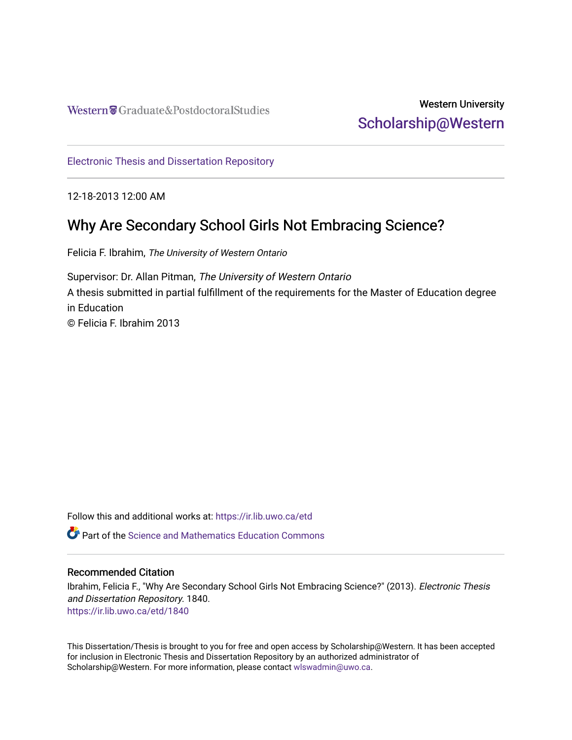Western Craduate&PostdoctoralStudies

## Western University [Scholarship@Western](https://ir.lib.uwo.ca/)

[Electronic Thesis and Dissertation Repository](https://ir.lib.uwo.ca/etd)

12-18-2013 12:00 AM

# Why Are Secondary School Girls Not Embracing Science?

Felicia F. Ibrahim, The University of Western Ontario

Supervisor: Dr. Allan Pitman, The University of Western Ontario A thesis submitted in partial fulfillment of the requirements for the Master of Education degree in Education © Felicia F. Ibrahim 2013

Follow this and additional works at: [https://ir.lib.uwo.ca/etd](https://ir.lib.uwo.ca/etd?utm_source=ir.lib.uwo.ca%2Fetd%2F1840&utm_medium=PDF&utm_campaign=PDFCoverPages) 

 $\bullet$  Part of the Science and Mathematics Education Commons

#### Recommended Citation

Ibrahim, Felicia F., "Why Are Secondary School Girls Not Embracing Science?" (2013). Electronic Thesis and Dissertation Repository. 1840. [https://ir.lib.uwo.ca/etd/1840](https://ir.lib.uwo.ca/etd/1840?utm_source=ir.lib.uwo.ca%2Fetd%2F1840&utm_medium=PDF&utm_campaign=PDFCoverPages)

This Dissertation/Thesis is brought to you for free and open access by Scholarship@Western. It has been accepted for inclusion in Electronic Thesis and Dissertation Repository by an authorized administrator of Scholarship@Western. For more information, please contact [wlswadmin@uwo.ca.](mailto:wlswadmin@uwo.ca)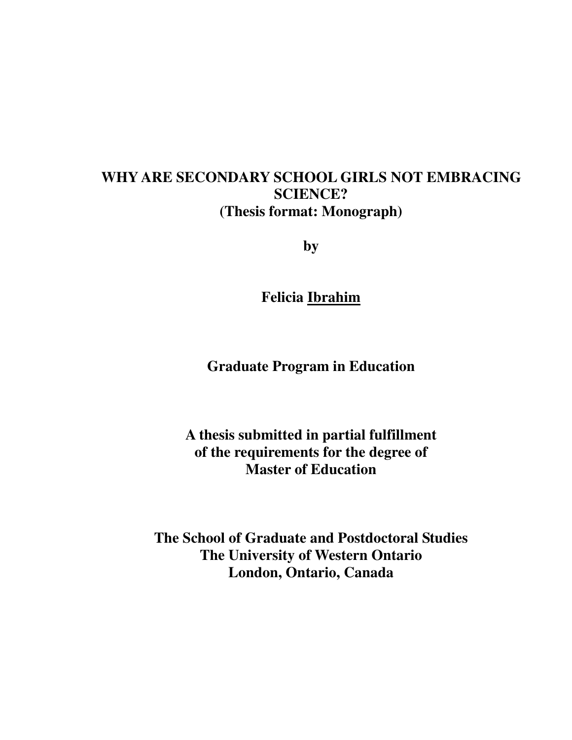# **WHY ARE SECONDARY SCHOOL GIRLS NOT EMBRACING SCIENCE? (Thesis format: Monograph)**

**by** 

**Felicia Ibrahim**

**Graduate Program in Education** 

**A thesis submitted in partial fulfillment of the requirements for the degree of Master of Education** 

**The School of Graduate and Postdoctoral Studies The University of Western Ontario London, Ontario, Canada**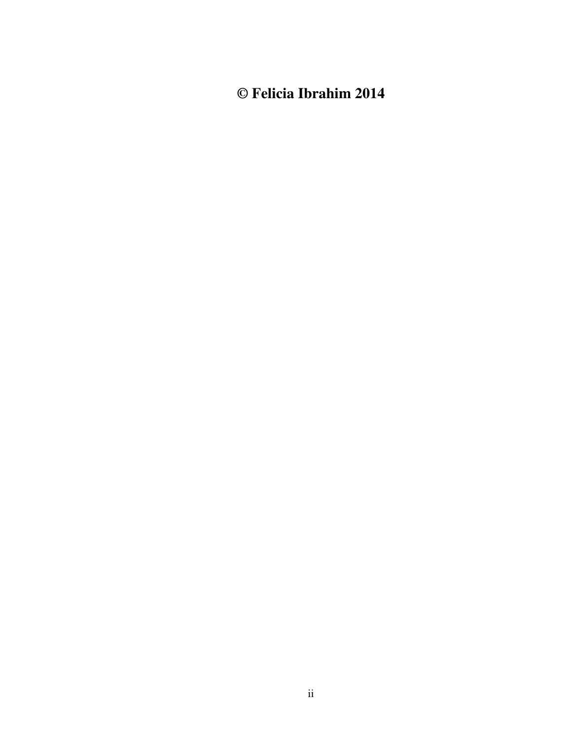**© Felicia Ibrahim 2014**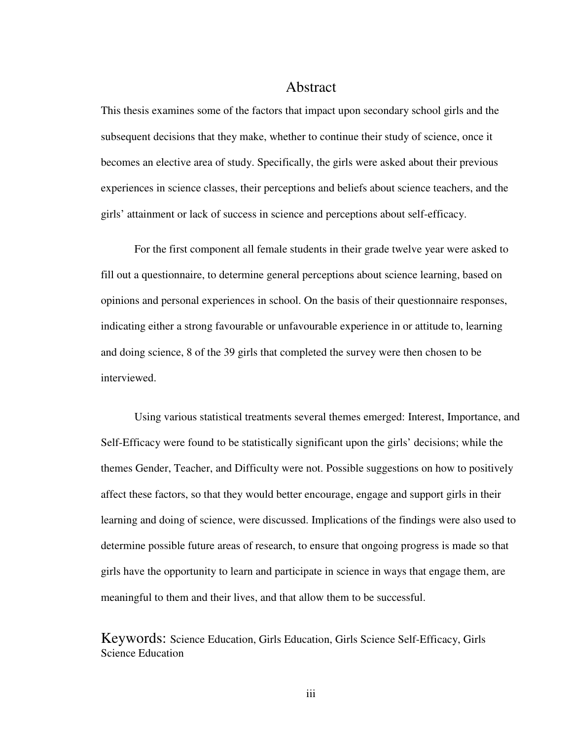## Abstract

This thesis examines some of the factors that impact upon secondary school girls and the subsequent decisions that they make, whether to continue their study of science, once it becomes an elective area of study. Specifically, the girls were asked about their previous experiences in science classes, their perceptions and beliefs about science teachers, and the girls' attainment or lack of success in science and perceptions about self-efficacy.

 For the first component all female students in their grade twelve year were asked to fill out a questionnaire, to determine general perceptions about science learning, based on opinions and personal experiences in school. On the basis of their questionnaire responses, indicating either a strong favourable or unfavourable experience in or attitude to, learning and doing science, 8 of the 39 girls that completed the survey were then chosen to be interviewed.

 Using various statistical treatments several themes emerged: Interest, Importance, and Self-Efficacy were found to be statistically significant upon the girls' decisions; while the themes Gender, Teacher, and Difficulty were not. Possible suggestions on how to positively affect these factors, so that they would better encourage, engage and support girls in their learning and doing of science, were discussed. Implications of the findings were also used to determine possible future areas of research, to ensure that ongoing progress is made so that girls have the opportunity to learn and participate in science in ways that engage them, are meaningful to them and their lives, and that allow them to be successful.

Keywords: Science Education, Girls Education, Girls Science Self-Efficacy, Girls Science Education

iii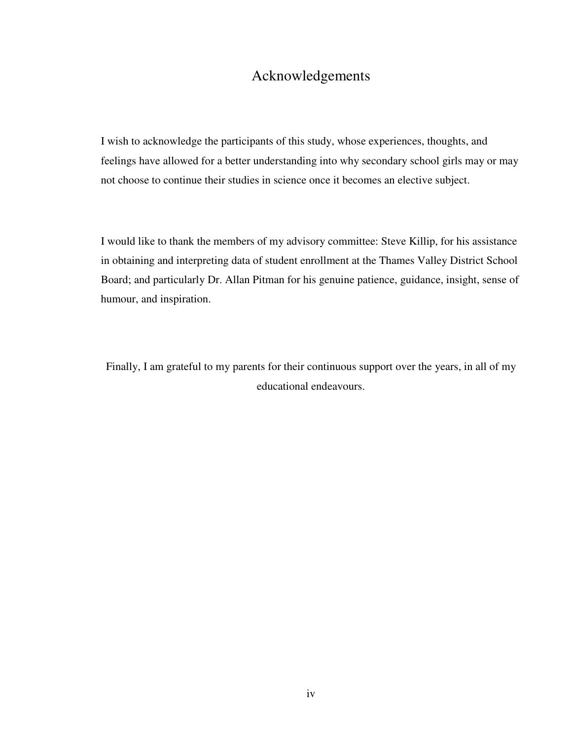## Acknowledgements

I wish to acknowledge the participants of this study, whose experiences, thoughts, and feelings have allowed for a better understanding into why secondary school girls may or may not choose to continue their studies in science once it becomes an elective subject.

I would like to thank the members of my advisory committee: Steve Killip, for his assistance in obtaining and interpreting data of student enrollment at the Thames Valley District School Board; and particularly Dr. Allan Pitman for his genuine patience, guidance, insight, sense of humour, and inspiration.

Finally, I am grateful to my parents for their continuous support over the years, in all of my educational endeavours.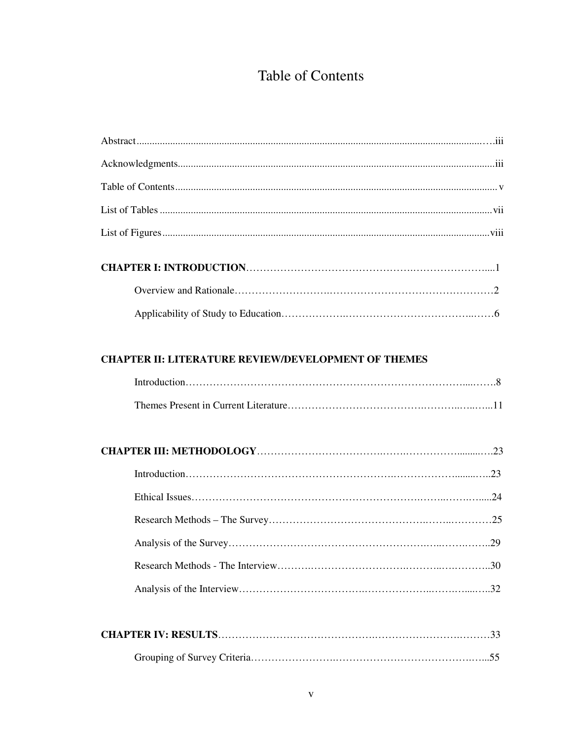# Table of Contents

| <b>CHAPTER II: LITERATURE REVIEW/DEVELOPMENT OF THEMES</b> |
|------------------------------------------------------------|
|                                                            |
|                                                            |
|                                                            |
|                                                            |
|                                                            |
|                                                            |
|                                                            |
|                                                            |
|                                                            |
|                                                            |

Grouping of Survey Criteria…………………….………………………………….…...55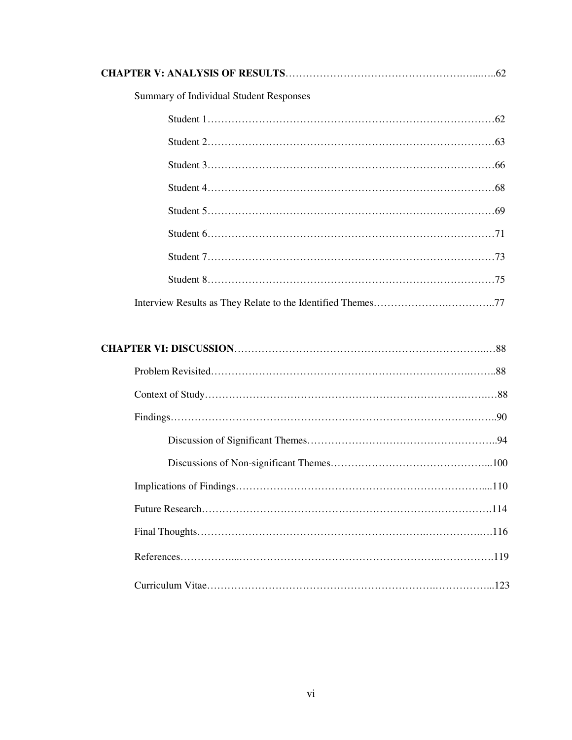| Summary of Individual Student Responses |
|-----------------------------------------|
|                                         |
|                                         |
|                                         |
|                                         |
|                                         |
|                                         |
|                                         |
|                                         |
|                                         |
|                                         |
|                                         |
|                                         |
|                                         |
|                                         |
|                                         |
|                                         |
| Implications of Findings<br>110         |
|                                         |
|                                         |
|                                         |
|                                         |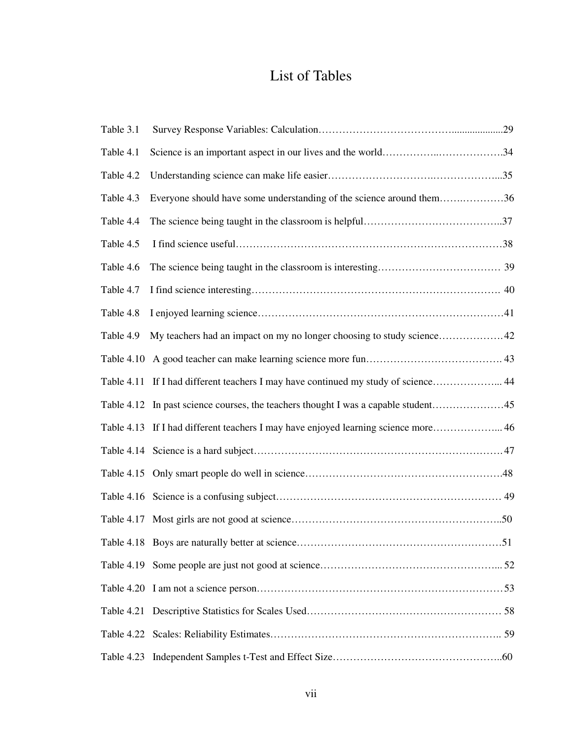# List of Tables

| Table 3.1 |                                                                                    |
|-----------|------------------------------------------------------------------------------------|
| Table 4.1 |                                                                                    |
| Table 4.2 |                                                                                    |
| Table 4.3 | Everyone should have some understanding of the science around them36               |
| Table 4.4 |                                                                                    |
| Table 4.5 |                                                                                    |
| Table 4.6 |                                                                                    |
| Table 4.7 |                                                                                    |
| Table 4.8 |                                                                                    |
| Table 4.9 |                                                                                    |
|           |                                                                                    |
|           | Table 4.11 If I had different teachers I may have continued my study of science 44 |
|           |                                                                                    |
|           |                                                                                    |
|           |                                                                                    |
|           |                                                                                    |
|           |                                                                                    |
|           |                                                                                    |
|           |                                                                                    |
|           |                                                                                    |
|           |                                                                                    |
|           |                                                                                    |
|           |                                                                                    |
|           |                                                                                    |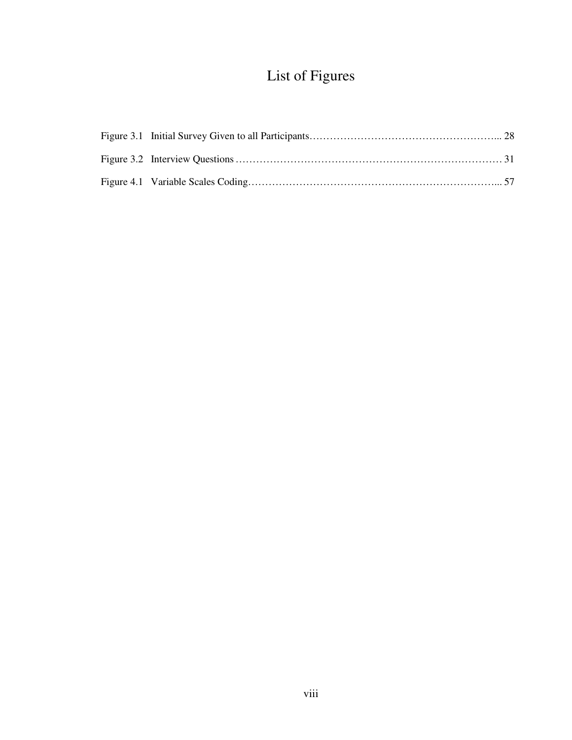# List of Figures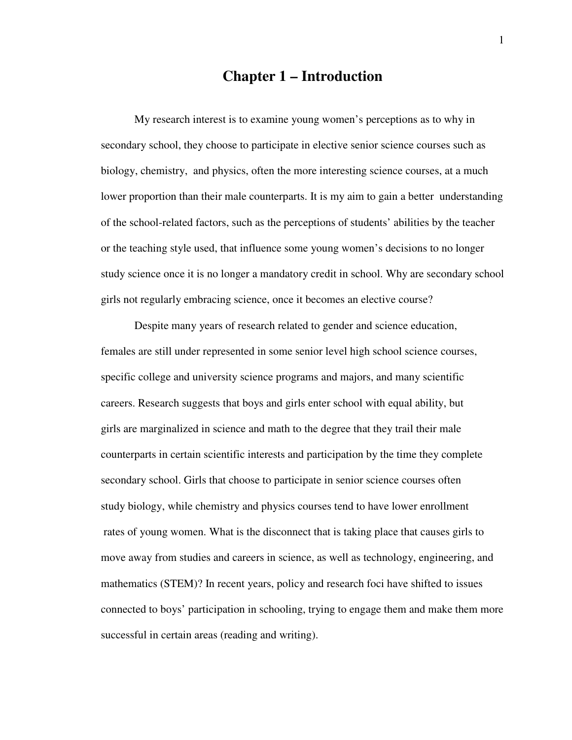## **Chapter 1 – Introduction**

My research interest is to examine young women's perceptions as to why in secondary school, they choose to participate in elective senior science courses such as biology, chemistry, and physics, often the more interesting science courses, at a much lower proportion than their male counterparts. It is my aim to gain a better understanding of the school-related factors, such as the perceptions of students' abilities by the teacher or the teaching style used, that influence some young women's decisions to no longer study science once it is no longer a mandatory credit in school. Why are secondary school girls not regularly embracing science, once it becomes an elective course?

Despite many years of research related to gender and science education, females are still under represented in some senior level high school science courses, specific college and university science programs and majors, and many scientific careers. Research suggests that boys and girls enter school with equal ability, but girls are marginalized in science and math to the degree that they trail their male counterparts in certain scientific interests and participation by the time they complete secondary school. Girls that choose to participate in senior science courses often study biology, while chemistry and physics courses tend to have lower enrollment rates of young women. What is the disconnect that is taking place that causes girls to move away from studies and careers in science, as well as technology, engineering, and mathematics (STEM)? In recent years, policy and research foci have shifted to issues connected to boys' participation in schooling, trying to engage them and make them more successful in certain areas (reading and writing).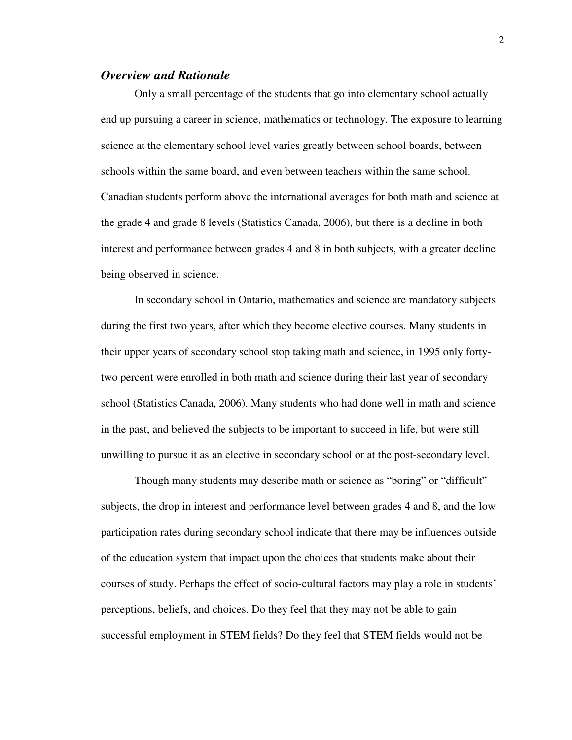## *Overview and Rationale*

Only a small percentage of the students that go into elementary school actually end up pursuing a career in science, mathematics or technology. The exposure to learning science at the elementary school level varies greatly between school boards, between schools within the same board, and even between teachers within the same school. Canadian students perform above the international averages for both math and science at the grade 4 and grade 8 levels (Statistics Canada, 2006), but there is a decline in both interest and performance between grades 4 and 8 in both subjects, with a greater decline being observed in science.

In secondary school in Ontario, mathematics and science are mandatory subjects during the first two years, after which they become elective courses. Many students in their upper years of secondary school stop taking math and science, in 1995 only fortytwo percent were enrolled in both math and science during their last year of secondary school (Statistics Canada, 2006). Many students who had done well in math and science in the past, and believed the subjects to be important to succeed in life, but were still unwilling to pursue it as an elective in secondary school or at the post-secondary level.

Though many students may describe math or science as "boring" or "difficult" subjects, the drop in interest and performance level between grades 4 and 8, and the low participation rates during secondary school indicate that there may be influences outside of the education system that impact upon the choices that students make about their courses of study. Perhaps the effect of socio-cultural factors may play a role in students' perceptions, beliefs, and choices. Do they feel that they may not be able to gain successful employment in STEM fields? Do they feel that STEM fields would not be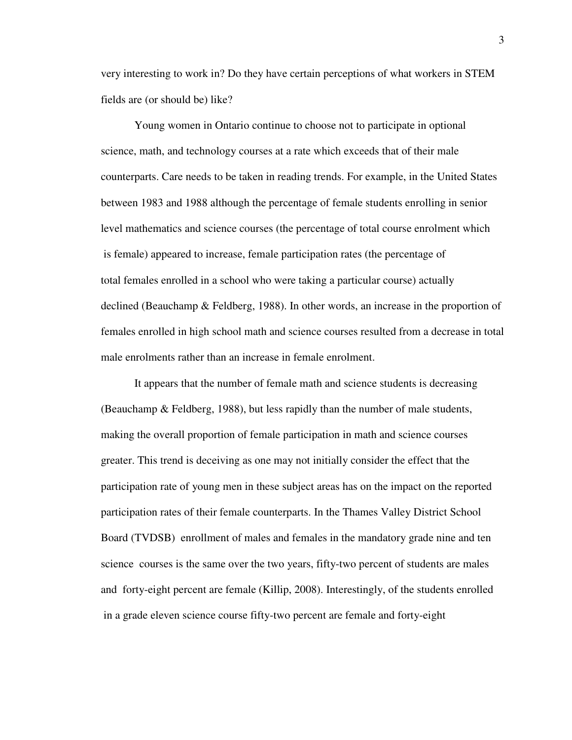very interesting to work in? Do they have certain perceptions of what workers in STEM fields are (or should be) like?

Young women in Ontario continue to choose not to participate in optional science, math, and technology courses at a rate which exceeds that of their male counterparts. Care needs to be taken in reading trends. For example, in the United States between 1983 and 1988 although the percentage of female students enrolling in senior level mathematics and science courses (the percentage of total course enrolment which is female) appeared to increase, female participation rates (the percentage of total females enrolled in a school who were taking a particular course) actually declined (Beauchamp & Feldberg, 1988). In other words, an increase in the proportion of females enrolled in high school math and science courses resulted from a decrease in total male enrolments rather than an increase in female enrolment.

It appears that the number of female math and science students is decreasing (Beauchamp & Feldberg, 1988), but less rapidly than the number of male students, making the overall proportion of female participation in math and science courses greater. This trend is deceiving as one may not initially consider the effect that the participation rate of young men in these subject areas has on the impact on the reported participation rates of their female counterparts. In the Thames Valley District School Board (TVDSB) enrollment of males and females in the mandatory grade nine and ten science courses is the same over the two years, fifty-two percent of students are males and forty-eight percent are female (Killip, 2008). Interestingly, of the students enrolled in a grade eleven science course fifty-two percent are female and forty-eight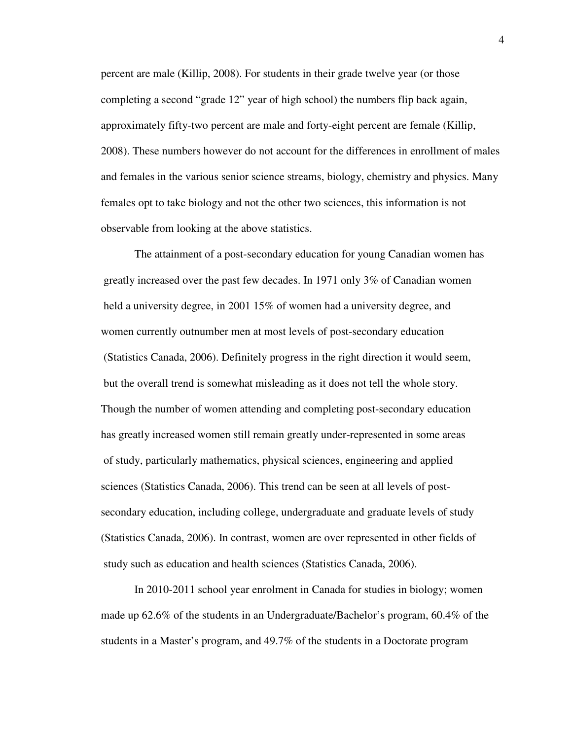percent are male (Killip, 2008). For students in their grade twelve year (or those completing a second "grade 12" year of high school) the numbers flip back again, approximately fifty-two percent are male and forty-eight percent are female (Killip, 2008). These numbers however do not account for the differences in enrollment of males and females in the various senior science streams, biology, chemistry and physics. Many females opt to take biology and not the other two sciences, this information is not observable from looking at the above statistics.

 The attainment of a post-secondary education for young Canadian women has greatly increased over the past few decades. In 1971 only 3% of Canadian women held a university degree, in 2001 15% of women had a university degree, and women currently outnumber men at most levels of post-secondary education (Statistics Canada, 2006). Definitely progress in the right direction it would seem, but the overall trend is somewhat misleading as it does not tell the whole story. Though the number of women attending and completing post-secondary education has greatly increased women still remain greatly under-represented in some areas of study, particularly mathematics, physical sciences, engineering and applied sciences (Statistics Canada, 2006). This trend can be seen at all levels of postsecondary education, including college, undergraduate and graduate levels of study (Statistics Canada, 2006). In contrast, women are over represented in other fields of study such as education and health sciences (Statistics Canada, 2006).

 In 2010-2011 school year enrolment in Canada for studies in biology; women made up 62.6% of the students in an Undergraduate/Bachelor's program, 60.4% of the students in a Master's program, and 49.7% of the students in a Doctorate program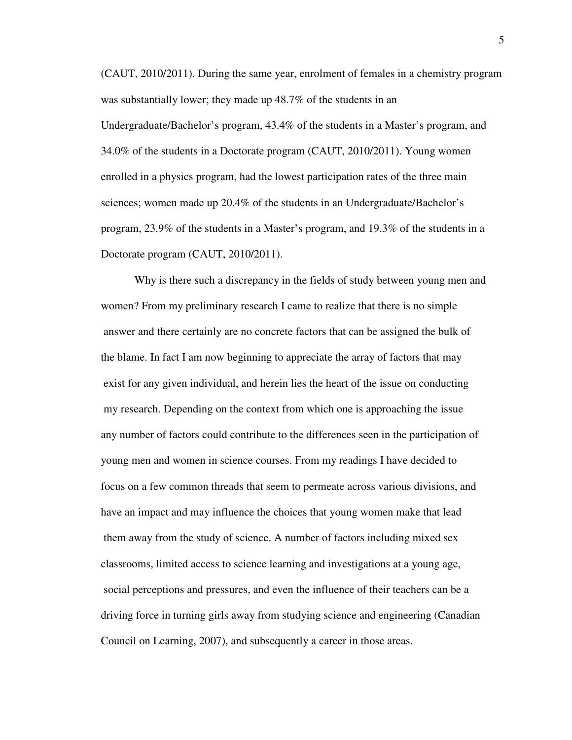(CAUT, 2010/2011). During the same year, enrolment of females in a chemistry program was substantially lower; they made up 48.7% of the students in an Undergraduate/Bachelor's program, 43.4% of the students in a Master's program, and 34.0% of the students in a Doctorate program (CAUT, 2010/2011). Young women enrolled in a physics program, had the lowest participation rates of the three main sciences; women made up 20.4% of the students in an Undergraduate/Bachelor's program, 23.9% of the students in a Master's program, and 19.3% of the students in a Doctorate program (CAUT, 2010/2011).

 Why is there such a discrepancy in the fields of study between young men and women? From my preliminary research I came to realize that there is no simple answer and there certainly are no concrete factors that can be assigned the bulk of the blame. In fact I am now beginning to appreciate the array of factors that may exist for any given individual, and herein lies the heart of the issue on conducting my research. Depending on the context from which one is approaching the issue any number of factors could contribute to the differences seen in the participation of young men and women in science courses. From my readings I have decided to focus on a few common threads that seem to permeate across various divisions, and have an impact and may influence the choices that young women make that lead them away from the study of science. A number of factors including mixed sex classrooms, limited access to science learning and investigations at a young age, social perceptions and pressures, and even the influence of their teachers can be a driving force in turning girls away from studying science and engineering (Canadian Council on Learning, 2007), and subsequently a career in those areas.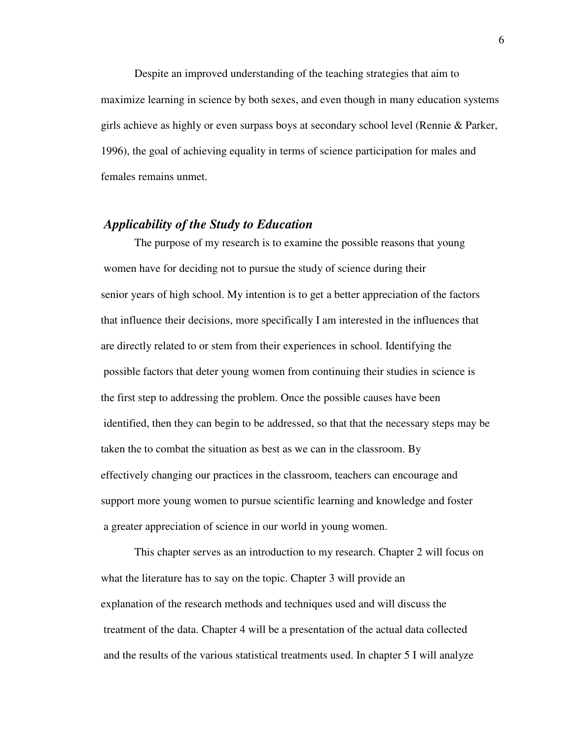Despite an improved understanding of the teaching strategies that aim to maximize learning in science by both sexes, and even though in many education systems girls achieve as highly or even surpass boys at secondary school level (Rennie & Parker, 1996), the goal of achieving equality in terms of science participation for males and females remains unmet.

#### *Applicability of the Study to Education*

 The purpose of my research is to examine the possible reasons that young women have for deciding not to pursue the study of science during their senior years of high school. My intention is to get a better appreciation of the factors that influence their decisions, more specifically I am interested in the influences that are directly related to or stem from their experiences in school. Identifying the possible factors that deter young women from continuing their studies in science is the first step to addressing the problem. Once the possible causes have been identified, then they can begin to be addressed, so that that the necessary steps may be taken the to combat the situation as best as we can in the classroom. By effectively changing our practices in the classroom, teachers can encourage and support more young women to pursue scientific learning and knowledge and foster a greater appreciation of science in our world in young women.

 This chapter serves as an introduction to my research. Chapter 2 will focus on what the literature has to say on the topic. Chapter 3 will provide an explanation of the research methods and techniques used and will discuss the treatment of the data. Chapter 4 will be a presentation of the actual data collected and the results of the various statistical treatments used. In chapter 5 I will analyze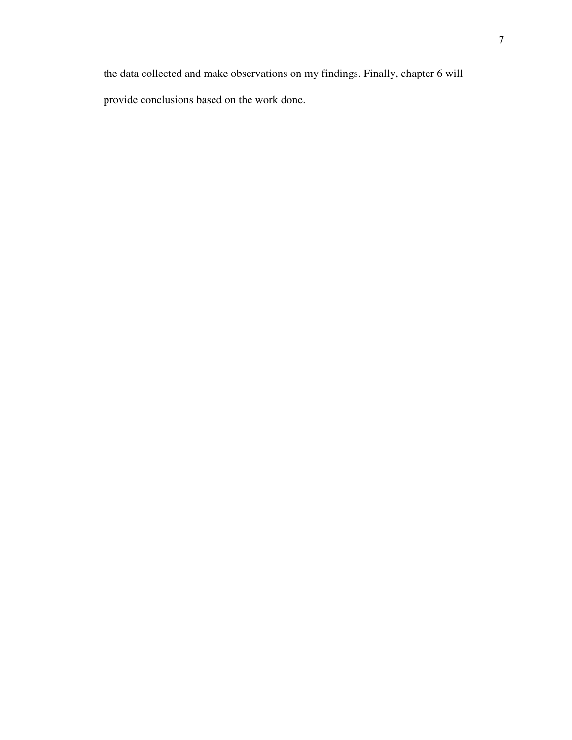the data collected and make observations on my findings. Finally, chapter 6 will provide conclusions based on the work done.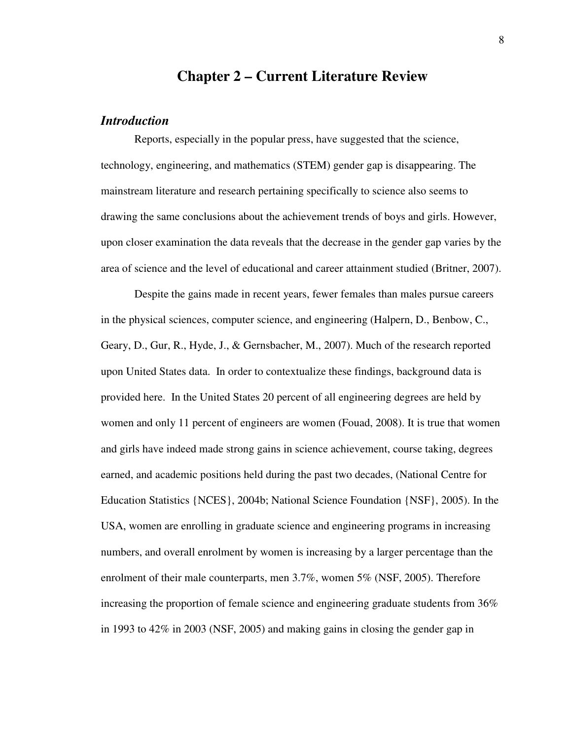## **Chapter 2 – Current Literature Review**

## *Introduction*

Reports, especially in the popular press, have suggested that the science, technology, engineering, and mathematics (STEM) gender gap is disappearing. The mainstream literature and research pertaining specifically to science also seems to drawing the same conclusions about the achievement trends of boys and girls. However, upon closer examination the data reveals that the decrease in the gender gap varies by the area of science and the level of educational and career attainment studied (Britner, 2007).

Despite the gains made in recent years, fewer females than males pursue careers in the physical sciences, computer science, and engineering (Halpern, D., Benbow, C., Geary, D., Gur, R., Hyde, J., & Gernsbacher, M., 2007). Much of the research reported upon United States data. In order to contextualize these findings, background data is provided here. In the United States 20 percent of all engineering degrees are held by women and only 11 percent of engineers are women (Fouad, 2008). It is true that women and girls have indeed made strong gains in science achievement, course taking, degrees earned, and academic positions held during the past two decades, (National Centre for Education Statistics {NCES}, 2004b; National Science Foundation {NSF}, 2005). In the USA, women are enrolling in graduate science and engineering programs in increasing numbers, and overall enrolment by women is increasing by a larger percentage than the enrolment of their male counterparts, men 3.7%, women 5% (NSF, 2005). Therefore increasing the proportion of female science and engineering graduate students from 36% in 1993 to 42% in 2003 (NSF, 2005) and making gains in closing the gender gap in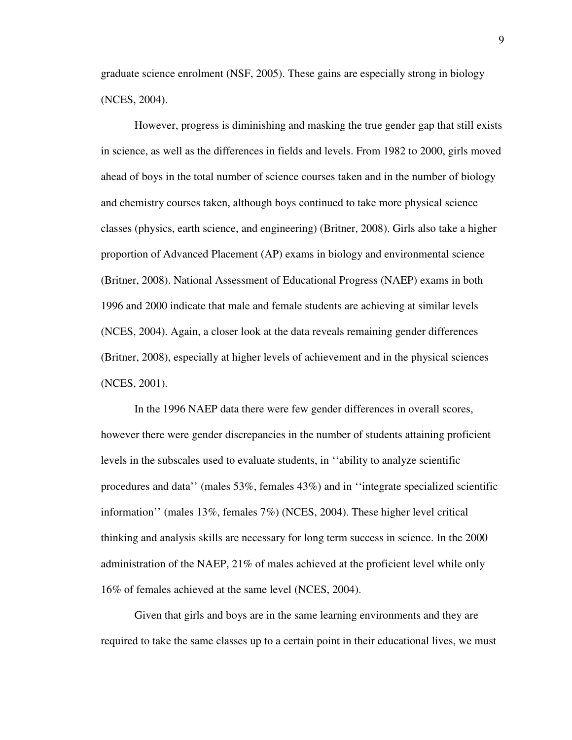graduate science enrolment (NSF, 2005). These gains are especially strong in biology (NCES, 2004).

 However, progress is diminishing and masking the true gender gap that still exists in science, as well as the differences in fields and levels. From 1982 to 2000, girls moved ahead of boys in the total number of science courses taken and in the number of biology and chemistry courses taken, although boys continued to take more physical science classes (physics, earth science, and engineering) (Britner, 2008). Girls also take a higher proportion of Advanced Placement (AP) exams in biology and environmental science (Britner, 2008). National Assessment of Educational Progress (NAEP) exams in both 1996 and 2000 indicate that male and female students are achieving at similar levels (NCES, 2004). Again, a closer look at the data reveals remaining gender differences (Britner, 2008), especially at higher levels of achievement and in the physical sciences (NCES, 2001).

In the 1996 NAEP data there were few gender differences in overall scores, however there were gender discrepancies in the number of students attaining proficient levels in the subscales used to evaluate students, in ''ability to analyze scientific procedures and data'' (males 53%, females 43%) and in ''integrate specialized scientific information'' (males 13%, females 7%) (NCES, 2004). These higher level critical thinking and analysis skills are necessary for long term success in science. In the 2000 administration of the NAEP, 21% of males achieved at the proficient level while only 16% of females achieved at the same level (NCES, 2004).

Given that girls and boys are in the same learning environments and they are required to take the same classes up to a certain point in their educational lives, we must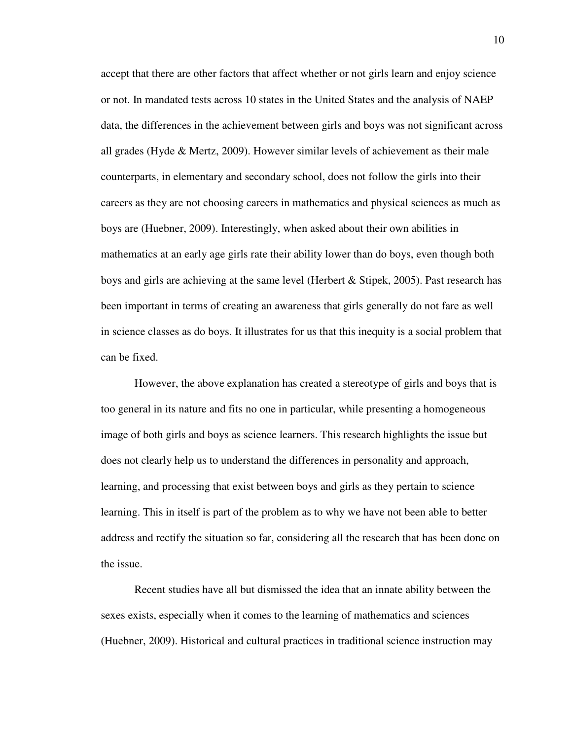accept that there are other factors that affect whether or not girls learn and enjoy science or not. In mandated tests across 10 states in the United States and the analysis of NAEP data, the differences in the achievement between girls and boys was not significant across all grades (Hyde & Mertz, 2009). However similar levels of achievement as their male counterparts, in elementary and secondary school, does not follow the girls into their careers as they are not choosing careers in mathematics and physical sciences as much as boys are (Huebner, 2009). Interestingly, when asked about their own abilities in mathematics at an early age girls rate their ability lower than do boys, even though both boys and girls are achieving at the same level (Herbert & Stipek, 2005). Past research has been important in terms of creating an awareness that girls generally do not fare as well in science classes as do boys. It illustrates for us that this inequity is a social problem that can be fixed.

 However, the above explanation has created a stereotype of girls and boys that is too general in its nature and fits no one in particular, while presenting a homogeneous image of both girls and boys as science learners. This research highlights the issue but does not clearly help us to understand the differences in personality and approach, learning, and processing that exist between boys and girls as they pertain to science learning. This in itself is part of the problem as to why we have not been able to better address and rectify the situation so far, considering all the research that has been done on the issue.

 Recent studies have all but dismissed the idea that an innate ability between the sexes exists, especially when it comes to the learning of mathematics and sciences (Huebner, 2009). Historical and cultural practices in traditional science instruction may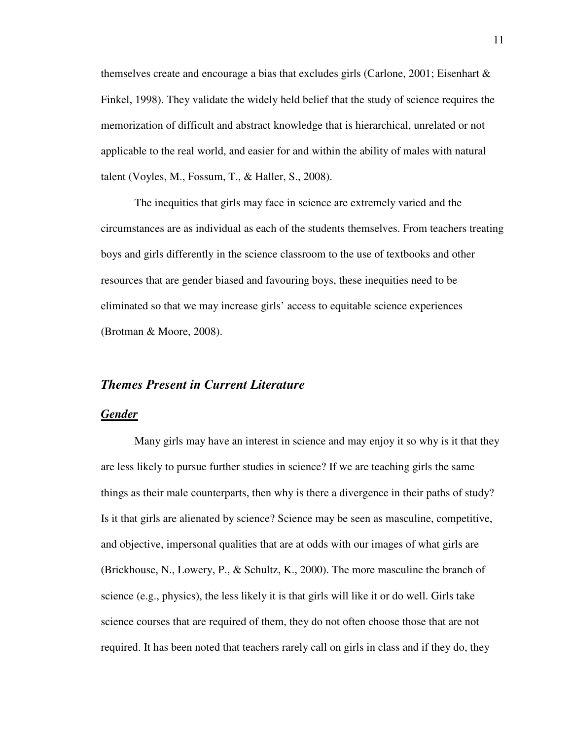themselves create and encourage a bias that excludes girls (Carlone, 2001; Eisenhart & Finkel, 1998). They validate the widely held belief that the study of science requires the memorization of difficult and abstract knowledge that is hierarchical, unrelated or not applicable to the real world, and easier for and within the ability of males with natural talent (Voyles, M., Fossum, T., & Haller, S., 2008).

The inequities that girls may face in science are extremely varied and the circumstances are as individual as each of the students themselves. From teachers treating boys and girls differently in the science classroom to the use of textbooks and other resources that are gender biased and favouring boys, these inequities need to be eliminated so that we may increase girls' access to equitable science experiences (Brotman & Moore, 2008).

#### *Themes Present in Current Literature*

#### *Gender*

Many girls may have an interest in science and may enjoy it so why is it that they are less likely to pursue further studies in science? If we are teaching girls the same things as their male counterparts, then why is there a divergence in their paths of study? Is it that girls are alienated by science? Science may be seen as masculine, competitive, and objective, impersonal qualities that are at odds with our images of what girls are (Brickhouse, N., Lowery, P., & Schultz, K., 2000). The more masculine the branch of science (e.g., physics), the less likely it is that girls will like it or do well. Girls take science courses that are required of them, they do not often choose those that are not required. It has been noted that teachers rarely call on girls in class and if they do, they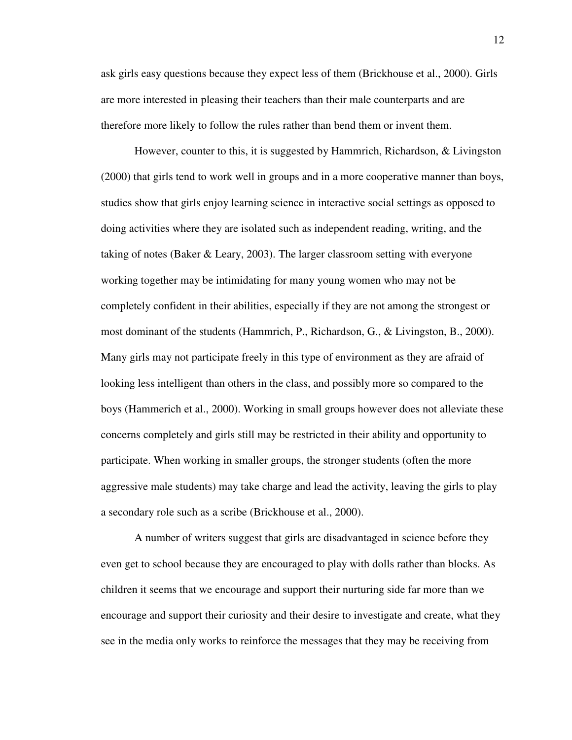ask girls easy questions because they expect less of them (Brickhouse et al., 2000). Girls are more interested in pleasing their teachers than their male counterparts and are therefore more likely to follow the rules rather than bend them or invent them.

However, counter to this, it is suggested by Hammrich, Richardson, & Livingston (2000) that girls tend to work well in groups and in a more cooperative manner than boys, studies show that girls enjoy learning science in interactive social settings as opposed to doing activities where they are isolated such as independent reading, writing, and the taking of notes (Baker & Leary, 2003). The larger classroom setting with everyone working together may be intimidating for many young women who may not be completely confident in their abilities, especially if they are not among the strongest or most dominant of the students (Hammrich, P., Richardson, G., & Livingston, B., 2000). Many girls may not participate freely in this type of environment as they are afraid of looking less intelligent than others in the class, and possibly more so compared to the boys (Hammerich et al., 2000). Working in small groups however does not alleviate these concerns completely and girls still may be restricted in their ability and opportunity to participate. When working in smaller groups, the stronger students (often the more aggressive male students) may take charge and lead the activity, leaving the girls to play a secondary role such as a scribe (Brickhouse et al., 2000).

A number of writers suggest that girls are disadvantaged in science before they even get to school because they are encouraged to play with dolls rather than blocks. As children it seems that we encourage and support their nurturing side far more than we encourage and support their curiosity and their desire to investigate and create, what they see in the media only works to reinforce the messages that they may be receiving from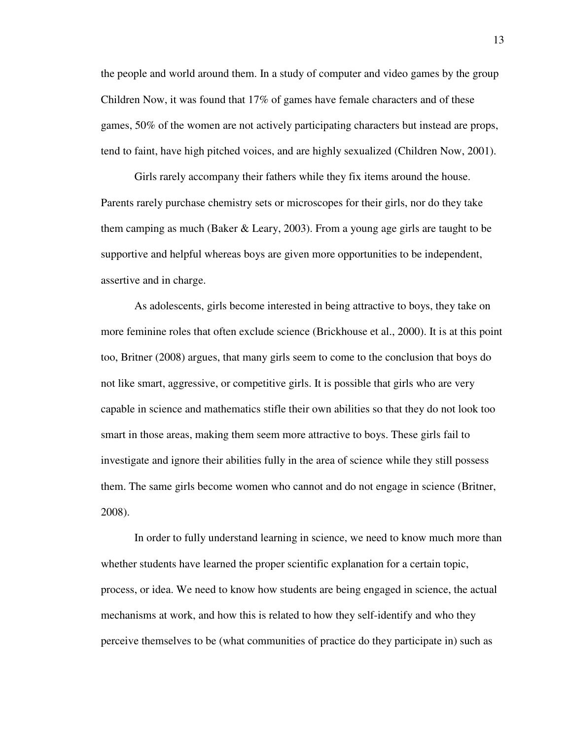the people and world around them. In a study of computer and video games by the group Children Now, it was found that 17% of games have female characters and of these games, 50% of the women are not actively participating characters but instead are props, tend to faint, have high pitched voices, and are highly sexualized (Children Now, 2001).

Girls rarely accompany their fathers while they fix items around the house. Parents rarely purchase chemistry sets or microscopes for their girls, nor do they take them camping as much (Baker & Leary, 2003). From a young age girls are taught to be supportive and helpful whereas boys are given more opportunities to be independent, assertive and in charge.

As adolescents, girls become interested in being attractive to boys, they take on more feminine roles that often exclude science (Brickhouse et al., 2000). It is at this point too, Britner (2008) argues, that many girls seem to come to the conclusion that boys do not like smart, aggressive, or competitive girls. It is possible that girls who are very capable in science and mathematics stifle their own abilities so that they do not look too smart in those areas, making them seem more attractive to boys. These girls fail to investigate and ignore their abilities fully in the area of science while they still possess them. The same girls become women who cannot and do not engage in science (Britner, 2008).

In order to fully understand learning in science, we need to know much more than whether students have learned the proper scientific explanation for a certain topic, process, or idea. We need to know how students are being engaged in science, the actual mechanisms at work, and how this is related to how they self-identify and who they perceive themselves to be (what communities of practice do they participate in) such as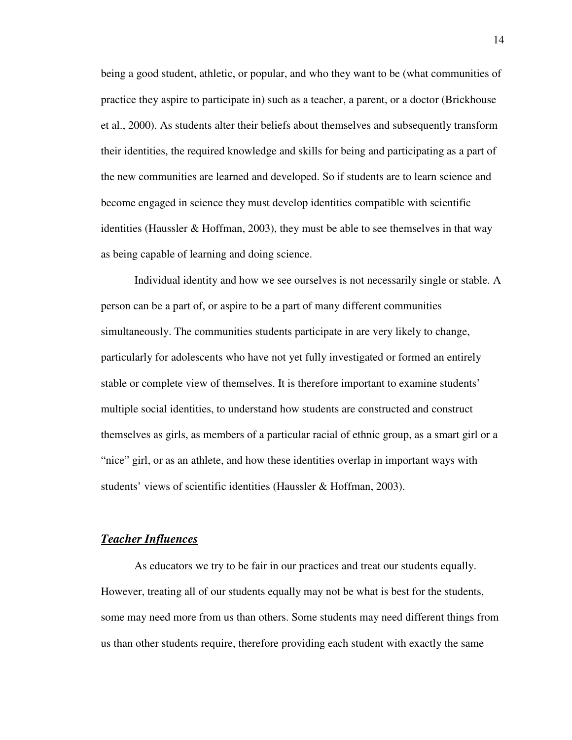being a good student, athletic, or popular, and who they want to be (what communities of practice they aspire to participate in) such as a teacher, a parent, or a doctor (Brickhouse et al., 2000). As students alter their beliefs about themselves and subsequently transform their identities, the required knowledge and skills for being and participating as a part of the new communities are learned and developed. So if students are to learn science and become engaged in science they must develop identities compatible with scientific identities (Haussler  $\&$  Hoffman, 2003), they must be able to see themselves in that way as being capable of learning and doing science.

Individual identity and how we see ourselves is not necessarily single or stable. A person can be a part of, or aspire to be a part of many different communities simultaneously. The communities students participate in are very likely to change, particularly for adolescents who have not yet fully investigated or formed an entirely stable or complete view of themselves. It is therefore important to examine students' multiple social identities, to understand how students are constructed and construct themselves as girls, as members of a particular racial of ethnic group, as a smart girl or a "nice" girl, or as an athlete, and how these identities overlap in important ways with students' views of scientific identities (Haussler & Hoffman, 2003).

### *Teacher Influences*

 As educators we try to be fair in our practices and treat our students equally. However, treating all of our students equally may not be what is best for the students, some may need more from us than others. Some students may need different things from us than other students require, therefore providing each student with exactly the same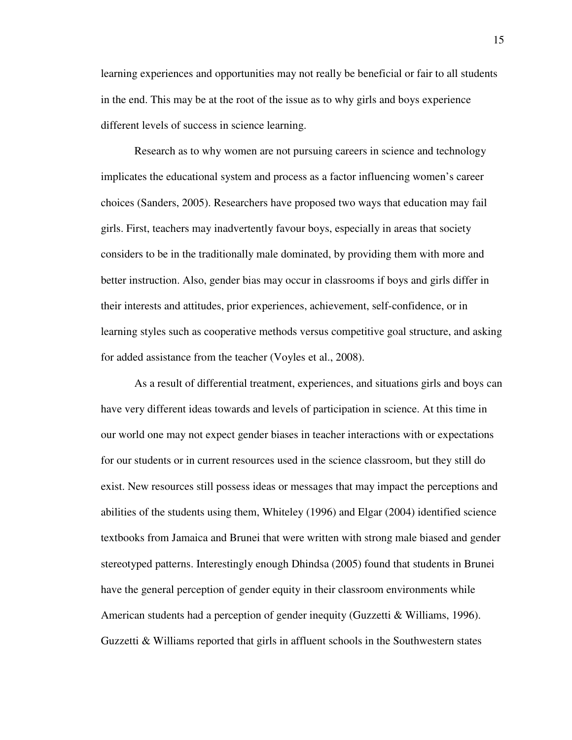learning experiences and opportunities may not really be beneficial or fair to all students in the end. This may be at the root of the issue as to why girls and boys experience different levels of success in science learning.

 Research as to why women are not pursuing careers in science and technology implicates the educational system and process as a factor influencing women's career choices (Sanders, 2005). Researchers have proposed two ways that education may fail girls. First, teachers may inadvertently favour boys, especially in areas that society considers to be in the traditionally male dominated, by providing them with more and better instruction. Also, gender bias may occur in classrooms if boys and girls differ in their interests and attitudes, prior experiences, achievement, self-confidence, or in learning styles such as cooperative methods versus competitive goal structure, and asking for added assistance from the teacher (Voyles et al., 2008).

As a result of differential treatment, experiences, and situations girls and boys can have very different ideas towards and levels of participation in science. At this time in our world one may not expect gender biases in teacher interactions with or expectations for our students or in current resources used in the science classroom, but they still do exist. New resources still possess ideas or messages that may impact the perceptions and abilities of the students using them, Whiteley (1996) and Elgar (2004) identified science textbooks from Jamaica and Brunei that were written with strong male biased and gender stereotyped patterns. Interestingly enough Dhindsa (2005) found that students in Brunei have the general perception of gender equity in their classroom environments while American students had a perception of gender inequity (Guzzetti & Williams, 1996). Guzzetti  $\&$  Williams reported that girls in affluent schools in the Southwestern states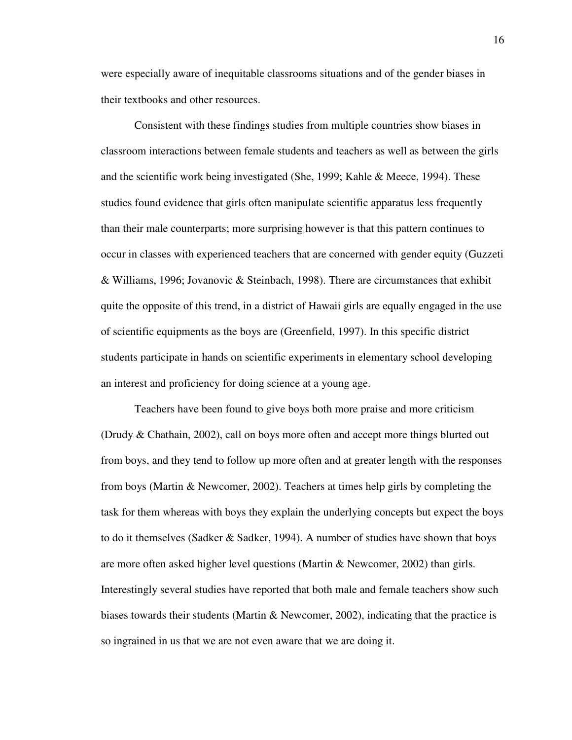were especially aware of inequitable classrooms situations and of the gender biases in their textbooks and other resources.

 Consistent with these findings studies from multiple countries show biases in classroom interactions between female students and teachers as well as between the girls and the scientific work being investigated (She, 1999; Kahle & Meece, 1994). These studies found evidence that girls often manipulate scientific apparatus less frequently than their male counterparts; more surprising however is that this pattern continues to occur in classes with experienced teachers that are concerned with gender equity (Guzzeti & Williams, 1996; Jovanovic & Steinbach, 1998). There are circumstances that exhibit quite the opposite of this trend, in a district of Hawaii girls are equally engaged in the use of scientific equipments as the boys are (Greenfield, 1997). In this specific district students participate in hands on scientific experiments in elementary school developing an interest and proficiency for doing science at a young age.

 Teachers have been found to give boys both more praise and more criticism (Drudy & Chathain, 2002), call on boys more often and accept more things blurted out from boys, and they tend to follow up more often and at greater length with the responses from boys (Martin & Newcomer, 2002). Teachers at times help girls by completing the task for them whereas with boys they explain the underlying concepts but expect the boys to do it themselves (Sadker & Sadker, 1994). A number of studies have shown that boys are more often asked higher level questions (Martin  $\&$  Newcomer, 2002) than girls. Interestingly several studies have reported that both male and female teachers show such biases towards their students (Martin & Newcomer, 2002), indicating that the practice is so ingrained in us that we are not even aware that we are doing it.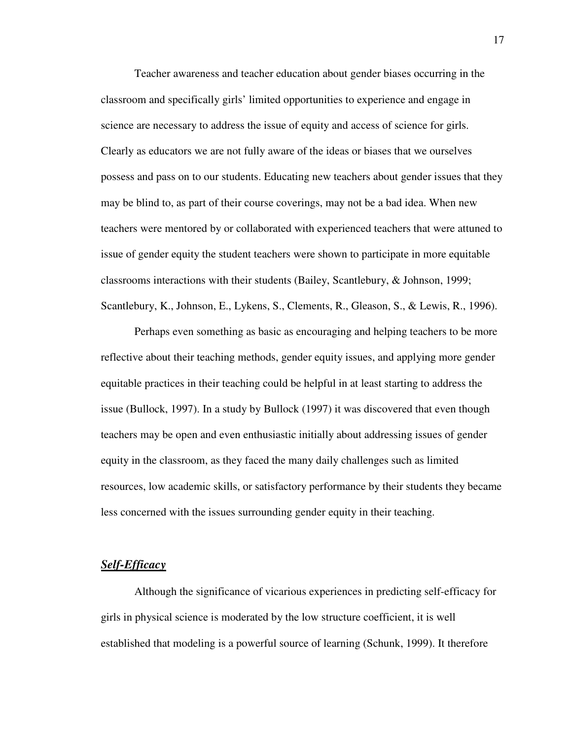Teacher awareness and teacher education about gender biases occurring in the classroom and specifically girls' limited opportunities to experience and engage in science are necessary to address the issue of equity and access of science for girls. Clearly as educators we are not fully aware of the ideas or biases that we ourselves possess and pass on to our students. Educating new teachers about gender issues that they may be blind to, as part of their course coverings, may not be a bad idea. When new teachers were mentored by or collaborated with experienced teachers that were attuned to issue of gender equity the student teachers were shown to participate in more equitable classrooms interactions with their students (Bailey, Scantlebury, & Johnson, 1999; Scantlebury, K., Johnson, E., Lykens, S., Clements, R., Gleason, S., & Lewis, R., 1996).

 Perhaps even something as basic as encouraging and helping teachers to be more reflective about their teaching methods, gender equity issues, and applying more gender equitable practices in their teaching could be helpful in at least starting to address the issue (Bullock, 1997). In a study by Bullock (1997) it was discovered that even though teachers may be open and even enthusiastic initially about addressing issues of gender equity in the classroom, as they faced the many daily challenges such as limited resources, low academic skills, or satisfactory performance by their students they became less concerned with the issues surrounding gender equity in their teaching.

### *Self-Efficacy*

 Although the significance of vicarious experiences in predicting self-efficacy for girls in physical science is moderated by the low structure coefficient, it is well established that modeling is a powerful source of learning (Schunk, 1999). It therefore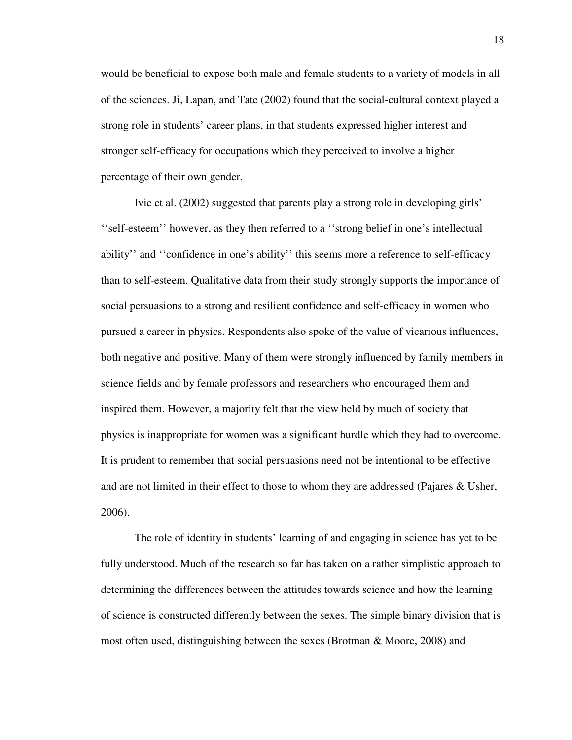would be beneficial to expose both male and female students to a variety of models in all of the sciences. Ji, Lapan, and Tate (2002) found that the social-cultural context played a strong role in students' career plans, in that students expressed higher interest and stronger self-efficacy for occupations which they perceived to involve a higher percentage of their own gender.

Ivie et al. (2002) suggested that parents play a strong role in developing girls' ''self-esteem'' however, as they then referred to a ''strong belief in one's intellectual ability'' and ''confidence in one's ability'' this seems more a reference to self-efficacy than to self-esteem. Qualitative data from their study strongly supports the importance of social persuasions to a strong and resilient confidence and self-efficacy in women who pursued a career in physics. Respondents also spoke of the value of vicarious influences, both negative and positive. Many of them were strongly influenced by family members in science fields and by female professors and researchers who encouraged them and inspired them. However, a majority felt that the view held by much of society that physics is inappropriate for women was a significant hurdle which they had to overcome. It is prudent to remember that social persuasions need not be intentional to be effective and are not limited in their effect to those to whom they are addressed (Pajares & Usher, 2006).

The role of identity in students' learning of and engaging in science has yet to be fully understood. Much of the research so far has taken on a rather simplistic approach to determining the differences between the attitudes towards science and how the learning of science is constructed differently between the sexes. The simple binary division that is most often used, distinguishing between the sexes (Brotman & Moore, 2008) and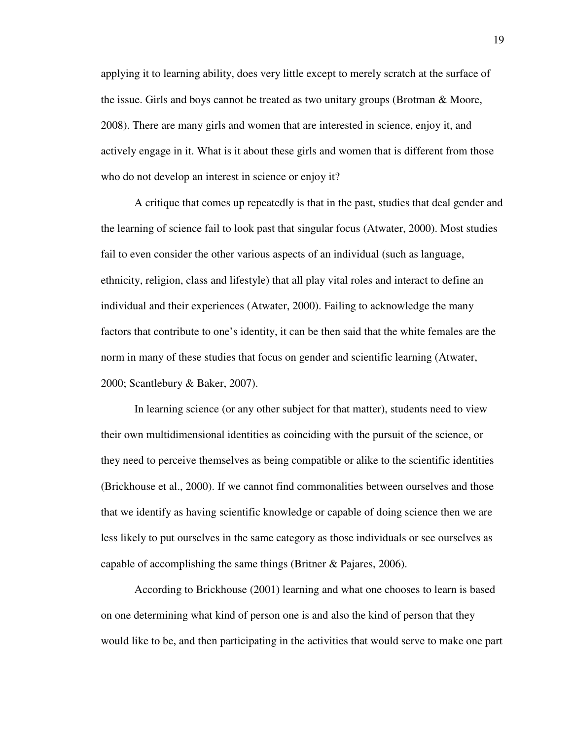applying it to learning ability, does very little except to merely scratch at the surface of the issue. Girls and boys cannot be treated as two unitary groups (Brotman & Moore, 2008). There are many girls and women that are interested in science, enjoy it, and actively engage in it. What is it about these girls and women that is different from those who do not develop an interest in science or enjoy it?

A critique that comes up repeatedly is that in the past, studies that deal gender and the learning of science fail to look past that singular focus (Atwater, 2000). Most studies fail to even consider the other various aspects of an individual (such as language, ethnicity, religion, class and lifestyle) that all play vital roles and interact to define an individual and their experiences (Atwater, 2000). Failing to acknowledge the many factors that contribute to one's identity, it can be then said that the white females are the norm in many of these studies that focus on gender and scientific learning (Atwater, 2000; Scantlebury & Baker, 2007).

In learning science (or any other subject for that matter), students need to view their own multidimensional identities as coinciding with the pursuit of the science, or they need to perceive themselves as being compatible or alike to the scientific identities (Brickhouse et al., 2000). If we cannot find commonalities between ourselves and those that we identify as having scientific knowledge or capable of doing science then we are less likely to put ourselves in the same category as those individuals or see ourselves as capable of accomplishing the same things (Britner & Pajares, 2006).

According to Brickhouse (2001) learning and what one chooses to learn is based on one determining what kind of person one is and also the kind of person that they would like to be, and then participating in the activities that would serve to make one part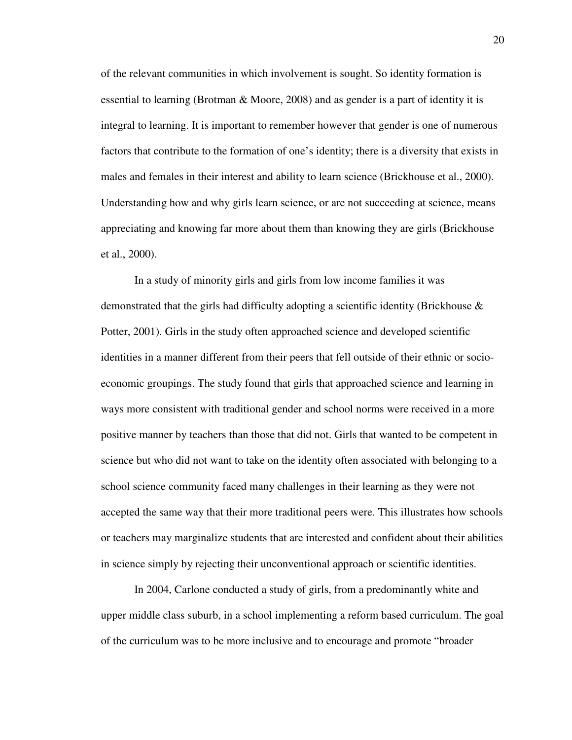of the relevant communities in which involvement is sought. So identity formation is essential to learning (Brotman & Moore, 2008) and as gender is a part of identity it is integral to learning. It is important to remember however that gender is one of numerous factors that contribute to the formation of one's identity; there is a diversity that exists in males and females in their interest and ability to learn science (Brickhouse et al., 2000). Understanding how and why girls learn science, or are not succeeding at science, means appreciating and knowing far more about them than knowing they are girls (Brickhouse et al., 2000).

In a study of minority girls and girls from low income families it was demonstrated that the girls had difficulty adopting a scientific identity (Brickhouse  $\&$ Potter, 2001). Girls in the study often approached science and developed scientific identities in a manner different from their peers that fell outside of their ethnic or socioeconomic groupings. The study found that girls that approached science and learning in ways more consistent with traditional gender and school norms were received in a more positive manner by teachers than those that did not. Girls that wanted to be competent in science but who did not want to take on the identity often associated with belonging to a school science community faced many challenges in their learning as they were not accepted the same way that their more traditional peers were. This illustrates how schools or teachers may marginalize students that are interested and confident about their abilities in science simply by rejecting their unconventional approach or scientific identities.

In 2004, Carlone conducted a study of girls, from a predominantly white and upper middle class suburb, in a school implementing a reform based curriculum. The goal of the curriculum was to be more inclusive and to encourage and promote "broader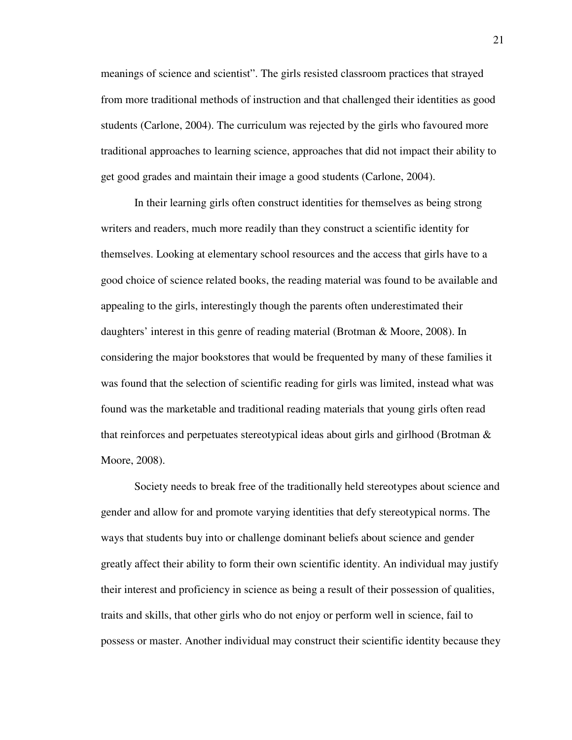meanings of science and scientist". The girls resisted classroom practices that strayed from more traditional methods of instruction and that challenged their identities as good students (Carlone, 2004). The curriculum was rejected by the girls who favoured more traditional approaches to learning science, approaches that did not impact their ability to get good grades and maintain their image a good students (Carlone, 2004).

In their learning girls often construct identities for themselves as being strong writers and readers, much more readily than they construct a scientific identity for themselves. Looking at elementary school resources and the access that girls have to a good choice of science related books, the reading material was found to be available and appealing to the girls, interestingly though the parents often underestimated their daughters' interest in this genre of reading material (Brotman & Moore, 2008). In considering the major bookstores that would be frequented by many of these families it was found that the selection of scientific reading for girls was limited, instead what was found was the marketable and traditional reading materials that young girls often read that reinforces and perpetuates stereotypical ideas about girls and girlhood (Brotman & Moore, 2008).

Society needs to break free of the traditionally held stereotypes about science and gender and allow for and promote varying identities that defy stereotypical norms. The ways that students buy into or challenge dominant beliefs about science and gender greatly affect their ability to form their own scientific identity. An individual may justify their interest and proficiency in science as being a result of their possession of qualities, traits and skills, that other girls who do not enjoy or perform well in science, fail to possess or master. Another individual may construct their scientific identity because they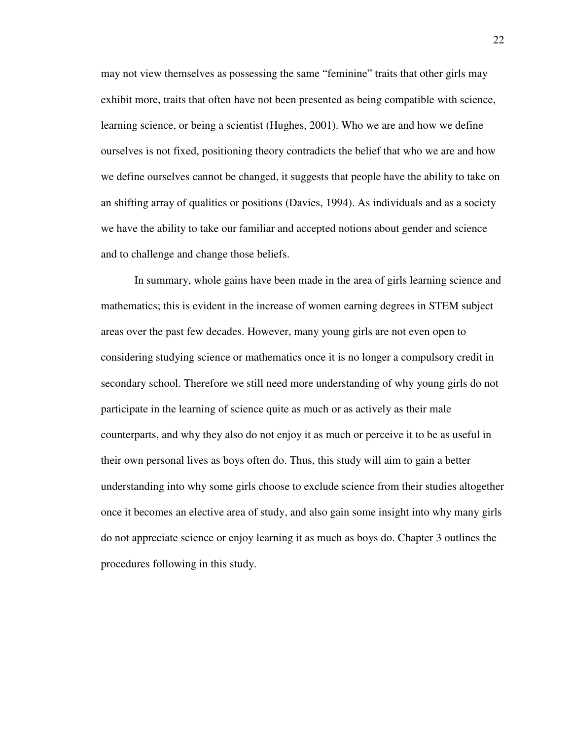may not view themselves as possessing the same "feminine" traits that other girls may exhibit more, traits that often have not been presented as being compatible with science, learning science, or being a scientist (Hughes, 2001). Who we are and how we define ourselves is not fixed, positioning theory contradicts the belief that who we are and how we define ourselves cannot be changed, it suggests that people have the ability to take on an shifting array of qualities or positions (Davies, 1994). As individuals and as a society we have the ability to take our familiar and accepted notions about gender and science and to challenge and change those beliefs.

In summary, whole gains have been made in the area of girls learning science and mathematics; this is evident in the increase of women earning degrees in STEM subject areas over the past few decades. However, many young girls are not even open to considering studying science or mathematics once it is no longer a compulsory credit in secondary school. Therefore we still need more understanding of why young girls do not participate in the learning of science quite as much or as actively as their male counterparts, and why they also do not enjoy it as much or perceive it to be as useful in their own personal lives as boys often do. Thus, this study will aim to gain a better understanding into why some girls choose to exclude science from their studies altogether once it becomes an elective area of study, and also gain some insight into why many girls do not appreciate science or enjoy learning it as much as boys do. Chapter 3 outlines the procedures following in this study.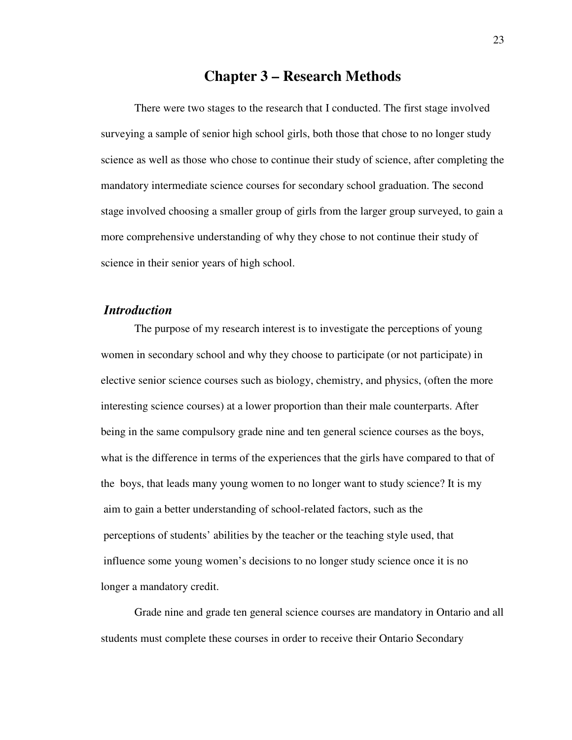## **Chapter 3 – Research Methods**

There were two stages to the research that I conducted. The first stage involved surveying a sample of senior high school girls, both those that chose to no longer study science as well as those who chose to continue their study of science, after completing the mandatory intermediate science courses for secondary school graduation. The second stage involved choosing a smaller group of girls from the larger group surveyed, to gain a more comprehensive understanding of why they chose to not continue their study of science in their senior years of high school.

## *Introduction*

The purpose of my research interest is to investigate the perceptions of young women in secondary school and why they choose to participate (or not participate) in elective senior science courses such as biology, chemistry, and physics, (often the more interesting science courses) at a lower proportion than their male counterparts. After being in the same compulsory grade nine and ten general science courses as the boys, what is the difference in terms of the experiences that the girls have compared to that of the boys, that leads many young women to no longer want to study science? It is my aim to gain a better understanding of school-related factors, such as the perceptions of students' abilities by the teacher or the teaching style used, that influence some young women's decisions to no longer study science once it is no longer a mandatory credit.

 Grade nine and grade ten general science courses are mandatory in Ontario and all students must complete these courses in order to receive their Ontario Secondary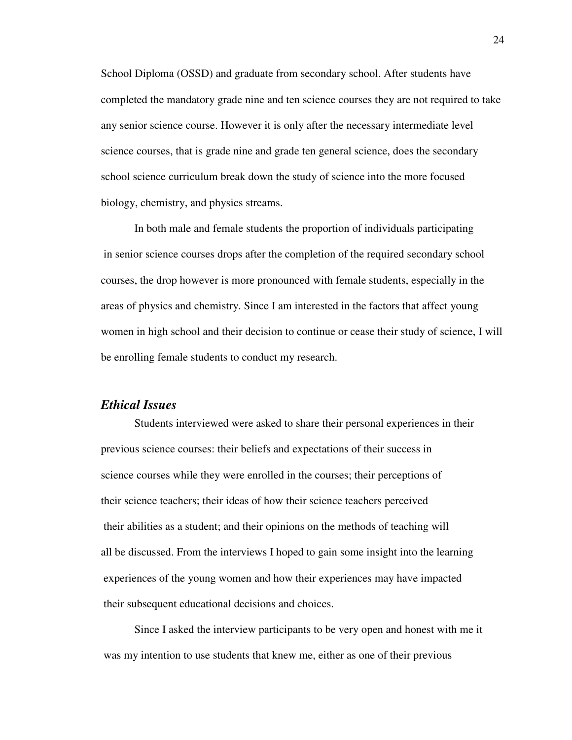School Diploma (OSSD) and graduate from secondary school. After students have completed the mandatory grade nine and ten science courses they are not required to take any senior science course. However it is only after the necessary intermediate level science courses, that is grade nine and grade ten general science, does the secondary school science curriculum break down the study of science into the more focused biology, chemistry, and physics streams.

 In both male and female students the proportion of individuals participating in senior science courses drops after the completion of the required secondary school courses, the drop however is more pronounced with female students, especially in the areas of physics and chemistry. Since I am interested in the factors that affect young women in high school and their decision to continue or cease their study of science, I will be enrolling female students to conduct my research.

## *Ethical Issues*

Students interviewed were asked to share their personal experiences in their previous science courses: their beliefs and expectations of their success in science courses while they were enrolled in the courses; their perceptions of their science teachers; their ideas of how their science teachers perceived their abilities as a student; and their opinions on the methods of teaching will all be discussed. From the interviews I hoped to gain some insight into the learning experiences of the young women and how their experiences may have impacted their subsequent educational decisions and choices.

Since I asked the interview participants to be very open and honest with me it was my intention to use students that knew me, either as one of their previous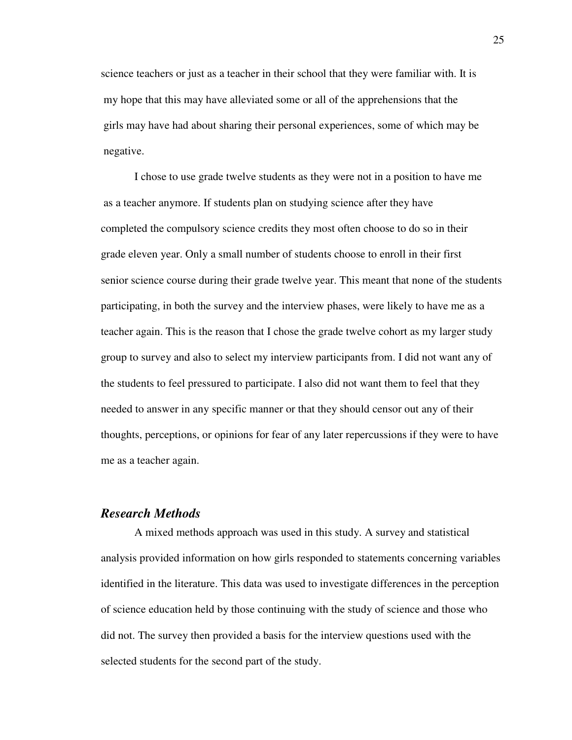science teachers or just as a teacher in their school that they were familiar with. It is my hope that this may have alleviated some or all of the apprehensions that the girls may have had about sharing their personal experiences, some of which may be negative.

 I chose to use grade twelve students as they were not in a position to have me as a teacher anymore. If students plan on studying science after they have completed the compulsory science credits they most often choose to do so in their grade eleven year. Only a small number of students choose to enroll in their first senior science course during their grade twelve year. This meant that none of the students participating, in both the survey and the interview phases, were likely to have me as a teacher again. This is the reason that I chose the grade twelve cohort as my larger study group to survey and also to select my interview participants from. I did not want any of the students to feel pressured to participate. I also did not want them to feel that they needed to answer in any specific manner or that they should censor out any of their thoughts, perceptions, or opinions for fear of any later repercussions if they were to have me as a teacher again.

## *Research Methods*

A mixed methods approach was used in this study. A survey and statistical analysis provided information on how girls responded to statements concerning variables identified in the literature. This data was used to investigate differences in the perception of science education held by those continuing with the study of science and those who did not. The survey then provided a basis for the interview questions used with the selected students for the second part of the study.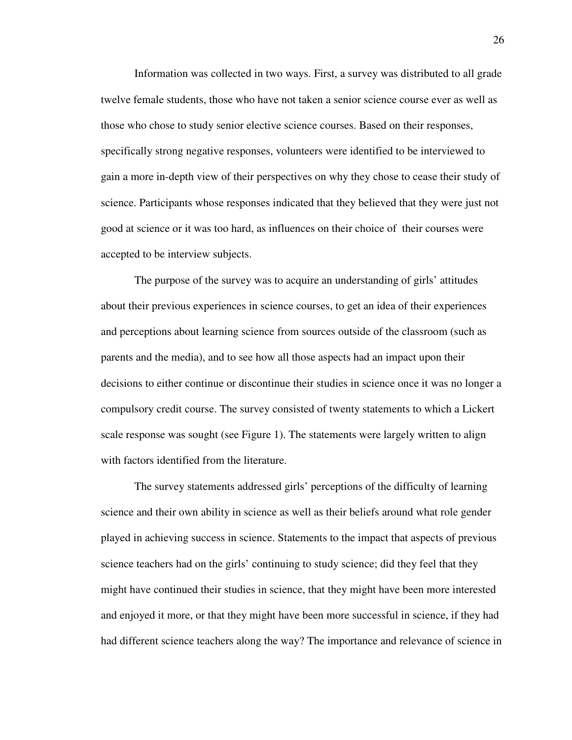Information was collected in two ways. First, a survey was distributed to all grade twelve female students, those who have not taken a senior science course ever as well as those who chose to study senior elective science courses. Based on their responses, specifically strong negative responses, volunteers were identified to be interviewed to gain a more in-depth view of their perspectives on why they chose to cease their study of science. Participants whose responses indicated that they believed that they were just not good at science or it was too hard, as influences on their choice of their courses were accepted to be interview subjects.

The purpose of the survey was to acquire an understanding of girls' attitudes about their previous experiences in science courses, to get an idea of their experiences and perceptions about learning science from sources outside of the classroom (such as parents and the media), and to see how all those aspects had an impact upon their decisions to either continue or discontinue their studies in science once it was no longer a compulsory credit course. The survey consisted of twenty statements to which a Lickert scale response was sought (see Figure 1). The statements were largely written to align with factors identified from the literature.

 The survey statements addressed girls' perceptions of the difficulty of learning science and their own ability in science as well as their beliefs around what role gender played in achieving success in science. Statements to the impact that aspects of previous science teachers had on the girls' continuing to study science; did they feel that they might have continued their studies in science, that they might have been more interested and enjoyed it more, or that they might have been more successful in science, if they had had different science teachers along the way? The importance and relevance of science in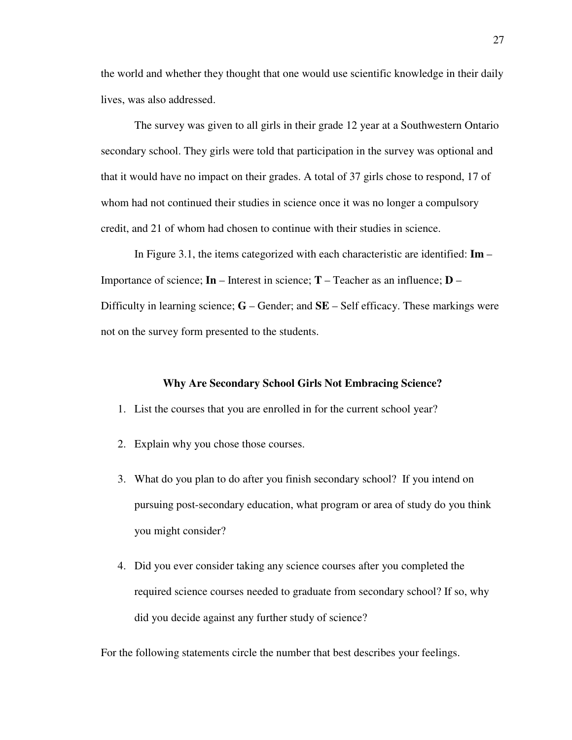the world and whether they thought that one would use scientific knowledge in their daily lives, was also addressed.

 The survey was given to all girls in their grade 12 year at a Southwestern Ontario secondary school. They girls were told that participation in the survey was optional and that it would have no impact on their grades. A total of 37 girls chose to respond, 17 of whom had not continued their studies in science once it was no longer a compulsory credit, and 21 of whom had chosen to continue with their studies in science.

In Figure 3.1, the items categorized with each characteristic are identified: **Im** – Importance of science; **In** – Interest in science; **T** – Teacher as an influence; **D** – Difficulty in learning science; **G** – Gender; and **SE** – Self efficacy. These markings were not on the survey form presented to the students.

#### **Why Are Secondary School Girls Not Embracing Science?**

- 1. List the courses that you are enrolled in for the current school year?
- 2. Explain why you chose those courses.
- 3. What do you plan to do after you finish secondary school? If you intend on pursuing post-secondary education, what program or area of study do you think you might consider?
- 4. Did you ever consider taking any science courses after you completed the required science courses needed to graduate from secondary school? If so, why did you decide against any further study of science?

For the following statements circle the number that best describes your feelings.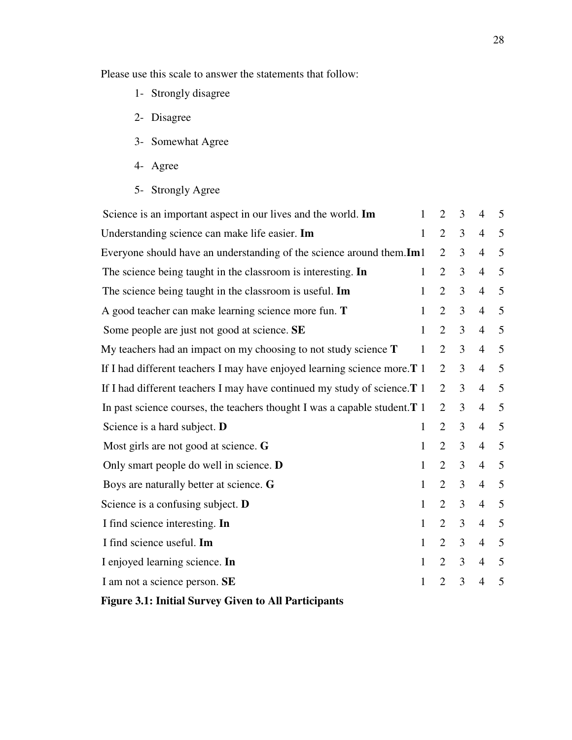Please use this scale to answer the statements that follow:

- 1- Strongly disagree
- 2- Disagree
- 3- Somewhat Agree
- 4- Agree
- 5- Strongly Agree

| Science is an important aspect in our lives and the world. Im                    | 1            | $\overline{2}$ | 3              | $\overline{4}$ | 5 |
|----------------------------------------------------------------------------------|--------------|----------------|----------------|----------------|---|
| Understanding science can make life easier. Im                                   | 1            | $\overline{2}$ | 3              | $\overline{4}$ | 5 |
| Everyone should have an understanding of the science around them.Im1             |              | $\overline{2}$ | 3              | $\overline{4}$ | 5 |
| The science being taught in the classroom is interesting. In                     | 1            | $\overline{2}$ | 3              | $\overline{4}$ | 5 |
| The science being taught in the classroom is useful. Im                          | $\mathbf{1}$ | $\overline{2}$ | 3              | $\overline{4}$ | 5 |
| A good teacher can make learning science more fun. T                             | $\mathbf{1}$ | $\overline{2}$ | 3              | $\overline{4}$ | 5 |
| Some people are just not good at science. SE                                     | 1            | $\overline{2}$ | 3              | $\overline{4}$ | 5 |
| My teachers had an impact on my choosing to not study science $T$                | $\mathbf{1}$ | $\overline{2}$ | 3              | $\overline{4}$ | 5 |
| If I had different teachers I may have enjoyed learning science more. <b>T</b> 1 |              | $\overline{2}$ | 3              | $\overline{4}$ | 5 |
| If I had different teachers I may have continued my study of science. $T$ 1      |              | $\overline{2}$ | 3              | $\overline{4}$ | 5 |
| In past science courses, the teachers thought I was a capable student. $T_1$     |              | $\overline{2}$ | $\overline{3}$ | $\overline{4}$ | 5 |
| Science is a hard subject. D                                                     | 1            | $\overline{2}$ | 3              | $\overline{4}$ | 5 |
| Most girls are not good at science. G                                            | $\mathbf{1}$ | $\overline{2}$ | $\overline{3}$ | $\overline{4}$ | 5 |
| Only smart people do well in science. D                                          | $\mathbf{1}$ | $\overline{2}$ | 3              | $\overline{4}$ | 5 |
| Boys are naturally better at science. G                                          | $\mathbf{1}$ | $\overline{2}$ | $\overline{3}$ | $\overline{4}$ | 5 |
| Science is a confusing subject. D                                                | $\mathbf{1}$ | $\overline{2}$ | $\overline{3}$ | $\overline{4}$ | 5 |
| I find science interesting. In                                                   | $\mathbf{1}$ | $\overline{2}$ | 3              | $\overline{4}$ | 5 |
| I find science useful. Im                                                        | 1            | $\overline{2}$ | $\overline{3}$ | $\overline{4}$ | 5 |
| I enjoyed learning science. In                                                   | $\mathbf{1}$ | $\overline{2}$ | 3              | $\overline{4}$ | 5 |
| I am not a science person. SE                                                    | $\mathbf{1}$ | $\overline{2}$ | 3              | $\overline{4}$ | 5 |
| <b>Figure 3.1: Initial Survey Given to All Participants</b>                      |              |                |                |                |   |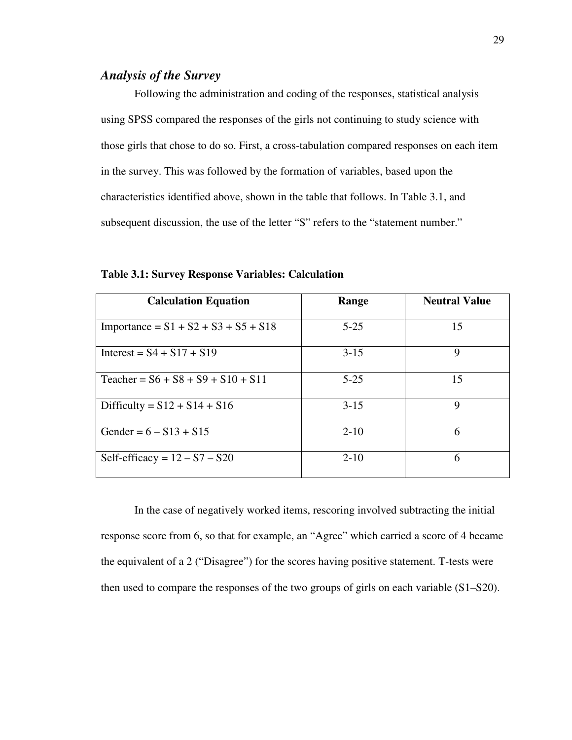## *Analysis of the Survey*

Following the administration and coding of the responses, statistical analysis using SPSS compared the responses of the girls not continuing to study science with those girls that chose to do so. First, a cross-tabulation compared responses on each item in the survey. This was followed by the formation of variables, based upon the characteristics identified above, shown in the table that follows. In Table 3.1, and subsequent discussion, the use of the letter "S" refers to the "statement number."

| <b>Calculation Equation</b>            | Range    | <b>Neutral Value</b> |
|----------------------------------------|----------|----------------------|
| Importance = $S1 + S2 + S3 + S5 + S18$ | $5 - 25$ | 15                   |
| $Interest = S4 + S17 + S19$            | $3 - 15$ | 9                    |
| Teacher = $S6 + S8 + S9 + S10 + S11$   | $5 - 25$ | 15                   |
| Difficulty = $S12 + S14 + S16$         | $3 - 15$ | 9                    |
| Gender = $6 - S13 + S15$               | $2 - 10$ | 6                    |
| Self-efficacy = $12 - S7 - S20$        | $2 - 10$ | 6                    |

**Table 3.1: Survey Response Variables: Calculation** 

 In the case of negatively worked items, rescoring involved subtracting the initial response score from 6, so that for example, an "Agree" which carried a score of 4 became the equivalent of a 2 ("Disagree") for the scores having positive statement. T-tests were then used to compare the responses of the two groups of girls on each variable (S1–S20).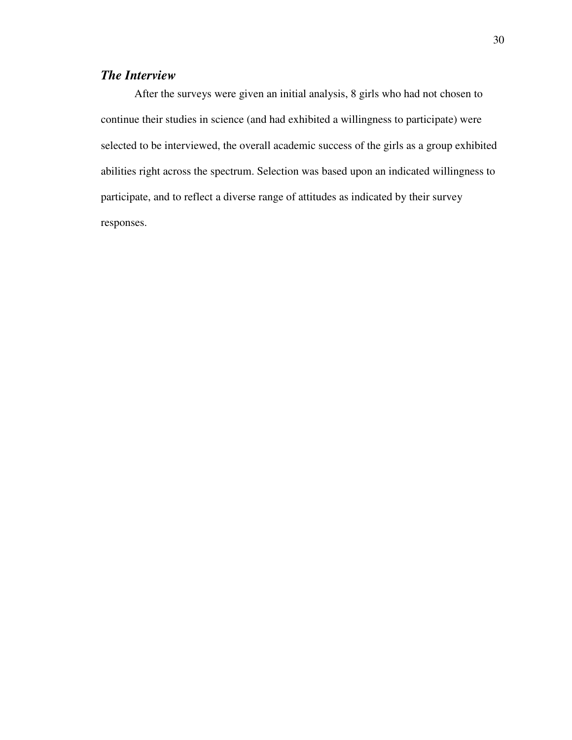# *The Interview*

After the surveys were given an initial analysis, 8 girls who had not chosen to continue their studies in science (and had exhibited a willingness to participate) were selected to be interviewed, the overall academic success of the girls as a group exhibited abilities right across the spectrum. Selection was based upon an indicated willingness to participate, and to reflect a diverse range of attitudes as indicated by their survey responses.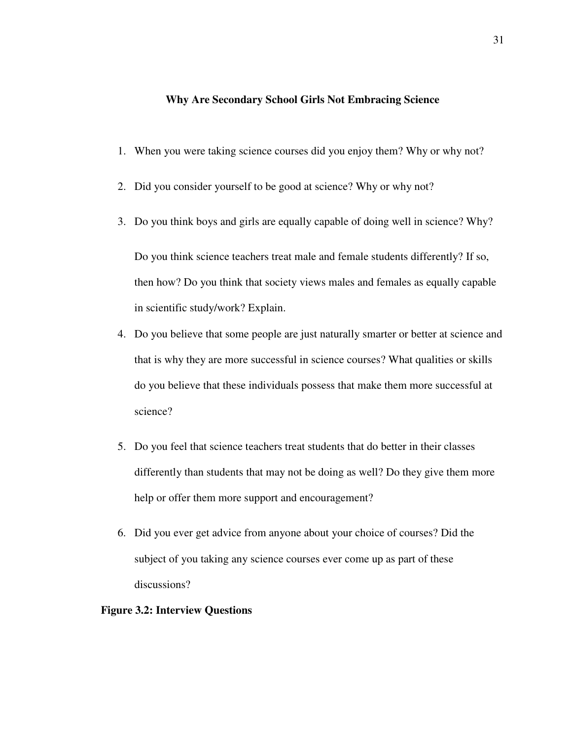### **Why Are Secondary School Girls Not Embracing Science**

- 1. When you were taking science courses did you enjoy them? Why or why not?
- 2. Did you consider yourself to be good at science? Why or why not?
- 3. Do you think boys and girls are equally capable of doing well in science? Why? Do you think science teachers treat male and female students differently? If so, then how? Do you think that society views males and females as equally capable in scientific study/work? Explain.
- 4. Do you believe that some people are just naturally smarter or better at science and that is why they are more successful in science courses? What qualities or skills do you believe that these individuals possess that make them more successful at science?
- 5. Do you feel that science teachers treat students that do better in their classes differently than students that may not be doing as well? Do they give them more help or offer them more support and encouragement?
- 6. Did you ever get advice from anyone about your choice of courses? Did the subject of you taking any science courses ever come up as part of these discussions?

### **Figure 3.2: Interview Questions**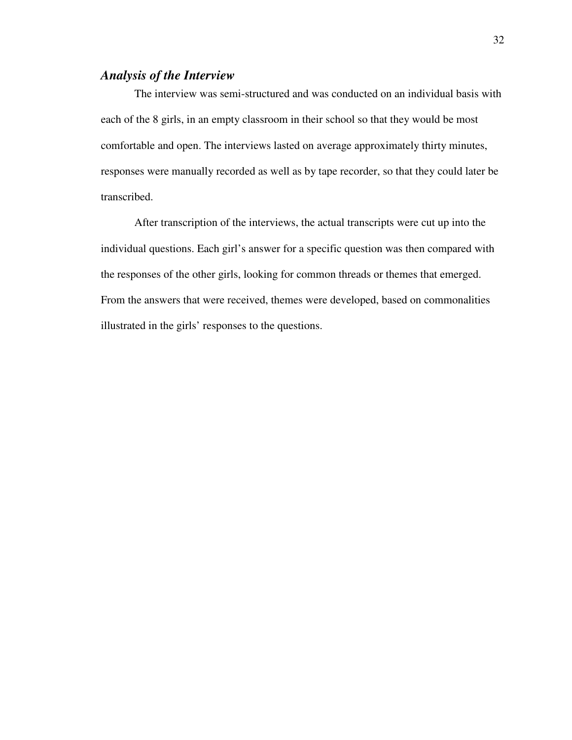## *Analysis of the Interview*

 The interview was semi-structured and was conducted on an individual basis with each of the 8 girls, in an empty classroom in their school so that they would be most comfortable and open. The interviews lasted on average approximately thirty minutes, responses were manually recorded as well as by tape recorder, so that they could later be transcribed.

After transcription of the interviews, the actual transcripts were cut up into the individual questions. Each girl's answer for a specific question was then compared with the responses of the other girls, looking for common threads or themes that emerged. From the answers that were received, themes were developed, based on commonalities illustrated in the girls' responses to the questions.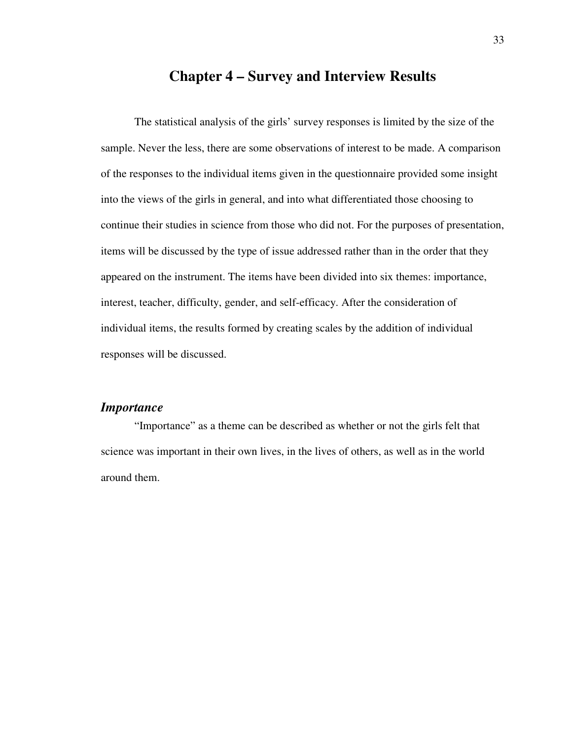# **Chapter 4 – Survey and Interview Results**

The statistical analysis of the girls' survey responses is limited by the size of the sample. Never the less, there are some observations of interest to be made. A comparison of the responses to the individual items given in the questionnaire provided some insight into the views of the girls in general, and into what differentiated those choosing to continue their studies in science from those who did not. For the purposes of presentation, items will be discussed by the type of issue addressed rather than in the order that they appeared on the instrument. The items have been divided into six themes: importance, interest, teacher, difficulty, gender, and self-efficacy. After the consideration of individual items, the results formed by creating scales by the addition of individual responses will be discussed.

### *Importance*

"Importance" as a theme can be described as whether or not the girls felt that science was important in their own lives, in the lives of others, as well as in the world around them.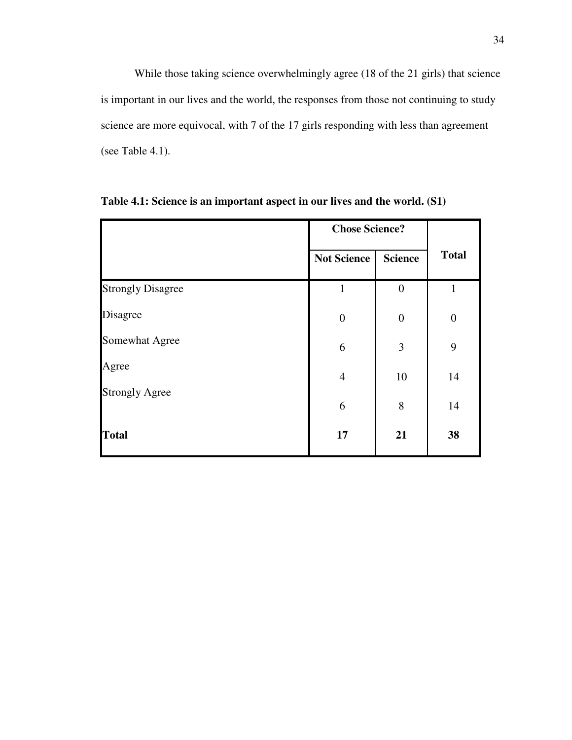While those taking science overwhelmingly agree (18 of the 21 girls) that science is important in our lives and the world, the responses from those not continuing to study science are more equivocal, with 7 of the 17 girls responding with less than agreement (see Table 4.1).

|                          | <b>Chose Science?</b> |                |                |  |
|--------------------------|-----------------------|----------------|----------------|--|
|                          | <b>Not Science</b>    | <b>Science</b> | <b>Total</b>   |  |
| <b>Strongly Disagree</b> | 1                     | $\Omega$       |                |  |
| Disagree                 | $\overline{0}$        | $\overline{0}$ | $\overline{0}$ |  |
| Somewhat Agree           | 6                     | 3              | 9              |  |
| Agree                    | $\overline{4}$        | 10             | 14             |  |
| <b>Strongly Agree</b>    | 6                     | 8              | 14             |  |
| <b>Total</b>             | 17                    | 21             | 38             |  |

**Table 4.1: Science is an important aspect in our lives and the world. (S1)**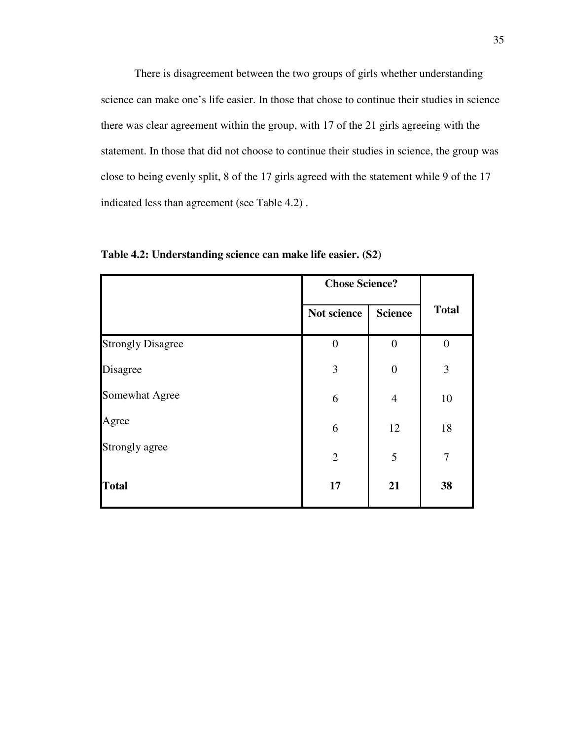There is disagreement between the two groups of girls whether understanding science can make one's life easier. In those that chose to continue their studies in science there was clear agreement within the group, with 17 of the 21 girls agreeing with the statement. In those that did not choose to continue their studies in science, the group was close to being evenly split, 8 of the 17 girls agreed with the statement while 9 of the 17 indicated less than agreement (see Table 4.2) .

|                          | <b>Chose Science?</b> |                |              |
|--------------------------|-----------------------|----------------|--------------|
|                          | Not science           | <b>Science</b> | <b>Total</b> |
| <b>Strongly Disagree</b> | 0                     | 0              | $\Omega$     |
| Disagree                 | 3                     | $\mathbf{0}$   | 3            |
| Somewhat Agree           | 6                     | $\overline{4}$ | 10           |
| Agree                    | 6                     | 12             | 18           |
| Strongly agree           | $\overline{2}$        | 5              | 7            |
| <b>Total</b>             | 17                    | 21             | 38           |

**Table 4.2: Understanding science can make life easier. (S2)**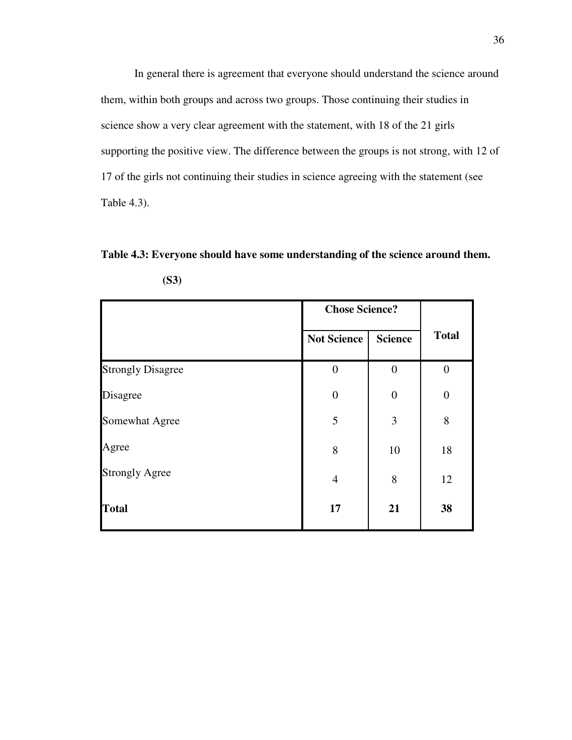In general there is agreement that everyone should understand the science around them, within both groups and across two groups. Those continuing their studies in science show a very clear agreement with the statement, with 18 of the 21 girls supporting the positive view. The difference between the groups is not strong, with 12 of 17 of the girls not continuing their studies in science agreeing with the statement (see Table 4.3).

**Table 4.3: Everyone should have some understanding of the science around them. (S3)**

|                          | <b>Chose Science?</b> |                  |                |
|--------------------------|-----------------------|------------------|----------------|
|                          | <b>Not Science</b>    | <b>Science</b>   | <b>Total</b>   |
| <b>Strongly Disagree</b> | $\theta$              | $\theta$         | $\Omega$       |
| Disagree                 | $\theta$              | $\boldsymbol{0}$ | $\overline{0}$ |
| Somewhat Agree           | 5                     | 3                | 8              |
| Agree                    | 8                     | 10               | 18             |
| <b>Strongly Agree</b>    | $\overline{4}$        | 8                | 12             |
| <b>Total</b>             | 17                    | 21               | 38             |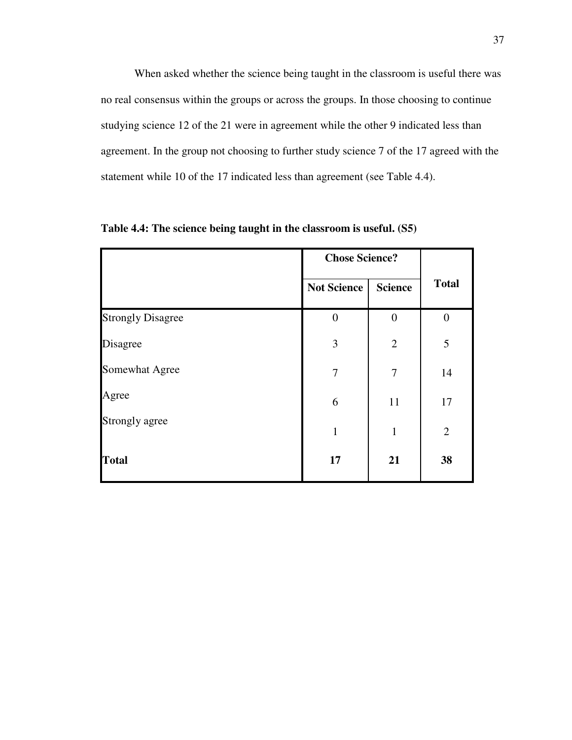When asked whether the science being taught in the classroom is useful there was no real consensus within the groups or across the groups. In those choosing to continue studying science 12 of the 21 were in agreement while the other 9 indicated less than agreement. In the group not choosing to further study science 7 of the 17 agreed with the statement while 10 of the 17 indicated less than agreement (see Table 4.4).

|                          | <b>Chose Science?</b> |                |                |
|--------------------------|-----------------------|----------------|----------------|
|                          | <b>Not Science</b>    | <b>Science</b> | <b>Total</b>   |
| <b>Strongly Disagree</b> | ∩                     | $\Omega$       | $\Omega$       |
| <b>Disagree</b>          | 3                     | $\overline{2}$ | 5              |
| Somewhat Agree           | 7                     | 7              | 14             |
| Agree                    | 6                     | 11             | 17             |
| Strongly agree           | $\mathbf{1}$          | $\mathbf{1}$   | $\overline{2}$ |
| <b>Total</b>             | 17                    | 21             | 38             |

**Table 4.4: The science being taught in the classroom is useful. (S5)**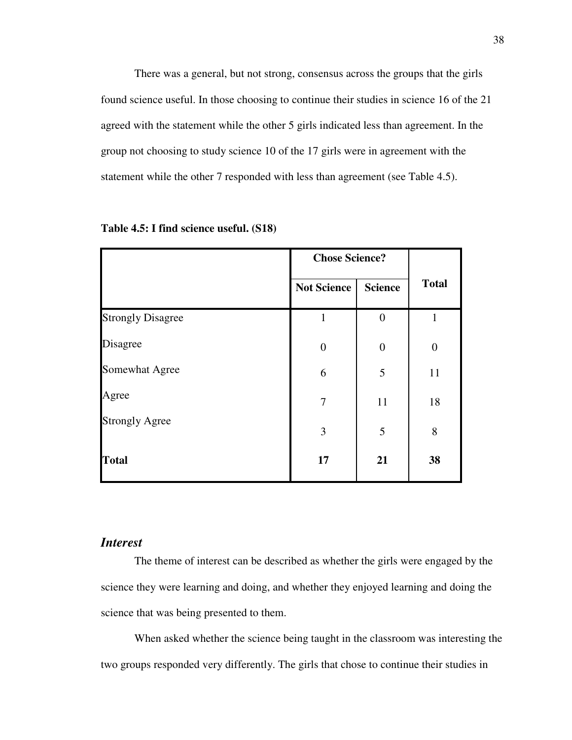There was a general, but not strong, consensus across the groups that the girls found science useful. In those choosing to continue their studies in science 16 of the 21 agreed with the statement while the other 5 girls indicated less than agreement. In the group not choosing to study science 10 of the 17 girls were in agreement with the statement while the other 7 responded with less than agreement (see Table 4.5).

|                          | <b>Chose Science?</b> |                  |                |
|--------------------------|-----------------------|------------------|----------------|
|                          | <b>Not Science</b>    | <b>Science</b>   | <b>Total</b>   |
| <b>Strongly Disagree</b> | $\mathbf{1}$          | $\overline{0}$   |                |
| Disagree                 | $\overline{0}$        | $\boldsymbol{0}$ | $\overline{0}$ |
| Somewhat Agree           | 6                     | 5                | 11             |
| Agree                    | 7                     | 11               | 18             |
| <b>Strongly Agree</b>    | 3                     | 5                | 8              |
| <b>Total</b>             | 17                    | 21               | 38             |

| Table 4.5: I find science useful. (S18) |  |  |  |  |  |
|-----------------------------------------|--|--|--|--|--|
|-----------------------------------------|--|--|--|--|--|

## *Interest*

 The theme of interest can be described as whether the girls were engaged by the science they were learning and doing, and whether they enjoyed learning and doing the science that was being presented to them.

 When asked whether the science being taught in the classroom was interesting the two groups responded very differently. The girls that chose to continue their studies in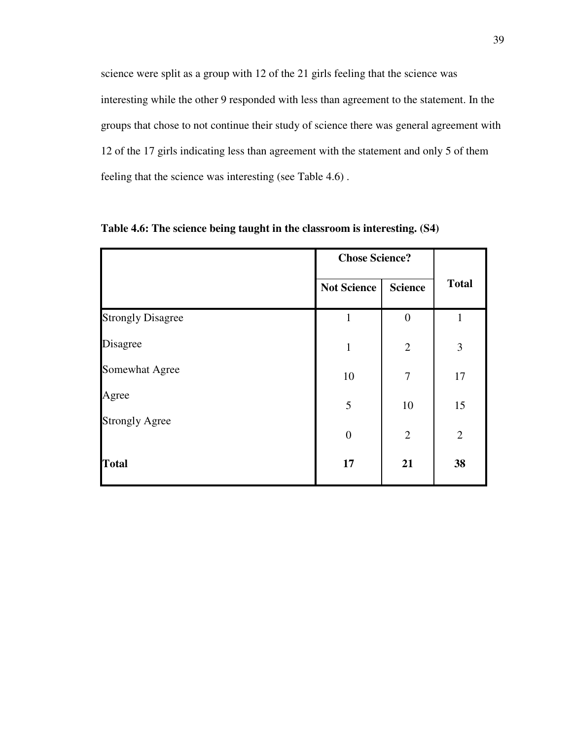science were split as a group with 12 of the 21 girls feeling that the science was interesting while the other 9 responded with less than agreement to the statement. In the groups that chose to not continue their study of science there was general agreement with 12 of the 17 girls indicating less than agreement with the statement and only 5 of them feeling that the science was interesting (see Table 4.6) .

|                          | <b>Chose Science?</b> |                |                |
|--------------------------|-----------------------|----------------|----------------|
|                          | <b>Not Science</b>    | <b>Science</b> | <b>Total</b>   |
| <b>Strongly Disagree</b> | $\mathbf{1}$          | $\theta$       | $\mathbf{1}$   |
| Disagree                 | 1                     | $\overline{2}$ | 3              |
| Somewhat Agree           | 10                    | $\overline{7}$ | 17             |
| Agree                    | 5                     | 10             | 15             |
| <b>Strongly Agree</b>    | $\overline{0}$        | $\overline{2}$ | $\overline{2}$ |
| <b>Total</b>             | 17                    | 21             | 38             |

**Table 4.6: The science being taught in the classroom is interesting. (S4)**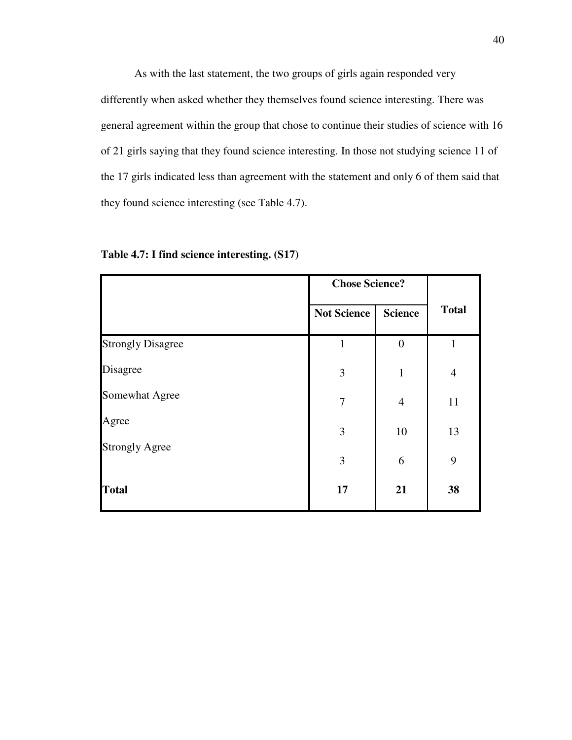As with the last statement, the two groups of girls again responded very differently when asked whether they themselves found science interesting. There was general agreement within the group that chose to continue their studies of science with 16 of 21 girls saying that they found science interesting. In those not studying science 11 of the 17 girls indicated less than agreement with the statement and only 6 of them said that they found science interesting (see Table 4.7).

|                          | <b>Chose Science?</b> |                |                |
|--------------------------|-----------------------|----------------|----------------|
|                          | <b>Not Science</b>    | <b>Science</b> | <b>Total</b>   |
| <b>Strongly Disagree</b> | $\mathbf{1}$          | 0              | 1              |
| Disagree                 | 3                     | $\mathbf{1}$   | $\overline{4}$ |
| Somewhat Agree           | 7                     | $\overline{4}$ | 11             |
| Agree                    | 3                     | 10             | 13             |
| <b>Strongly Agree</b>    | 3                     | 6              | 9              |
| Total                    | 17                    | 21             | 38             |

**Table 4.7: I find science interesting. (S17)**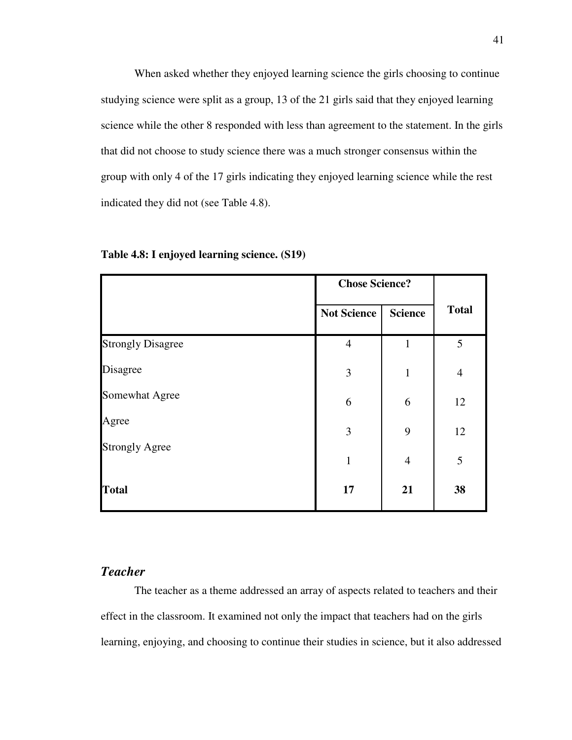When asked whether they enjoyed learning science the girls choosing to continue studying science were split as a group, 13 of the 21 girls said that they enjoyed learning science while the other 8 responded with less than agreement to the statement. In the girls that did not choose to study science there was a much stronger consensus within the group with only 4 of the 17 girls indicating they enjoyed learning science while the rest indicated they did not (see Table 4.8).

|                          | <b>Chose Science?</b> |                |                |
|--------------------------|-----------------------|----------------|----------------|
|                          | <b>Not Science</b>    | <b>Science</b> | <b>Total</b>   |
| <b>Strongly Disagree</b> | $\overline{4}$        | 1              | 5              |
| <b>Disagree</b>          | $\mathfrak{Z}$        | $\mathbf{1}$   | $\overline{4}$ |
| Somewhat Agree           | 6                     | 6              | 12             |
| Agree                    | 3                     | 9              | 12             |
| <b>Strongly Agree</b>    | $\mathbf{1}$          | $\overline{4}$ | 5              |
| <b>Total</b>             | 17                    | 21             | 38             |

**Table 4.8: I enjoyed learning science. (S19)**

# *Teacher*

 The teacher as a theme addressed an array of aspects related to teachers and their effect in the classroom. It examined not only the impact that teachers had on the girls learning, enjoying, and choosing to continue their studies in science, but it also addressed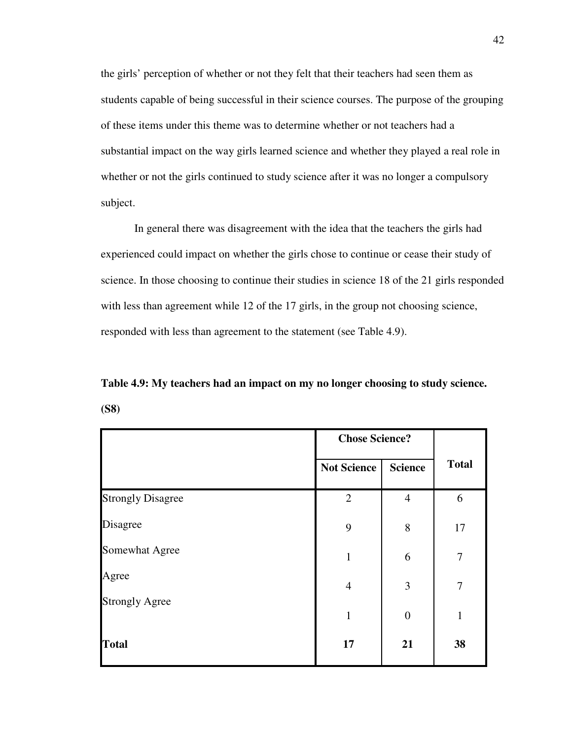the girls' perception of whether or not they felt that their teachers had seen them as students capable of being successful in their science courses. The purpose of the grouping of these items under this theme was to determine whether or not teachers had a substantial impact on the way girls learned science and whether they played a real role in whether or not the girls continued to study science after it was no longer a compulsory subject.

In general there was disagreement with the idea that the teachers the girls had experienced could impact on whether the girls chose to continue or cease their study of science. In those choosing to continue their studies in science 18 of the 21 girls responded with less than agreement while 12 of the 17 girls, in the group not choosing science, responded with less than agreement to the statement (see Table 4.9).

**Table 4.9: My teachers had an impact on my no longer choosing to study science. (S8)** 

|                          | <b>Chose Science?</b> |                |              |
|--------------------------|-----------------------|----------------|--------------|
|                          | <b>Not Science</b>    | <b>Science</b> | <b>Total</b> |
| <b>Strongly Disagree</b> | $\overline{2}$        | $\overline{4}$ | 6            |
| <b>Disagree</b>          | 9                     | $8\,$          | 17           |
| Somewhat Agree           | $\mathbf{1}$          | 6              | 7            |
| Agree                    | $\overline{4}$        | $\mathfrak{Z}$ | 7            |
| <b>Strongly Agree</b>    | $\mathbf{1}$          | $\overline{0}$ | $\mathbf{1}$ |
| <b>Total</b>             | 17                    | 21             | 38           |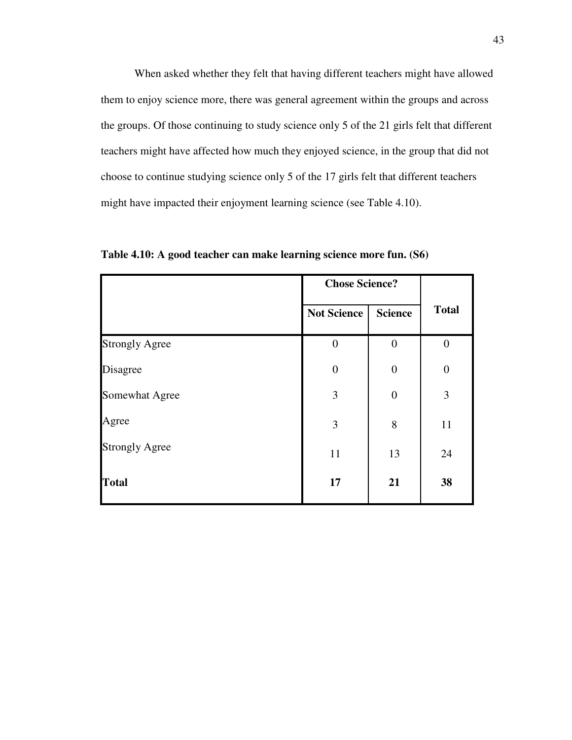When asked whether they felt that having different teachers might have allowed them to enjoy science more, there was general agreement within the groups and across the groups. Of those continuing to study science only 5 of the 21 girls felt that different teachers might have affected how much they enjoyed science, in the group that did not choose to continue studying science only 5 of the 17 girls felt that different teachers might have impacted their enjoyment learning science (see Table 4.10).

|                       | <b>Chose Science?</b> |                |                |
|-----------------------|-----------------------|----------------|----------------|
|                       | <b>Not Science</b>    | <b>Science</b> | <b>Total</b>   |
| <b>Strongly Agree</b> | $\Omega$              | $\theta$       | 0              |
| Disagree              | $\theta$              | $\overline{0}$ | $\overline{0}$ |
| Somewhat Agree        | 3                     | $\overline{0}$ | 3              |
| Agree                 | 3                     | 8              | 11             |
| <b>Strongly Agree</b> | 11                    | 13             | 24             |
| Total                 | 17                    | 21             | 38             |

**Table 4.10: A good teacher can make learning science more fun. (S6)**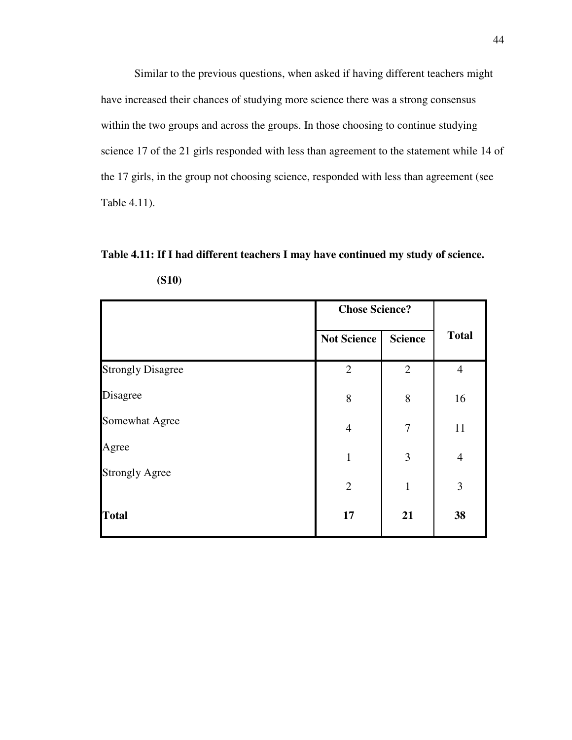Similar to the previous questions, when asked if having different teachers might have increased their chances of studying more science there was a strong consensus within the two groups and across the groups. In those choosing to continue studying science 17 of the 21 girls responded with less than agreement to the statement while 14 of the 17 girls, in the group not choosing science, responded with less than agreement (see Table 4.11).

**Table 4.11: If I had different teachers I may have continued my study of science. (S10)**

|                          | <b>Chose Science?</b> |                |                |
|--------------------------|-----------------------|----------------|----------------|
|                          | <b>Not Science</b>    | <b>Science</b> | <b>Total</b>   |
| <b>Strongly Disagree</b> | $\overline{2}$        | $\overline{2}$ | $\overline{4}$ |
| Disagree                 | $8\,$                 | 8              | 16             |
| Somewhat Agree           | $\overline{4}$        | $\overline{7}$ | 11             |
| Agree                    | $\mathbf{1}$          | 3              | $\overline{4}$ |
| <b>Strongly Agree</b>    | $\overline{2}$        | $\mathbf{1}$   | 3              |
| <b>Total</b>             | 17                    | 21             | 38             |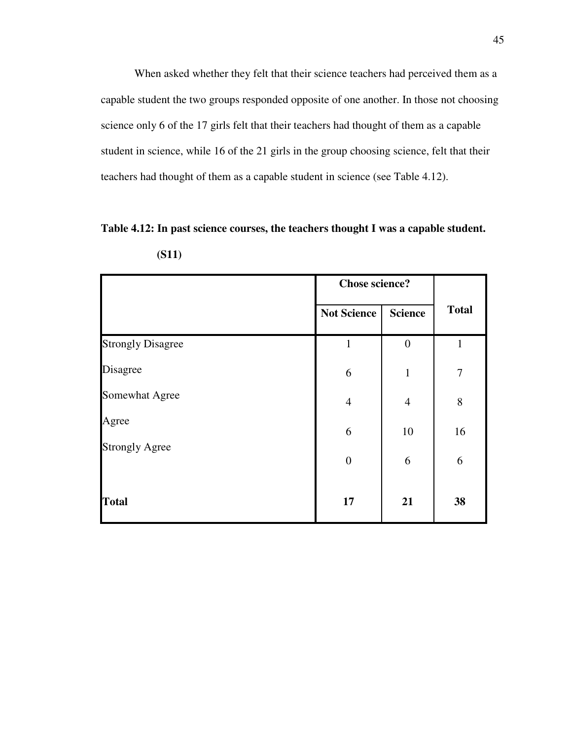When asked whether they felt that their science teachers had perceived them as a capable student the two groups responded opposite of one another. In those not choosing science only 6 of the 17 girls felt that their teachers had thought of them as a capable student in science, while 16 of the 21 girls in the group choosing science, felt that their teachers had thought of them as a capable student in science (see Table 4.12).

**Table 4.12: In past science courses, the teachers thought I was a capable student.** 

|                          | <b>Chose science?</b> |                |                |
|--------------------------|-----------------------|----------------|----------------|
|                          | <b>Not Science</b>    | <b>Science</b> | <b>Total</b>   |
| <b>Strongly Disagree</b> | $\mathbf{1}$          | $\overline{0}$ | 1              |
| <b>Disagree</b>          | 6                     | $\mathbf{1}$   | $\overline{7}$ |
| Somewhat Agree           | $\overline{4}$        | $\overline{4}$ | $8\,$          |
| Agree                    | 6                     | 10             | 16             |
| <b>Strongly Agree</b>    | $\boldsymbol{0}$      | 6              | 6              |
| <b>Total</b>             | 17                    | 21             | 38             |

 **(S11)**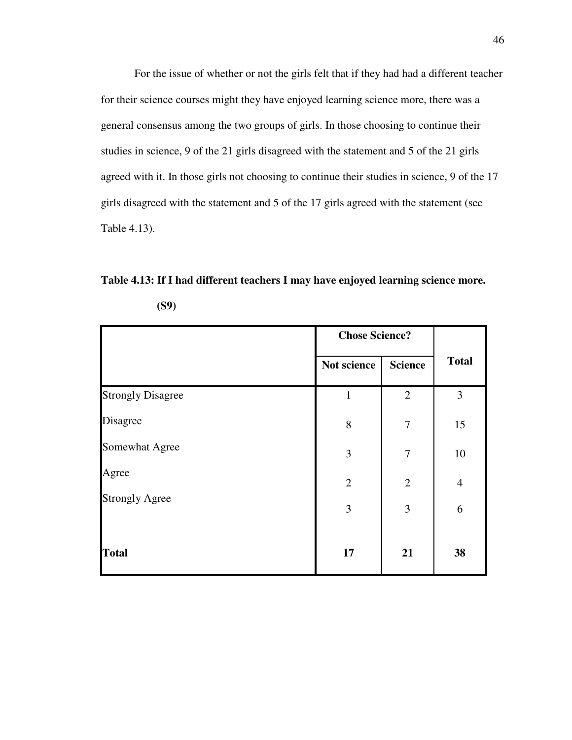For the issue of whether or not the girls felt that if they had had a different teacher for their science courses might they have enjoyed learning science more, there was a general consensus among the two groups of girls. In those choosing to continue their studies in science, 9 of the 21 girls disagreed with the statement and 5 of the 21 girls agreed with it. In those girls not choosing to continue their studies in science, 9 of the 17 girls disagreed with the statement and 5 of the 17 girls agreed with the statement (see Table 4.13).

**Table 4.13: If I had different teachers I may have enjoyed learning science more. (S9)**

|                          | <b>Chose Science?</b> |                |                |
|--------------------------|-----------------------|----------------|----------------|
|                          | Not science           | <b>Science</b> | <b>Total</b>   |
| <b>Strongly Disagree</b> | $\mathbf{1}$          | $\overline{2}$ | 3              |
| <b>Disagree</b>          | 8                     | 7              | 15             |
| Somewhat Agree           | 3                     | $\overline{7}$ | 10             |
| Agree                    | $\overline{2}$        | $\overline{2}$ | $\overline{4}$ |
| <b>Strongly Agree</b>    | 3                     | 3              | 6              |
| <b>Total</b>             | 17                    | 21             | 38             |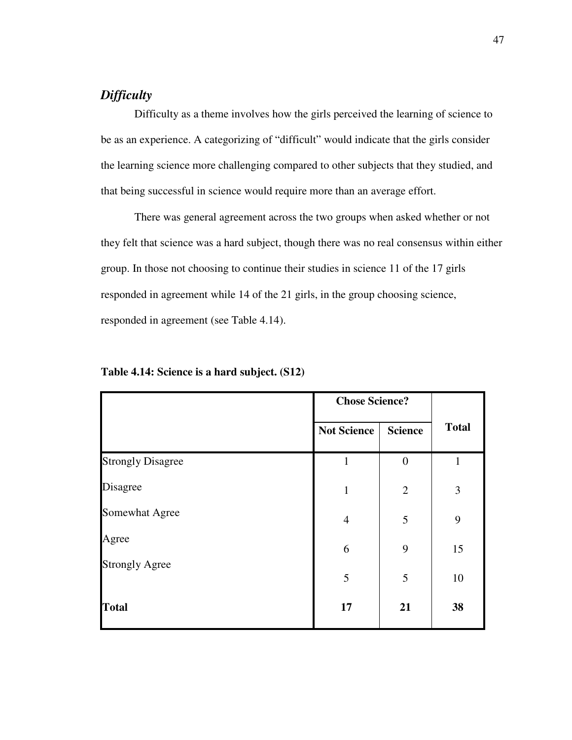# *Difficulty*

Difficulty as a theme involves how the girls perceived the learning of science to be as an experience. A categorizing of "difficult" would indicate that the girls consider the learning science more challenging compared to other subjects that they studied, and that being successful in science would require more than an average effort.

 There was general agreement across the two groups when asked whether or not they felt that science was a hard subject, though there was no real consensus within either group. In those not choosing to continue their studies in science 11 of the 17 girls responded in agreement while 14 of the 21 girls, in the group choosing science, responded in agreement (see Table 4.14).

|                          | <b>Chose Science?</b> |                |                |
|--------------------------|-----------------------|----------------|----------------|
|                          | <b>Not Science</b>    | <b>Science</b> | <b>Total</b>   |
| <b>Strongly Disagree</b> | 1                     | $\overline{0}$ | 1              |
| <b>Disagree</b>          | $\mathbf{1}$          | $\overline{2}$ | $\mathfrak{Z}$ |
| Somewhat Agree           | $\overline{4}$        | 5              | 9              |
| Agree                    | 6                     | 9              | 15             |
| <b>Strongly Agree</b>    | 5                     | 5              | 10             |
| Total                    | 17                    | 21             | 38             |

**Table 4.14: Science is a hard subject. (S12)**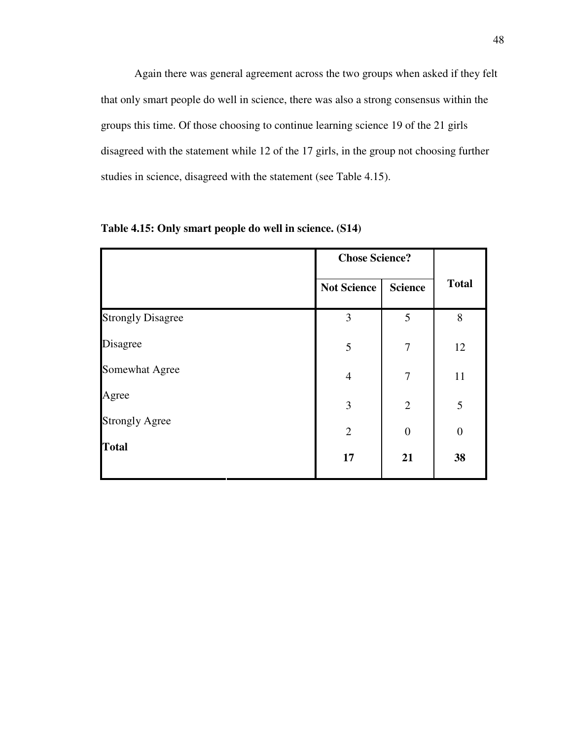Again there was general agreement across the two groups when asked if they felt that only smart people do well in science, there was also a strong consensus within the groups this time. Of those choosing to continue learning science 19 of the 21 girls disagreed with the statement while 12 of the 17 girls, in the group not choosing further studies in science, disagreed with the statement (see Table 4.15).

|                          | <b>Chose Science?</b> |                |                  |
|--------------------------|-----------------------|----------------|------------------|
|                          | <b>Not Science</b>    | <b>Science</b> | <b>Total</b>     |
| <b>Strongly Disagree</b> | 3                     | 5              | 8                |
| Disagree                 | 5                     | 7              | 12               |
| Somewhat Agree           | $\overline{4}$        | $\tau$         | 11               |
| Agree                    | 3                     | $\overline{2}$ | 5                |
| <b>Strongly Agree</b>    | $\overline{2}$        | $\overline{0}$ | $\boldsymbol{0}$ |
| <b>Total</b>             | 17                    | 21             | 38               |

**Table 4.15: Only smart people do well in science. (S14)**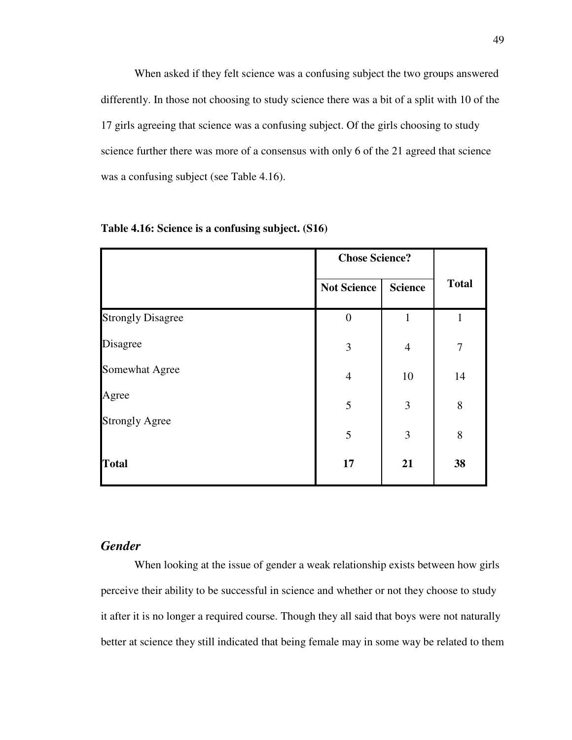When asked if they felt science was a confusing subject the two groups answered differently. In those not choosing to study science there was a bit of a split with 10 of the 17 girls agreeing that science was a confusing subject. Of the girls choosing to study science further there was more of a consensus with only 6 of the 21 agreed that science was a confusing subject (see Table 4.16).

|                          | <b>Chose Science?</b> |                |                |
|--------------------------|-----------------------|----------------|----------------|
|                          | <b>Not Science</b>    | <b>Science</b> | <b>Total</b>   |
| <b>Strongly Disagree</b> | $\boldsymbol{0}$      | 1              | 1              |
| Disagree                 | 3                     | $\overline{4}$ | $\overline{7}$ |
| Somewhat Agree           | $\overline{4}$        | 10             | 14             |
| Agree                    | $\mathfrak{S}$        | 3              | 8              |
| <b>Strongly Agree</b>    | 5                     | 3              | 8              |
| <b>Total</b>             | 17                    | 21             | 38             |

### *Gender*

When looking at the issue of gender a weak relationship exists between how girls perceive their ability to be successful in science and whether or not they choose to study it after it is no longer a required course. Though they all said that boys were not naturally better at science they still indicated that being female may in some way be related to them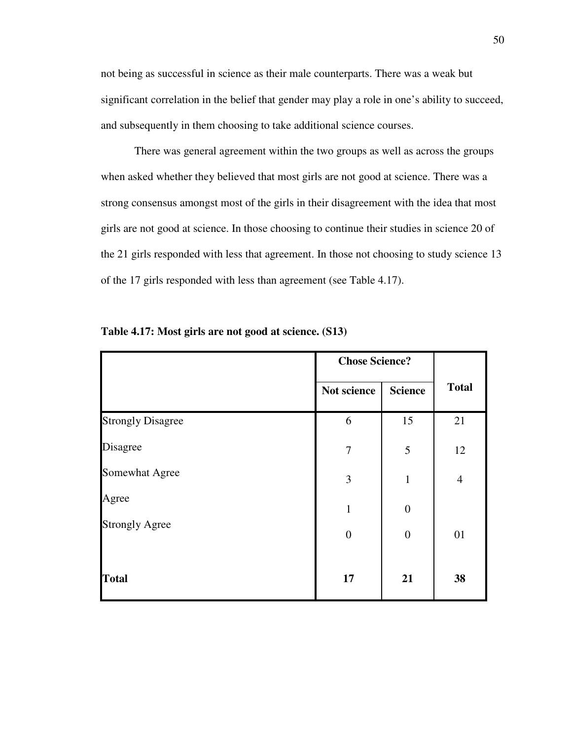not being as successful in science as their male counterparts. There was a weak but significant correlation in the belief that gender may play a role in one's ability to succeed, and subsequently in them choosing to take additional science courses.

There was general agreement within the two groups as well as across the groups when asked whether they believed that most girls are not good at science. There was a strong consensus amongst most of the girls in their disagreement with the idea that most girls are not good at science. In those choosing to continue their studies in science 20 of the 21 girls responded with less that agreement. In those not choosing to study science 13 of the 17 girls responded with less than agreement (see Table 4.17).

|                          | <b>Chose Science?</b> |                  |                |
|--------------------------|-----------------------|------------------|----------------|
|                          | Not science           | <b>Science</b>   | <b>Total</b>   |
| <b>Strongly Disagree</b> | 6                     | 15               | 21             |
| Disagree                 | $\tau$                | 5                | 12             |
| Somewhat Agree           | 3                     | $\mathbf{1}$     | $\overline{4}$ |
| Agree                    | 1                     | $\boldsymbol{0}$ |                |
| <b>Strongly Agree</b>    | $\boldsymbol{0}$      | $\overline{0}$   | 01             |
| Total                    | 17                    | 21               | 38             |

| Table 4.17: Most girls are not good at science. (S13) |  |  |  |  |
|-------------------------------------------------------|--|--|--|--|
|-------------------------------------------------------|--|--|--|--|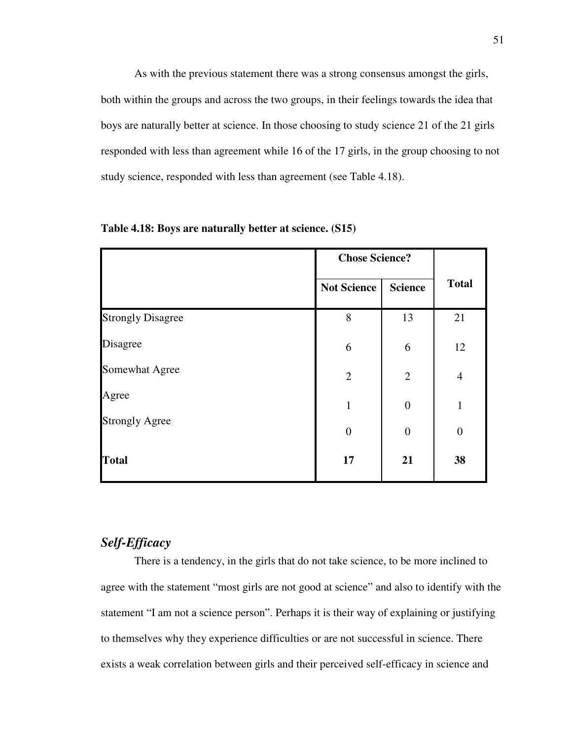As with the previous statement there was a strong consensus amongst the girls, both within the groups and across the two groups, in their feelings towards the idea that boys are naturally better at science. In those choosing to study science 21 of the 21 girls responded with less than agreement while 16 of the 17 girls, in the group choosing to not study science, responded with less than agreement (see Table 4.18).

|                          | <b>Chose Science?</b> |                  |                  |
|--------------------------|-----------------------|------------------|------------------|
|                          | <b>Not Science</b>    | <b>Science</b>   | <b>Total</b>     |
| <b>Strongly Disagree</b> | 8                     | 13               | 21               |
| Disagree                 | 6                     | 6                | 12               |
| Somewhat Agree           | $\overline{2}$        | $\overline{2}$   | $\overline{4}$   |
| Agree                    | $\mathbf{1}$          | $\boldsymbol{0}$ | $\mathbf{1}$     |
| <b>Strongly Agree</b>    | $\boldsymbol{0}$      | $\overline{0}$   | $\boldsymbol{0}$ |
| <b>Total</b>             | 17                    | 21               | 38               |

**Table 4.18: Boys are naturally better at science. (S15)**

# *Self-Efficacy*

There is a tendency, in the girls that do not take science, to be more inclined to agree with the statement "most girls are not good at science" and also to identify with the statement "I am not a science person". Perhaps it is their way of explaining or justifying to themselves why they experience difficulties or are not successful in science. There exists a weak correlation between girls and their perceived self-efficacy in science and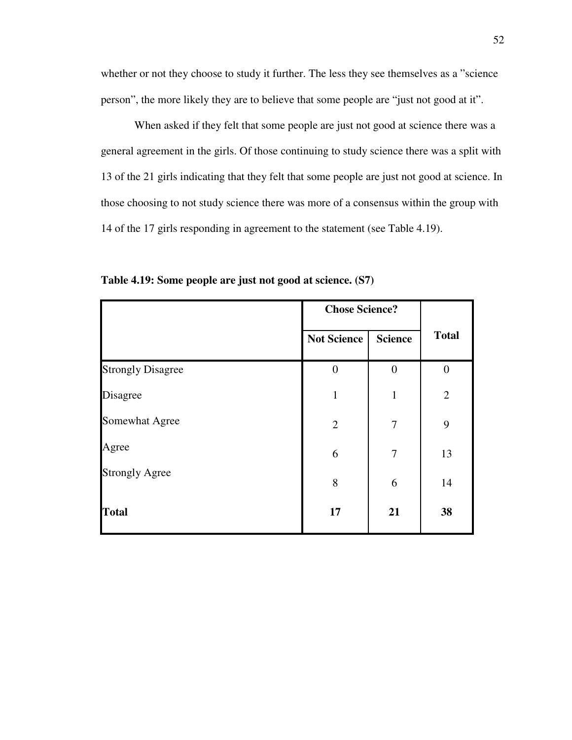whether or not they choose to study it further. The less they see themselves as a "science" person", the more likely they are to believe that some people are "just not good at it".

When asked if they felt that some people are just not good at science there was a general agreement in the girls. Of those continuing to study science there was a split with 13 of the 21 girls indicating that they felt that some people are just not good at science. In those choosing to not study science there was more of a consensus within the group with 14 of the 17 girls responding in agreement to the statement (see Table 4.19).

|                          | <b>Chose Science?</b> |                |                |
|--------------------------|-----------------------|----------------|----------------|
|                          | <b>Not Science</b>    | <b>Science</b> | <b>Total</b>   |
| <b>Strongly Disagree</b> | $\theta$              | $\Omega$       | $\overline{0}$ |
| Disagree                 | 1                     | $\mathbf{1}$   | $\overline{2}$ |
| Somewhat Agree           | $\overline{2}$        | 7              | 9              |
| Agree                    | 6                     | 7              | 13             |
| <b>Strongly Agree</b>    | 8                     | 6              | 14             |
| <b>Total</b>             | 17                    | 21             | 38             |

**Table 4.19: Some people are just not good at science. (S7)**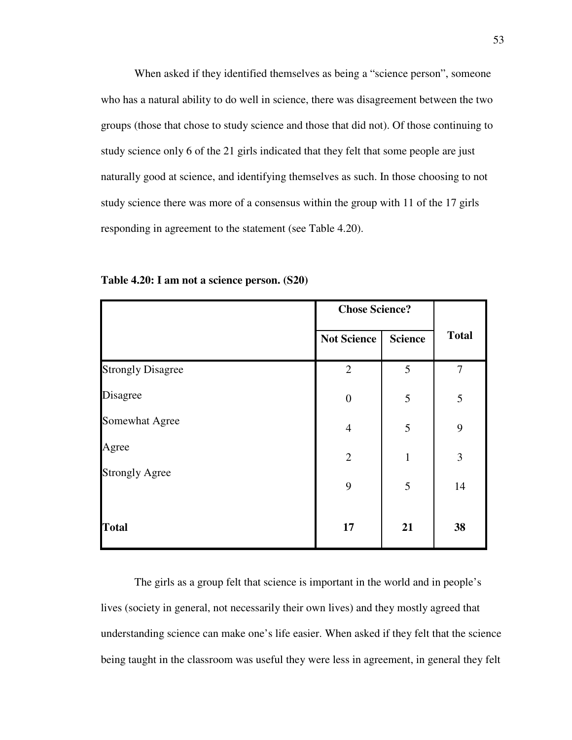When asked if they identified themselves as being a "science person", someone who has a natural ability to do well in science, there was disagreement between the two groups (those that chose to study science and those that did not). Of those continuing to study science only 6 of the 21 girls indicated that they felt that some people are just naturally good at science, and identifying themselves as such. In those choosing to not study science there was more of a consensus within the group with 11 of the 17 girls responding in agreement to the statement (see Table 4.20).

|                          | <b>Chose Science?</b> |                |              |
|--------------------------|-----------------------|----------------|--------------|
|                          | <b>Not Science</b>    | <b>Science</b> | <b>Total</b> |
| <b>Strongly Disagree</b> | $\overline{2}$        | 5              | 7            |
| Disagree                 | $\boldsymbol{0}$      | $\mathfrak{S}$ | 5            |
| Somewhat Agree           | $\overline{4}$        | 5              | 9            |
| Agree                    | $\overline{2}$        | $\mathbf{1}$   | 3            |
| <b>Strongly Agree</b>    | 9                     | 5              | 14           |
| <b>Total</b>             | 17                    | 21             | 38           |

**Table 4.20: I am not a science person. (S20)** 

The girls as a group felt that science is important in the world and in people's lives (society in general, not necessarily their own lives) and they mostly agreed that understanding science can make one's life easier. When asked if they felt that the science being taught in the classroom was useful they were less in agreement, in general they felt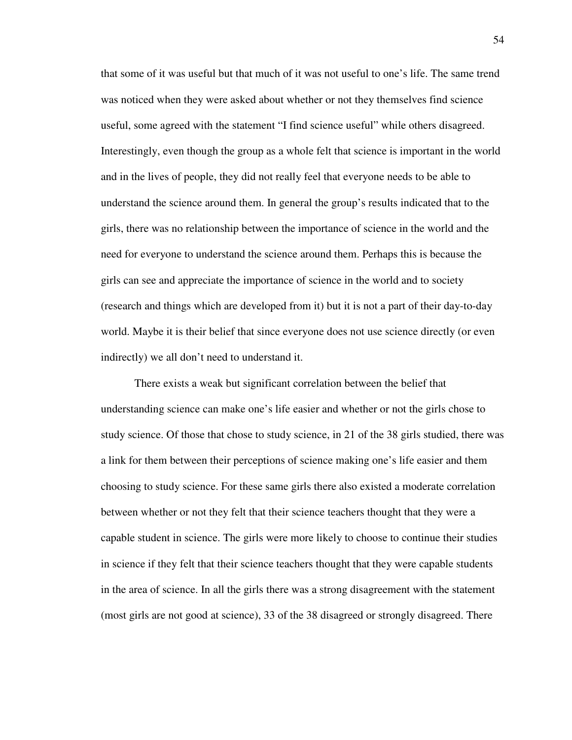that some of it was useful but that much of it was not useful to one's life. The same trend was noticed when they were asked about whether or not they themselves find science useful, some agreed with the statement "I find science useful" while others disagreed. Interestingly, even though the group as a whole felt that science is important in the world and in the lives of people, they did not really feel that everyone needs to be able to understand the science around them. In general the group's results indicated that to the girls, there was no relationship between the importance of science in the world and the need for everyone to understand the science around them. Perhaps this is because the girls can see and appreciate the importance of science in the world and to society (research and things which are developed from it) but it is not a part of their day-to-day world. Maybe it is their belief that since everyone does not use science directly (or even indirectly) we all don't need to understand it.

There exists a weak but significant correlation between the belief that understanding science can make one's life easier and whether or not the girls chose to study science. Of those that chose to study science, in 21 of the 38 girls studied, there was a link for them between their perceptions of science making one's life easier and them choosing to study science. For these same girls there also existed a moderate correlation between whether or not they felt that their science teachers thought that they were a capable student in science. The girls were more likely to choose to continue their studies in science if they felt that their science teachers thought that they were capable students in the area of science. In all the girls there was a strong disagreement with the statement (most girls are not good at science), 33 of the 38 disagreed or strongly disagreed. There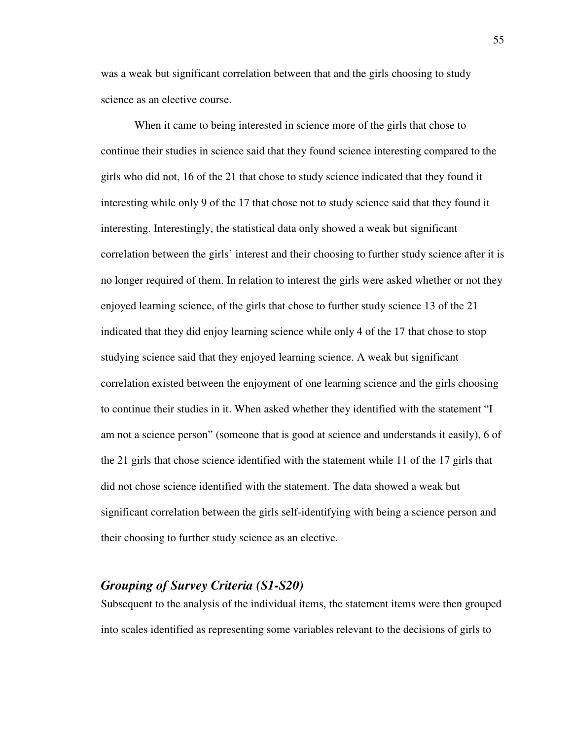was a weak but significant correlation between that and the girls choosing to study science as an elective course.

When it came to being interested in science more of the girls that chose to continue their studies in science said that they found science interesting compared to the girls who did not, 16 of the 21 that chose to study science indicated that they found it interesting while only 9 of the 17 that chose not to study science said that they found it interesting. Interestingly, the statistical data only showed a weak but significant correlation between the girls' interest and their choosing to further study science after it is no longer required of them. In relation to interest the girls were asked whether or not they enjoyed learning science, of the girls that chose to further study science 13 of the 21 indicated that they did enjoy learning science while only 4 of the 17 that chose to stop studying science said that they enjoyed learning science. A weak but significant correlation existed between the enjoyment of one learning science and the girls choosing to continue their studies in it. When asked whether they identified with the statement "I am not a science person" (someone that is good at science and understands it easily), 6 of the 21 girls that chose science identified with the statement while 11 of the 17 girls that did not chose science identified with the statement. The data showed a weak but significant correlation between the girls self-identifying with being a science person and their choosing to further study science as an elective.

### *Grouping of Survey Criteria (S1-S20)*

Subsequent to the analysis of the individual items, the statement items were then grouped into scales identified as representing some variables relevant to the decisions of girls to

55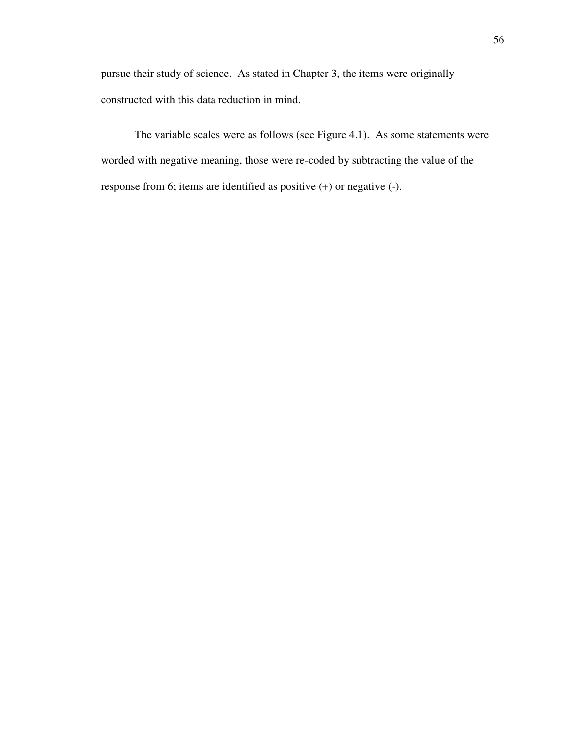pursue their study of science. As stated in Chapter 3, the items were originally constructed with this data reduction in mind.

The variable scales were as follows (see Figure 4.1). As some statements were worded with negative meaning, those were re-coded by subtracting the value of the response from 6; items are identified as positive (+) or negative (-).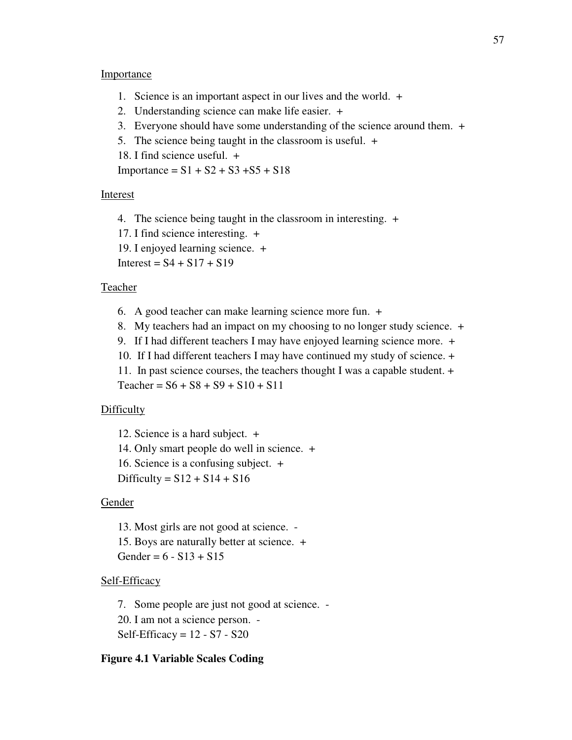#### **Importance**

- 1. Science is an important aspect in our lives and the world. +
- 2. Understanding science can make life easier. +
- 3. Everyone should have some understanding of the science around them. +
- 5. The science being taught in the classroom is useful. +

18. I find science useful. +

 $Importance = S1 + S2 + S3 + S5 + S18$ 

### Interest

4. The science being taught in the classroom in interesting. +

17. I find science interesting. +

19. I enjoyed learning science. +

Interest =  $S4 + S17 + S19$ 

### Teacher

- 6. A good teacher can make learning science more fun. +
- 8. My teachers had an impact on my choosing to no longer study science. +
- 9. If I had different teachers I may have enjoyed learning science more. +

10. If I had different teachers I may have continued my study of science. +

11. In past science courses, the teachers thought I was a capable student. +

 $Teacher = S6 + S8 + S9 + S10 + S11$ 

#### **Difficulty**

12. Science is a hard subject. + 14. Only smart people do well in science. + 16. Science is a confusing subject. + Difficulty =  $S12 + S14 + S16$ 

#### Gender

13. Most girls are not good at science. - 15. Boys are naturally better at science. + Gender =  $6 - S13 + S15$ 

#### Self-Efficacy

7. Some people are just not good at science. - 20. I am not a science person. - Self-Efficacy =  $12 - S7 - S20$ 

### **Figure 4.1 Variable Scales Coding**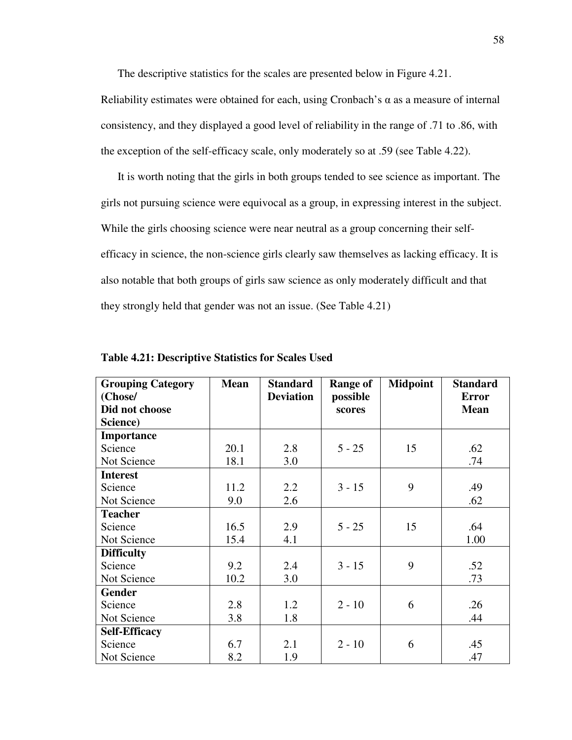The descriptive statistics for the scales are presented below in Figure 4.21.

Reliability estimates were obtained for each, using Cronbach's  $\alpha$  as a measure of internal consistency, and they displayed a good level of reliability in the range of .71 to .86, with the exception of the self-efficacy scale, only moderately so at .59 (see Table 4.22).

It is worth noting that the girls in both groups tended to see science as important. The girls not pursuing science were equivocal as a group, in expressing interest in the subject. While the girls choosing science were near neutral as a group concerning their selfefficacy in science, the non-science girls clearly saw themselves as lacking efficacy. It is also notable that both groups of girls saw science as only moderately difficult and that they strongly held that gender was not an issue. (See Table 4.21)

| <b>Grouping Category</b> | <b>Mean</b> | <b>Standard</b>  | Range of | <b>Midpoint</b> | <b>Standard</b> |
|--------------------------|-------------|------------------|----------|-----------------|-----------------|
| (Chose/                  |             | <b>Deviation</b> | possible |                 | <b>Error</b>    |
| Did not choose           |             |                  | scores   |                 | <b>Mean</b>     |
| Science)                 |             |                  |          |                 |                 |
| Importance               |             |                  |          |                 |                 |
| Science                  | 20.1        | 2.8              | $5 - 25$ | 15              | .62             |
| Not Science              | 18.1        | 3.0              |          |                 | .74             |
| <b>Interest</b>          |             |                  |          |                 |                 |
| Science                  | 11.2        | 2.2              | $3 - 15$ | 9               | .49             |
| Not Science              | 9.0         | 2.6              |          |                 | .62             |
| <b>Teacher</b>           |             |                  |          |                 |                 |
| Science                  | 16.5        | 2.9              | $5 - 25$ | 15              | .64             |
| Not Science              | 15.4        | 4.1              |          |                 | 1.00            |
| <b>Difficulty</b>        |             |                  |          |                 |                 |
| Science                  | 9.2         | 2.4              | $3 - 15$ | 9               | .52             |
| Not Science              | 10.2        | 3.0              |          |                 | .73             |
| <b>Gender</b>            |             |                  |          |                 |                 |
| Science                  | 2.8         | 1.2              | $2 - 10$ | 6               | .26             |
| Not Science              | 3.8         | 1.8              |          |                 | .44             |
| <b>Self-Efficacy</b>     |             |                  |          |                 |                 |
| Science                  | 6.7         | 2.1              | $2 - 10$ | 6               | .45             |
| Not Science              | 8.2         | 1.9              |          |                 | .47             |

**Table 4.21: Descriptive Statistics for Scales Used**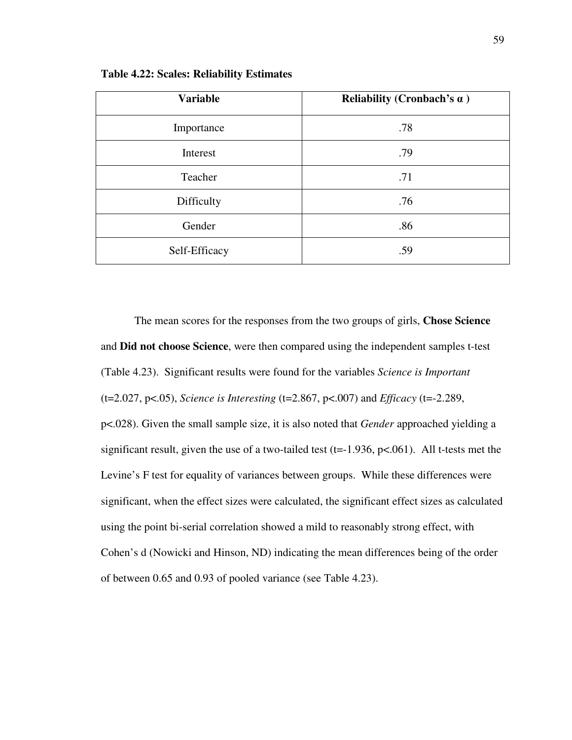| <b>Variable</b> | Reliability (Cronbach's $\alpha$ ) |  |  |
|-----------------|------------------------------------|--|--|
| Importance      | .78                                |  |  |
| Interest        | .79                                |  |  |
| Teacher         | .71                                |  |  |
| Difficulty      | .76                                |  |  |
| Gender          | .86                                |  |  |
| Self-Efficacy   | .59                                |  |  |

**Table 4.22: Scales: Reliability Estimates** 

The mean scores for the responses from the two groups of girls, **Chose Science** and **Did not choose Science**, were then compared using the independent samples t-test (Table 4.23). Significant results were found for the variables *Science is Important*  (t=2.027, p<.05), *Science is Interesting* (t=2.867, p<.007) and *Efficacy* (t=-2.289, p<.028). Given the small sample size, it is also noted that *Gender* approached yielding a significant result, given the use of a two-tailed test ( $t=1.936$ ,  $p<.061$ ). All t-tests met the Levine's F test for equality of variances between groups. While these differences were significant, when the effect sizes were calculated, the significant effect sizes as calculated using the point bi-serial correlation showed a mild to reasonably strong effect, with Cohen's d (Nowicki and Hinson, ND) indicating the mean differences being of the order of between 0.65 and 0.93 of pooled variance (see Table 4.23).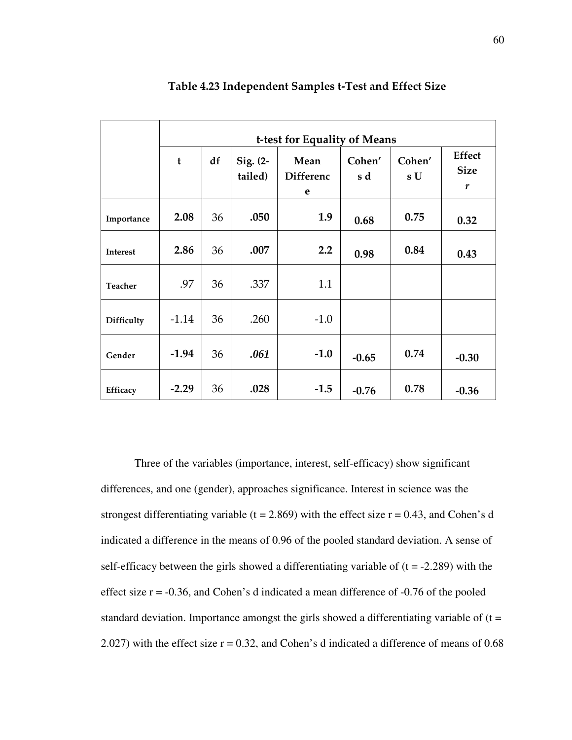|                   | t-test for Equality of Means |    |                       |                               |               |               |                                   |
|-------------------|------------------------------|----|-----------------------|-------------------------------|---------------|---------------|-----------------------------------|
|                   | t                            | df | $Sig. (2-$<br>tailed) | Mean<br><b>Differenc</b><br>e | Cohen'<br>s d | Cohen'<br>s U | <b>Effect</b><br><b>Size</b><br>r |
| Importance        | 2.08                         | 36 | .050                  | 1.9                           | 0.68          | 0.75          | 0.32                              |
| Interest          | 2.86                         | 36 | .007                  | 2.2                           | 0.98          | 0.84          | 0.43                              |
| <b>Teacher</b>    | .97                          | 36 | .337                  | 1.1                           |               |               |                                   |
| <b>Difficulty</b> | $-1.14$                      | 36 | .260                  | $-1.0$                        |               |               |                                   |
| Gender            | $-1.94$                      | 36 | .061                  | $-1.0$                        | $-0.65$       | 0.74          | $-0.30$                           |
| Efficacy          | $-2.29$                      | 36 | .028                  | $-1.5$                        | $-0.76$       | 0.78          | $-0.36$                           |

Table 4.23 Independent Samples t-Test and Effect Size

Three of the variables (importance, interest, self-efficacy) show significant differences, and one (gender), approaches significance. Interest in science was the strongest differentiating variable ( $t = 2.869$ ) with the effect size  $r = 0.43$ , and Cohen's d indicated a difference in the means of 0.96 of the pooled standard deviation. A sense of self-efficacy between the girls showed a differentiating variable of  $(t = -2.289)$  with the effect size  $r = -0.36$ , and Cohen's d indicated a mean difference of  $-0.76$  of the pooled standard deviation. Importance amongst the girls showed a differentiating variable of  $(t =$ 2.027) with the effect size  $r = 0.32$ , and Cohen's d indicated a difference of means of 0.68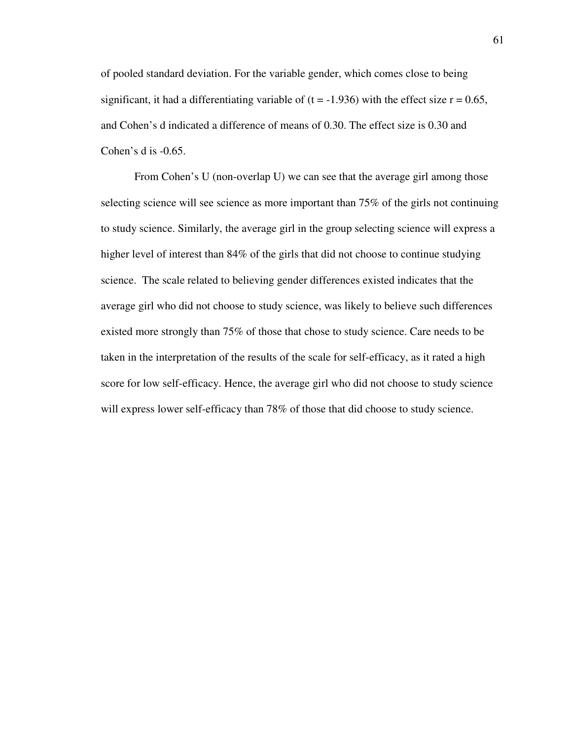of pooled standard deviation. For the variable gender, which comes close to being significant, it had a differentiating variable of  $(t = -1.936)$  with the effect size  $r = 0.65$ , and Cohen's d indicated a difference of means of 0.30. The effect size is 0.30 and Cohen's d is -0.65.

From Cohen's U (non-overlap U) we can see that the average girl among those selecting science will see science as more important than 75% of the girls not continuing to study science. Similarly, the average girl in the group selecting science will express a higher level of interest than 84% of the girls that did not choose to continue studying science. The scale related to believing gender differences existed indicates that the average girl who did not choose to study science, was likely to believe such differences existed more strongly than 75% of those that chose to study science. Care needs to be taken in the interpretation of the results of the scale for self-efficacy, as it rated a high score for low self-efficacy. Hence, the average girl who did not choose to study science will express lower self-efficacy than 78% of those that did choose to study science.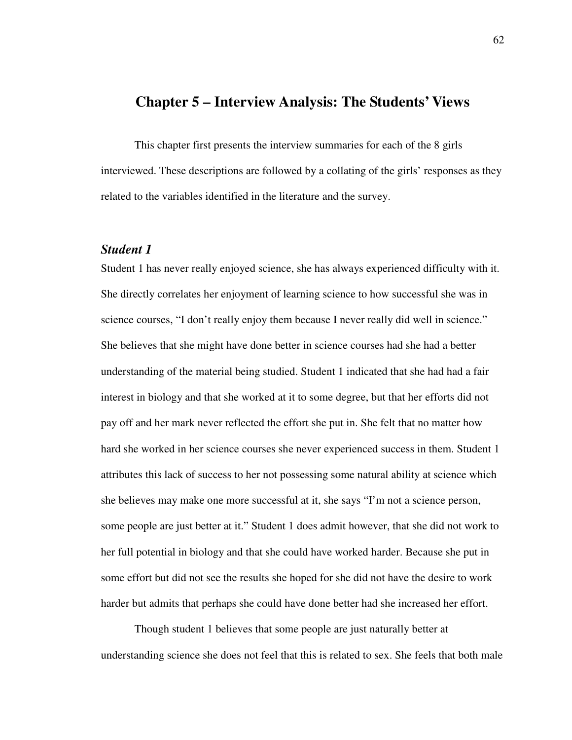# **Chapter 5 – Interview Analysis: The Students' Views**

 This chapter first presents the interview summaries for each of the 8 girls interviewed. These descriptions are followed by a collating of the girls' responses as they related to the variables identified in the literature and the survey.

### *Student 1*

Student 1 has never really enjoyed science, she has always experienced difficulty with it. She directly correlates her enjoyment of learning science to how successful she was in science courses, "I don't really enjoy them because I never really did well in science." She believes that she might have done better in science courses had she had a better understanding of the material being studied. Student 1 indicated that she had had a fair interest in biology and that she worked at it to some degree, but that her efforts did not pay off and her mark never reflected the effort she put in. She felt that no matter how hard she worked in her science courses she never experienced success in them. Student 1 attributes this lack of success to her not possessing some natural ability at science which she believes may make one more successful at it, she says "I'm not a science person, some people are just better at it." Student 1 does admit however, that she did not work to her full potential in biology and that she could have worked harder. Because she put in some effort but did not see the results she hoped for she did not have the desire to work harder but admits that perhaps she could have done better had she increased her effort.

Though student 1 believes that some people are just naturally better at understanding science she does not feel that this is related to sex. She feels that both male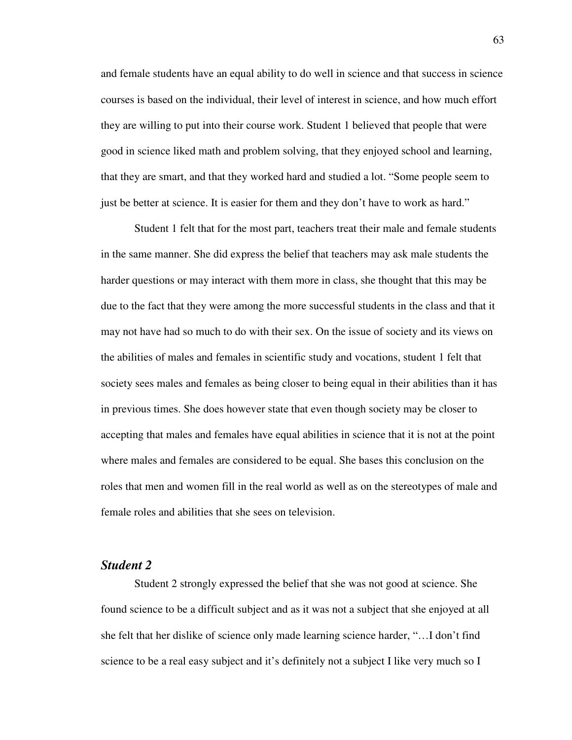and female students have an equal ability to do well in science and that success in science courses is based on the individual, their level of interest in science, and how much effort they are willing to put into their course work. Student 1 believed that people that were good in science liked math and problem solving, that they enjoyed school and learning, that they are smart, and that they worked hard and studied a lot. "Some people seem to just be better at science. It is easier for them and they don't have to work as hard."

 Student 1 felt that for the most part, teachers treat their male and female students in the same manner. She did express the belief that teachers may ask male students the harder questions or may interact with them more in class, she thought that this may be due to the fact that they were among the more successful students in the class and that it may not have had so much to do with their sex. On the issue of society and its views on the abilities of males and females in scientific study and vocations, student 1 felt that society sees males and females as being closer to being equal in their abilities than it has in previous times. She does however state that even though society may be closer to accepting that males and females have equal abilities in science that it is not at the point where males and females are considered to be equal. She bases this conclusion on the roles that men and women fill in the real world as well as on the stereotypes of male and female roles and abilities that she sees on television.

### *Student 2*

 Student 2 strongly expressed the belief that she was not good at science. She found science to be a difficult subject and as it was not a subject that she enjoyed at all she felt that her dislike of science only made learning science harder, "…I don't find science to be a real easy subject and it's definitely not a subject I like very much so I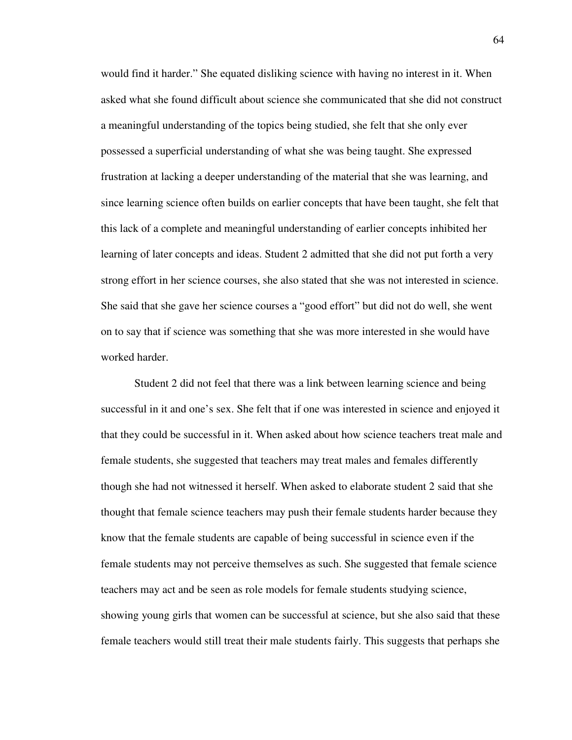would find it harder." She equated disliking science with having no interest in it. When asked what she found difficult about science she communicated that she did not construct a meaningful understanding of the topics being studied, she felt that she only ever possessed a superficial understanding of what she was being taught. She expressed frustration at lacking a deeper understanding of the material that she was learning, and since learning science often builds on earlier concepts that have been taught, she felt that this lack of a complete and meaningful understanding of earlier concepts inhibited her learning of later concepts and ideas. Student 2 admitted that she did not put forth a very strong effort in her science courses, she also stated that she was not interested in science. She said that she gave her science courses a "good effort" but did not do well, she went on to say that if science was something that she was more interested in she would have worked harder.

 Student 2 did not feel that there was a link between learning science and being successful in it and one's sex. She felt that if one was interested in science and enjoyed it that they could be successful in it. When asked about how science teachers treat male and female students, she suggested that teachers may treat males and females differently though she had not witnessed it herself. When asked to elaborate student 2 said that she thought that female science teachers may push their female students harder because they know that the female students are capable of being successful in science even if the female students may not perceive themselves as such. She suggested that female science teachers may act and be seen as role models for female students studying science, showing young girls that women can be successful at science, but she also said that these female teachers would still treat their male students fairly. This suggests that perhaps she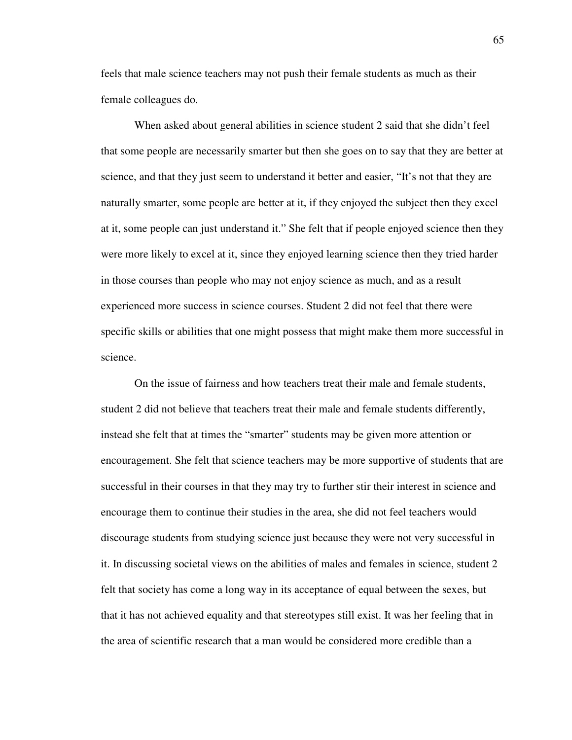feels that male science teachers may not push their female students as much as their female colleagues do.

 When asked about general abilities in science student 2 said that she didn't feel that some people are necessarily smarter but then she goes on to say that they are better at science, and that they just seem to understand it better and easier, "It's not that they are naturally smarter, some people are better at it, if they enjoyed the subject then they excel at it, some people can just understand it." She felt that if people enjoyed science then they were more likely to excel at it, since they enjoyed learning science then they tried harder in those courses than people who may not enjoy science as much, and as a result experienced more success in science courses. Student 2 did not feel that there were specific skills or abilities that one might possess that might make them more successful in science.

 On the issue of fairness and how teachers treat their male and female students, student 2 did not believe that teachers treat their male and female students differently, instead she felt that at times the "smarter" students may be given more attention or encouragement. She felt that science teachers may be more supportive of students that are successful in their courses in that they may try to further stir their interest in science and encourage them to continue their studies in the area, she did not feel teachers would discourage students from studying science just because they were not very successful in it. In discussing societal views on the abilities of males and females in science, student 2 felt that society has come a long way in its acceptance of equal between the sexes, but that it has not achieved equality and that stereotypes still exist. It was her feeling that in the area of scientific research that a man would be considered more credible than a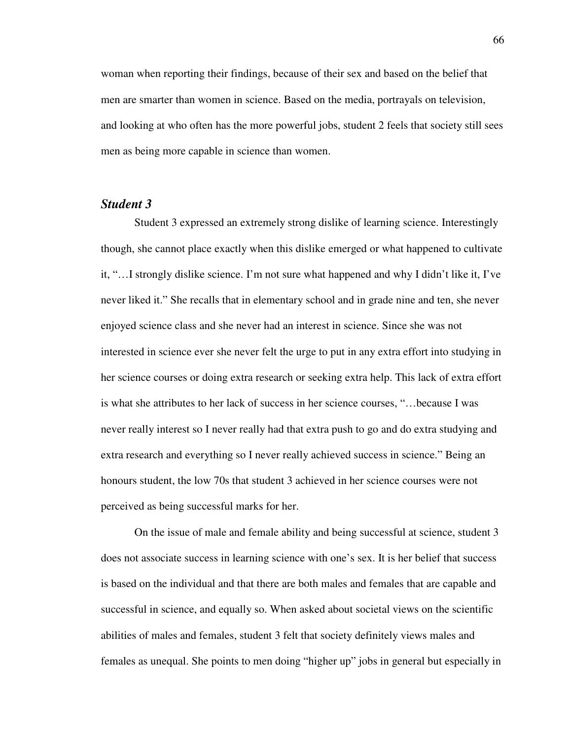woman when reporting their findings, because of their sex and based on the belief that men are smarter than women in science. Based on the media, portrayals on television, and looking at who often has the more powerful jobs, student 2 feels that society still sees men as being more capable in science than women.

## *Student 3*

 Student 3 expressed an extremely strong dislike of learning science. Interestingly though, she cannot place exactly when this dislike emerged or what happened to cultivate it, "…I strongly dislike science. I'm not sure what happened and why I didn't like it, I've never liked it." She recalls that in elementary school and in grade nine and ten, she never enjoyed science class and she never had an interest in science. Since she was not interested in science ever she never felt the urge to put in any extra effort into studying in her science courses or doing extra research or seeking extra help. This lack of extra effort is what she attributes to her lack of success in her science courses, "…because I was never really interest so I never really had that extra push to go and do extra studying and extra research and everything so I never really achieved success in science." Being an honours student, the low 70s that student 3 achieved in her science courses were not perceived as being successful marks for her.

 On the issue of male and female ability and being successful at science, student 3 does not associate success in learning science with one's sex. It is her belief that success is based on the individual and that there are both males and females that are capable and successful in science, and equally so. When asked about societal views on the scientific abilities of males and females, student 3 felt that society definitely views males and females as unequal. She points to men doing "higher up" jobs in general but especially in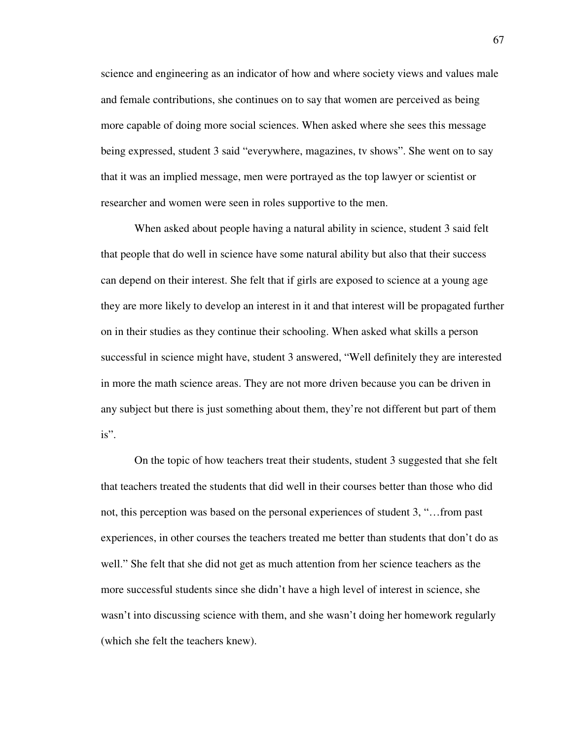science and engineering as an indicator of how and where society views and values male and female contributions, she continues on to say that women are perceived as being more capable of doing more social sciences. When asked where she sees this message being expressed, student 3 said "everywhere, magazines, tv shows". She went on to say that it was an implied message, men were portrayed as the top lawyer or scientist or researcher and women were seen in roles supportive to the men.

 When asked about people having a natural ability in science, student 3 said felt that people that do well in science have some natural ability but also that their success can depend on their interest. She felt that if girls are exposed to science at a young age they are more likely to develop an interest in it and that interest will be propagated further on in their studies as they continue their schooling. When asked what skills a person successful in science might have, student 3 answered, "Well definitely they are interested in more the math science areas. They are not more driven because you can be driven in any subject but there is just something about them, they're not different but part of them is".

 On the topic of how teachers treat their students, student 3 suggested that she felt that teachers treated the students that did well in their courses better than those who did not, this perception was based on the personal experiences of student 3, "…from past experiences, in other courses the teachers treated me better than students that don't do as well." She felt that she did not get as much attention from her science teachers as the more successful students since she didn't have a high level of interest in science, she wasn't into discussing science with them, and she wasn't doing her homework regularly (which she felt the teachers knew).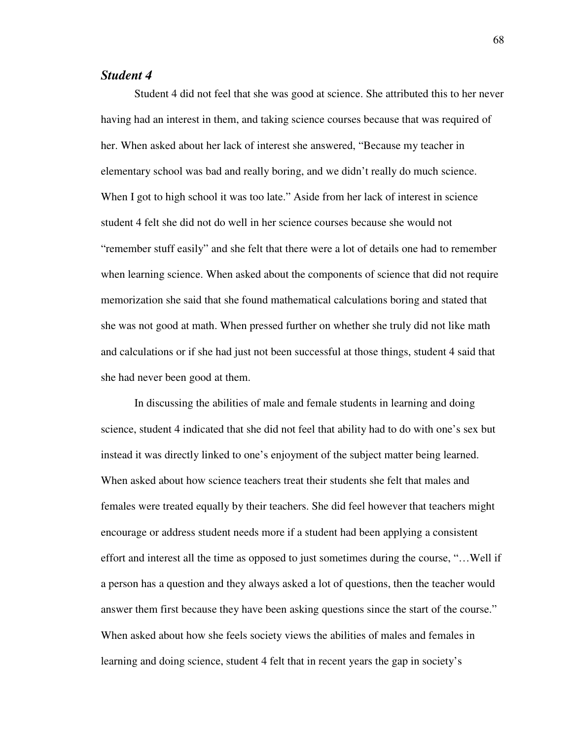## *Student 4*

 Student 4 did not feel that she was good at science. She attributed this to her never having had an interest in them, and taking science courses because that was required of her. When asked about her lack of interest she answered, "Because my teacher in elementary school was bad and really boring, and we didn't really do much science. When I got to high school it was too late." Aside from her lack of interest in science student 4 felt she did not do well in her science courses because she would not "remember stuff easily" and she felt that there were a lot of details one had to remember when learning science. When asked about the components of science that did not require memorization she said that she found mathematical calculations boring and stated that she was not good at math. When pressed further on whether she truly did not like math and calculations or if she had just not been successful at those things, student 4 said that she had never been good at them.

 In discussing the abilities of male and female students in learning and doing science, student 4 indicated that she did not feel that ability had to do with one's sex but instead it was directly linked to one's enjoyment of the subject matter being learned. When asked about how science teachers treat their students she felt that males and females were treated equally by their teachers. She did feel however that teachers might encourage or address student needs more if a student had been applying a consistent effort and interest all the time as opposed to just sometimes during the course, "…Well if a person has a question and they always asked a lot of questions, then the teacher would answer them first because they have been asking questions since the start of the course." When asked about how she feels society views the abilities of males and females in learning and doing science, student 4 felt that in recent years the gap in society's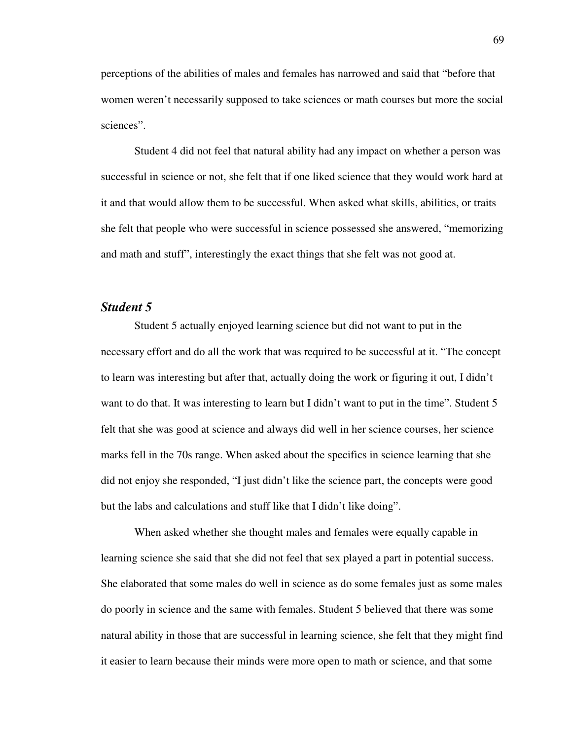perceptions of the abilities of males and females has narrowed and said that "before that women weren't necessarily supposed to take sciences or math courses but more the social sciences".

 Student 4 did not feel that natural ability had any impact on whether a person was successful in science or not, she felt that if one liked science that they would work hard at it and that would allow them to be successful. When asked what skills, abilities, or traits she felt that people who were successful in science possessed she answered, "memorizing and math and stuff", interestingly the exact things that she felt was not good at.

## *Student 5*

 Student 5 actually enjoyed learning science but did not want to put in the necessary effort and do all the work that was required to be successful at it. "The concept to learn was interesting but after that, actually doing the work or figuring it out, I didn't want to do that. It was interesting to learn but I didn't want to put in the time". Student 5 felt that she was good at science and always did well in her science courses, her science marks fell in the 70s range. When asked about the specifics in science learning that she did not enjoy she responded, "I just didn't like the science part, the concepts were good but the labs and calculations and stuff like that I didn't like doing".

 When asked whether she thought males and females were equally capable in learning science she said that she did not feel that sex played a part in potential success. She elaborated that some males do well in science as do some females just as some males do poorly in science and the same with females. Student 5 believed that there was some natural ability in those that are successful in learning science, she felt that they might find it easier to learn because their minds were more open to math or science, and that some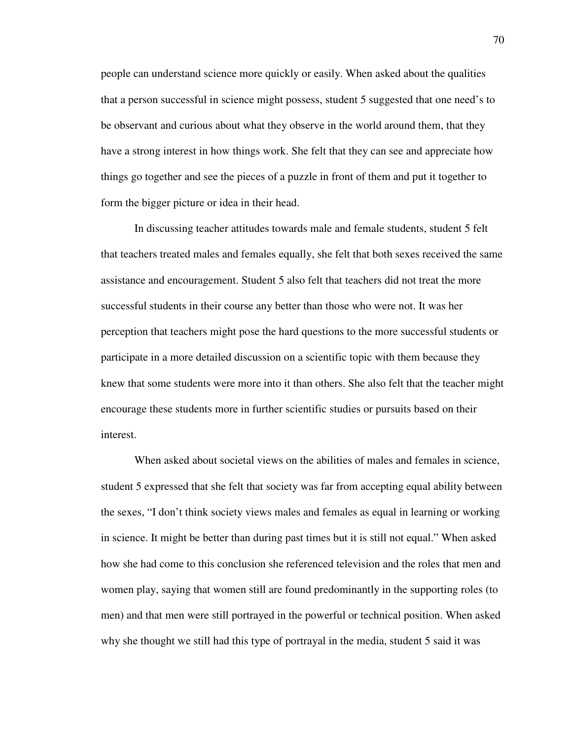people can understand science more quickly or easily. When asked about the qualities that a person successful in science might possess, student 5 suggested that one need's to be observant and curious about what they observe in the world around them, that they have a strong interest in how things work. She felt that they can see and appreciate how things go together and see the pieces of a puzzle in front of them and put it together to form the bigger picture or idea in their head.

 In discussing teacher attitudes towards male and female students, student 5 felt that teachers treated males and females equally, she felt that both sexes received the same assistance and encouragement. Student 5 also felt that teachers did not treat the more successful students in their course any better than those who were not. It was her perception that teachers might pose the hard questions to the more successful students or participate in a more detailed discussion on a scientific topic with them because they knew that some students were more into it than others. She also felt that the teacher might encourage these students more in further scientific studies or pursuits based on their interest.

When asked about societal views on the abilities of males and females in science, student 5 expressed that she felt that society was far from accepting equal ability between the sexes, "I don't think society views males and females as equal in learning or working in science. It might be better than during past times but it is still not equal." When asked how she had come to this conclusion she referenced television and the roles that men and women play, saying that women still are found predominantly in the supporting roles (to men) and that men were still portrayed in the powerful or technical position. When asked why she thought we still had this type of portrayal in the media, student 5 said it was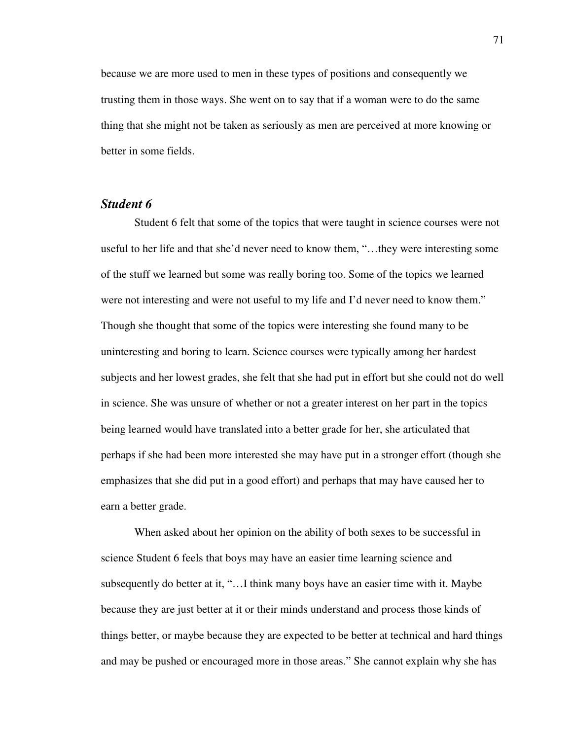because we are more used to men in these types of positions and consequently we trusting them in those ways. She went on to say that if a woman were to do the same thing that she might not be taken as seriously as men are perceived at more knowing or better in some fields.

## *Student 6*

 Student 6 felt that some of the topics that were taught in science courses were not useful to her life and that she'd never need to know them, "…they were interesting some of the stuff we learned but some was really boring too. Some of the topics we learned were not interesting and were not useful to my life and I'd never need to know them." Though she thought that some of the topics were interesting she found many to be uninteresting and boring to learn. Science courses were typically among her hardest subjects and her lowest grades, she felt that she had put in effort but she could not do well in science. She was unsure of whether or not a greater interest on her part in the topics being learned would have translated into a better grade for her, she articulated that perhaps if she had been more interested she may have put in a stronger effort (though she emphasizes that she did put in a good effort) and perhaps that may have caused her to earn a better grade.

 When asked about her opinion on the ability of both sexes to be successful in science Student 6 feels that boys may have an easier time learning science and subsequently do better at it, "…I think many boys have an easier time with it. Maybe because they are just better at it or their minds understand and process those kinds of things better, or maybe because they are expected to be better at technical and hard things and may be pushed or encouraged more in those areas." She cannot explain why she has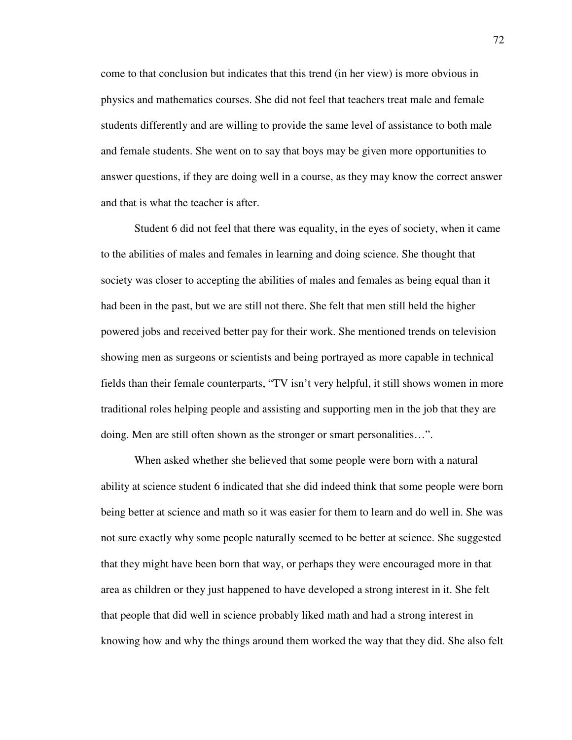come to that conclusion but indicates that this trend (in her view) is more obvious in physics and mathematics courses. She did not feel that teachers treat male and female students differently and are willing to provide the same level of assistance to both male and female students. She went on to say that boys may be given more opportunities to answer questions, if they are doing well in a course, as they may know the correct answer and that is what the teacher is after.

 Student 6 did not feel that there was equality, in the eyes of society, when it came to the abilities of males and females in learning and doing science. She thought that society was closer to accepting the abilities of males and females as being equal than it had been in the past, but we are still not there. She felt that men still held the higher powered jobs and received better pay for their work. She mentioned trends on television showing men as surgeons or scientists and being portrayed as more capable in technical fields than their female counterparts, "TV isn't very helpful, it still shows women in more traditional roles helping people and assisting and supporting men in the job that they are doing. Men are still often shown as the stronger or smart personalities…".

 When asked whether she believed that some people were born with a natural ability at science student 6 indicated that she did indeed think that some people were born being better at science and math so it was easier for them to learn and do well in. She was not sure exactly why some people naturally seemed to be better at science. She suggested that they might have been born that way, or perhaps they were encouraged more in that area as children or they just happened to have developed a strong interest in it. She felt that people that did well in science probably liked math and had a strong interest in knowing how and why the things around them worked the way that they did. She also felt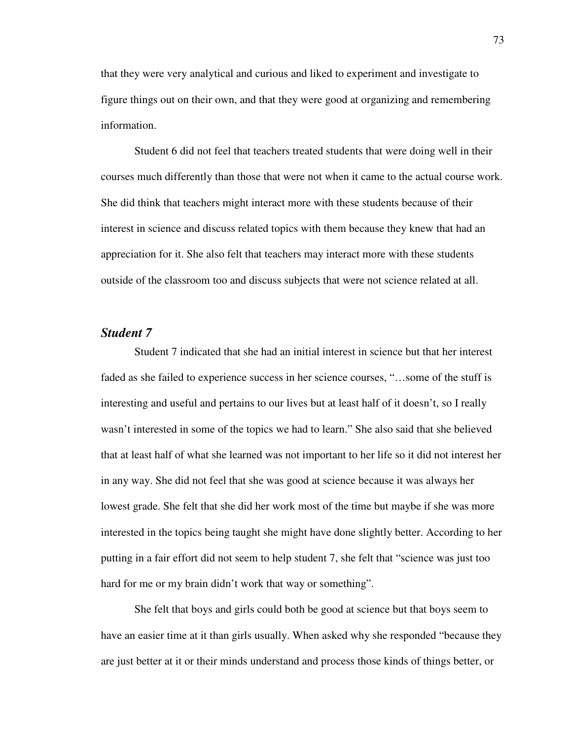that they were very analytical and curious and liked to experiment and investigate to figure things out on their own, and that they were good at organizing and remembering information.

 Student 6 did not feel that teachers treated students that were doing well in their courses much differently than those that were not when it came to the actual course work. She did think that teachers might interact more with these students because of their interest in science and discuss related topics with them because they knew that had an appreciation for it. She also felt that teachers may interact more with these students outside of the classroom too and discuss subjects that were not science related at all.

## *Student 7*

 Student 7 indicated that she had an initial interest in science but that her interest faded as she failed to experience success in her science courses, "…some of the stuff is interesting and useful and pertains to our lives but at least half of it doesn't, so I really wasn't interested in some of the topics we had to learn." She also said that she believed that at least half of what she learned was not important to her life so it did not interest her in any way. She did not feel that she was good at science because it was always her lowest grade. She felt that she did her work most of the time but maybe if she was more interested in the topics being taught she might have done slightly better. According to her putting in a fair effort did not seem to help student 7, she felt that "science was just too hard for me or my brain didn't work that way or something".

 She felt that boys and girls could both be good at science but that boys seem to have an easier time at it than girls usually. When asked why she responded "because they are just better at it or their minds understand and process those kinds of things better, or

73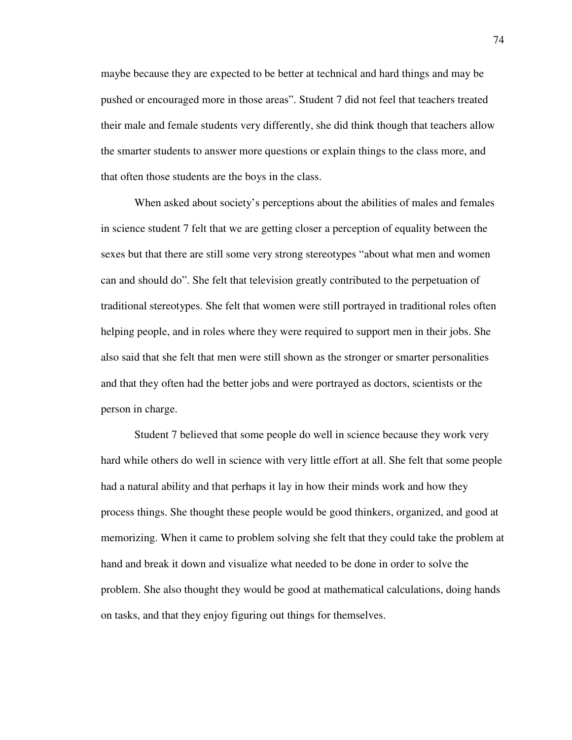maybe because they are expected to be better at technical and hard things and may be pushed or encouraged more in those areas". Student 7 did not feel that teachers treated their male and female students very differently, she did think though that teachers allow the smarter students to answer more questions or explain things to the class more, and that often those students are the boys in the class.

 When asked about society's perceptions about the abilities of males and females in science student 7 felt that we are getting closer a perception of equality between the sexes but that there are still some very strong stereotypes "about what men and women can and should do". She felt that television greatly contributed to the perpetuation of traditional stereotypes. She felt that women were still portrayed in traditional roles often helping people, and in roles where they were required to support men in their jobs. She also said that she felt that men were still shown as the stronger or smarter personalities and that they often had the better jobs and were portrayed as doctors, scientists or the person in charge.

 Student 7 believed that some people do well in science because they work very hard while others do well in science with very little effort at all. She felt that some people had a natural ability and that perhaps it lay in how their minds work and how they process things. She thought these people would be good thinkers, organized, and good at memorizing. When it came to problem solving she felt that they could take the problem at hand and break it down and visualize what needed to be done in order to solve the problem. She also thought they would be good at mathematical calculations, doing hands on tasks, and that they enjoy figuring out things for themselves.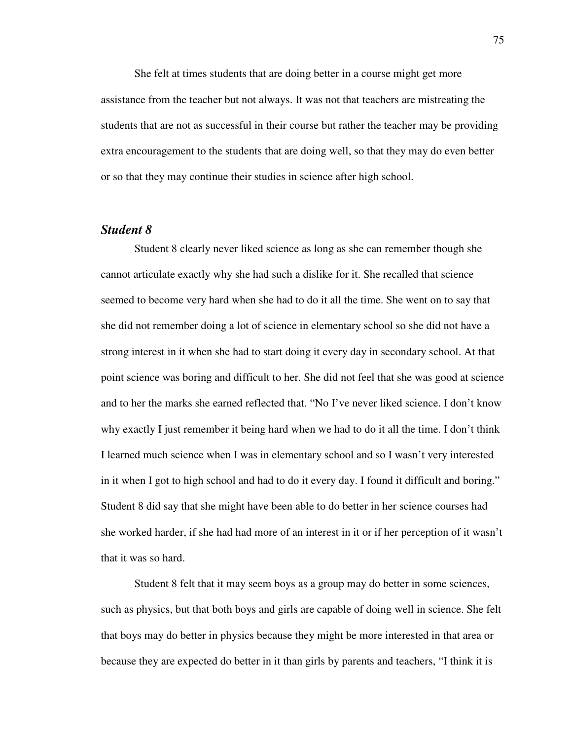She felt at times students that are doing better in a course might get more assistance from the teacher but not always. It was not that teachers are mistreating the students that are not as successful in their course but rather the teacher may be providing extra encouragement to the students that are doing well, so that they may do even better or so that they may continue their studies in science after high school.

#### *Student 8*

 Student 8 clearly never liked science as long as she can remember though she cannot articulate exactly why she had such a dislike for it. She recalled that science seemed to become very hard when she had to do it all the time. She went on to say that she did not remember doing a lot of science in elementary school so she did not have a strong interest in it when she had to start doing it every day in secondary school. At that point science was boring and difficult to her. She did not feel that she was good at science and to her the marks she earned reflected that. "No I've never liked science. I don't know why exactly I just remember it being hard when we had to do it all the time. I don't think I learned much science when I was in elementary school and so I wasn't very interested in it when I got to high school and had to do it every day. I found it difficult and boring." Student 8 did say that she might have been able to do better in her science courses had she worked harder, if she had had more of an interest in it or if her perception of it wasn't that it was so hard.

 Student 8 felt that it may seem boys as a group may do better in some sciences, such as physics, but that both boys and girls are capable of doing well in science. She felt that boys may do better in physics because they might be more interested in that area or because they are expected do better in it than girls by parents and teachers, "I think it is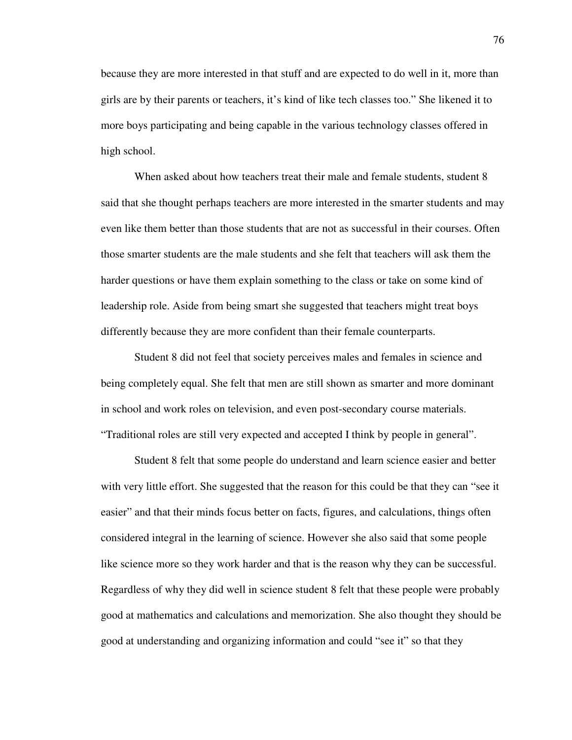because they are more interested in that stuff and are expected to do well in it, more than girls are by their parents or teachers, it's kind of like tech classes too." She likened it to more boys participating and being capable in the various technology classes offered in high school.

When asked about how teachers treat their male and female students, student 8 said that she thought perhaps teachers are more interested in the smarter students and may even like them better than those students that are not as successful in their courses. Often those smarter students are the male students and she felt that teachers will ask them the harder questions or have them explain something to the class or take on some kind of leadership role. Aside from being smart she suggested that teachers might treat boys differently because they are more confident than their female counterparts.

 Student 8 did not feel that society perceives males and females in science and being completely equal. She felt that men are still shown as smarter and more dominant in school and work roles on television, and even post-secondary course materials. "Traditional roles are still very expected and accepted I think by people in general".

 Student 8 felt that some people do understand and learn science easier and better with very little effort. She suggested that the reason for this could be that they can "see it easier" and that their minds focus better on facts, figures, and calculations, things often considered integral in the learning of science. However she also said that some people like science more so they work harder and that is the reason why they can be successful. Regardless of why they did well in science student 8 felt that these people were probably good at mathematics and calculations and memorization. She also thought they should be good at understanding and organizing information and could "see it" so that they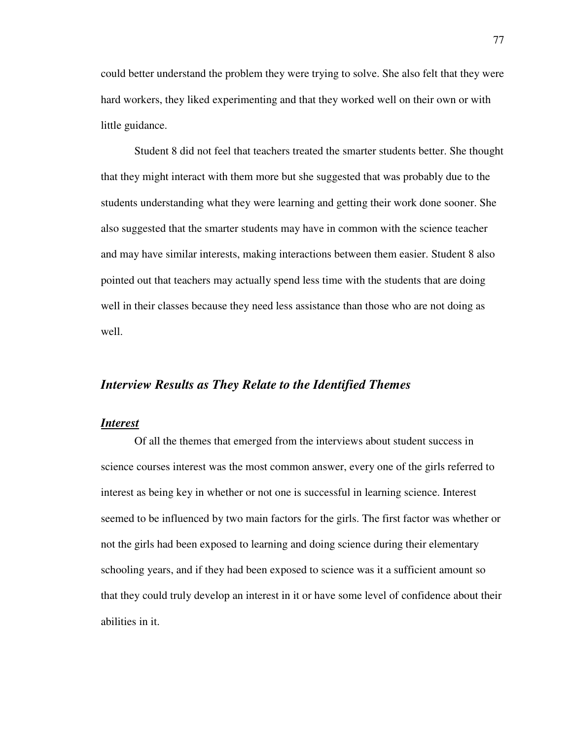could better understand the problem they were trying to solve. She also felt that they were hard workers, they liked experimenting and that they worked well on their own or with little guidance.

 Student 8 did not feel that teachers treated the smarter students better. She thought that they might interact with them more but she suggested that was probably due to the students understanding what they were learning and getting their work done sooner. She also suggested that the smarter students may have in common with the science teacher and may have similar interests, making interactions between them easier. Student 8 also pointed out that teachers may actually spend less time with the students that are doing well in their classes because they need less assistance than those who are not doing as well.

#### *Interview Results as They Relate to the Identified Themes*

#### *Interest*

 Of all the themes that emerged from the interviews about student success in science courses interest was the most common answer, every one of the girls referred to interest as being key in whether or not one is successful in learning science. Interest seemed to be influenced by two main factors for the girls. The first factor was whether or not the girls had been exposed to learning and doing science during their elementary schooling years, and if they had been exposed to science was it a sufficient amount so that they could truly develop an interest in it or have some level of confidence about their abilities in it.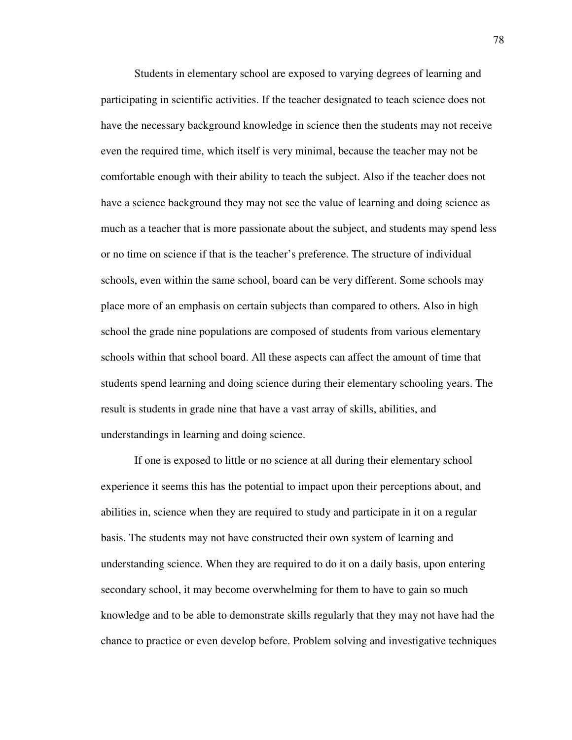Students in elementary school are exposed to varying degrees of learning and participating in scientific activities. If the teacher designated to teach science does not have the necessary background knowledge in science then the students may not receive even the required time, which itself is very minimal, because the teacher may not be comfortable enough with their ability to teach the subject. Also if the teacher does not have a science background they may not see the value of learning and doing science as much as a teacher that is more passionate about the subject, and students may spend less or no time on science if that is the teacher's preference. The structure of individual schools, even within the same school, board can be very different. Some schools may place more of an emphasis on certain subjects than compared to others. Also in high school the grade nine populations are composed of students from various elementary schools within that school board. All these aspects can affect the amount of time that students spend learning and doing science during their elementary schooling years. The result is students in grade nine that have a vast array of skills, abilities, and understandings in learning and doing science.

 If one is exposed to little or no science at all during their elementary school experience it seems this has the potential to impact upon their perceptions about, and abilities in, science when they are required to study and participate in it on a regular basis. The students may not have constructed their own system of learning and understanding science. When they are required to do it on a daily basis, upon entering secondary school, it may become overwhelming for them to have to gain so much knowledge and to be able to demonstrate skills regularly that they may not have had the chance to practice or even develop before. Problem solving and investigative techniques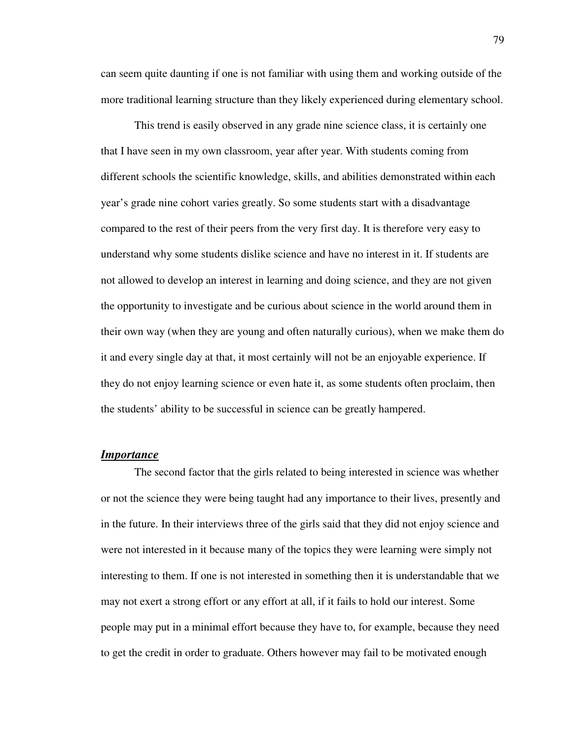can seem quite daunting if one is not familiar with using them and working outside of the more traditional learning structure than they likely experienced during elementary school.

 This trend is easily observed in any grade nine science class, it is certainly one that I have seen in my own classroom, year after year. With students coming from different schools the scientific knowledge, skills, and abilities demonstrated within each year's grade nine cohort varies greatly. So some students start with a disadvantage compared to the rest of their peers from the very first day. It is therefore very easy to understand why some students dislike science and have no interest in it. If students are not allowed to develop an interest in learning and doing science, and they are not given the opportunity to investigate and be curious about science in the world around them in their own way (when they are young and often naturally curious), when we make them do it and every single day at that, it most certainly will not be an enjoyable experience. If they do not enjoy learning science or even hate it, as some students often proclaim, then the students' ability to be successful in science can be greatly hampered.

#### *Importance*

 The second factor that the girls related to being interested in science was whether or not the science they were being taught had any importance to their lives, presently and in the future. In their interviews three of the girls said that they did not enjoy science and were not interested in it because many of the topics they were learning were simply not interesting to them. If one is not interested in something then it is understandable that we may not exert a strong effort or any effort at all, if it fails to hold our interest. Some people may put in a minimal effort because they have to, for example, because they need to get the credit in order to graduate. Others however may fail to be motivated enough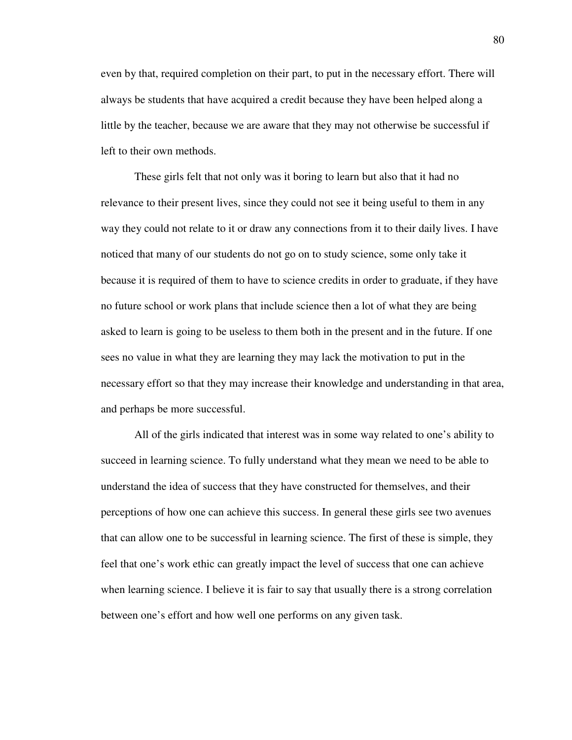even by that, required completion on their part, to put in the necessary effort. There will always be students that have acquired a credit because they have been helped along a little by the teacher, because we are aware that they may not otherwise be successful if left to their own methods.

These girls felt that not only was it boring to learn but also that it had no relevance to their present lives, since they could not see it being useful to them in any way they could not relate to it or draw any connections from it to their daily lives. I have noticed that many of our students do not go on to study science, some only take it because it is required of them to have to science credits in order to graduate, if they have no future school or work plans that include science then a lot of what they are being asked to learn is going to be useless to them both in the present and in the future. If one sees no value in what they are learning they may lack the motivation to put in the necessary effort so that they may increase their knowledge and understanding in that area, and perhaps be more successful.

All of the girls indicated that interest was in some way related to one's ability to succeed in learning science. To fully understand what they mean we need to be able to understand the idea of success that they have constructed for themselves, and their perceptions of how one can achieve this success. In general these girls see two avenues that can allow one to be successful in learning science. The first of these is simple, they feel that one's work ethic can greatly impact the level of success that one can achieve when learning science. I believe it is fair to say that usually there is a strong correlation between one's effort and how well one performs on any given task.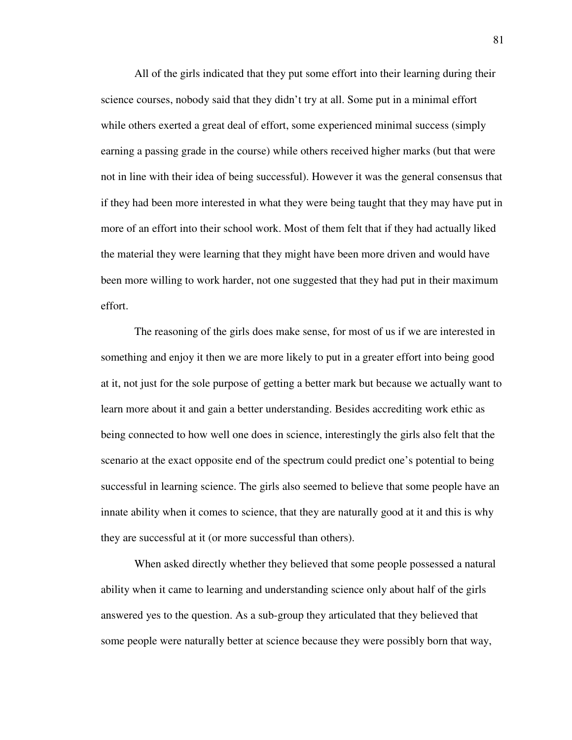All of the girls indicated that they put some effort into their learning during their science courses, nobody said that they didn't try at all. Some put in a minimal effort while others exerted a great deal of effort, some experienced minimal success (simply earning a passing grade in the course) while others received higher marks (but that were not in line with their idea of being successful). However it was the general consensus that if they had been more interested in what they were being taught that they may have put in more of an effort into their school work. Most of them felt that if they had actually liked the material they were learning that they might have been more driven and would have been more willing to work harder, not one suggested that they had put in their maximum effort.

The reasoning of the girls does make sense, for most of us if we are interested in something and enjoy it then we are more likely to put in a greater effort into being good at it, not just for the sole purpose of getting a better mark but because we actually want to learn more about it and gain a better understanding. Besides accrediting work ethic as being connected to how well one does in science, interestingly the girls also felt that the scenario at the exact opposite end of the spectrum could predict one's potential to being successful in learning science. The girls also seemed to believe that some people have an innate ability when it comes to science, that they are naturally good at it and this is why they are successful at it (or more successful than others).

When asked directly whether they believed that some people possessed a natural ability when it came to learning and understanding science only about half of the girls answered yes to the question. As a sub-group they articulated that they believed that some people were naturally better at science because they were possibly born that way,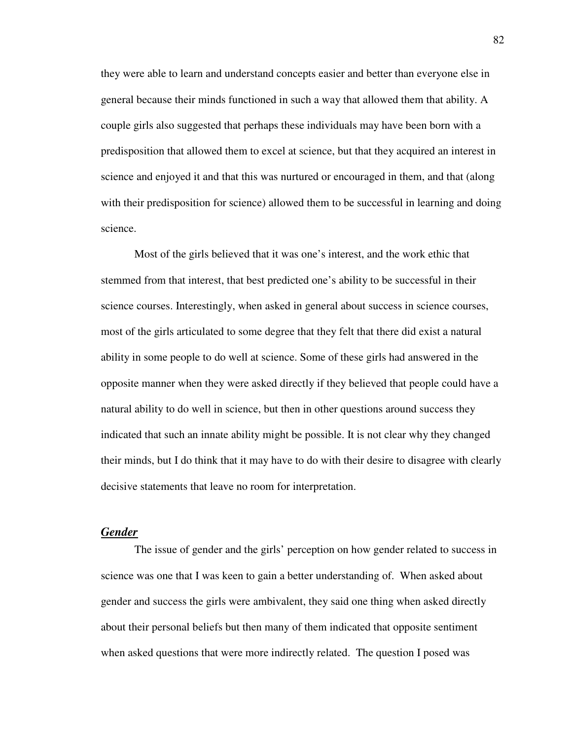they were able to learn and understand concepts easier and better than everyone else in general because their minds functioned in such a way that allowed them that ability. A couple girls also suggested that perhaps these individuals may have been born with a predisposition that allowed them to excel at science, but that they acquired an interest in science and enjoyed it and that this was nurtured or encouraged in them, and that (along with their predisposition for science) allowed them to be successful in learning and doing science.

Most of the girls believed that it was one's interest, and the work ethic that stemmed from that interest, that best predicted one's ability to be successful in their science courses. Interestingly, when asked in general about success in science courses, most of the girls articulated to some degree that they felt that there did exist a natural ability in some people to do well at science. Some of these girls had answered in the opposite manner when they were asked directly if they believed that people could have a natural ability to do well in science, but then in other questions around success they indicated that such an innate ability might be possible. It is not clear why they changed their minds, but I do think that it may have to do with their desire to disagree with clearly decisive statements that leave no room for interpretation.

#### *Gender*

The issue of gender and the girls' perception on how gender related to success in science was one that I was keen to gain a better understanding of. When asked about gender and success the girls were ambivalent, they said one thing when asked directly about their personal beliefs but then many of them indicated that opposite sentiment when asked questions that were more indirectly related. The question I posed was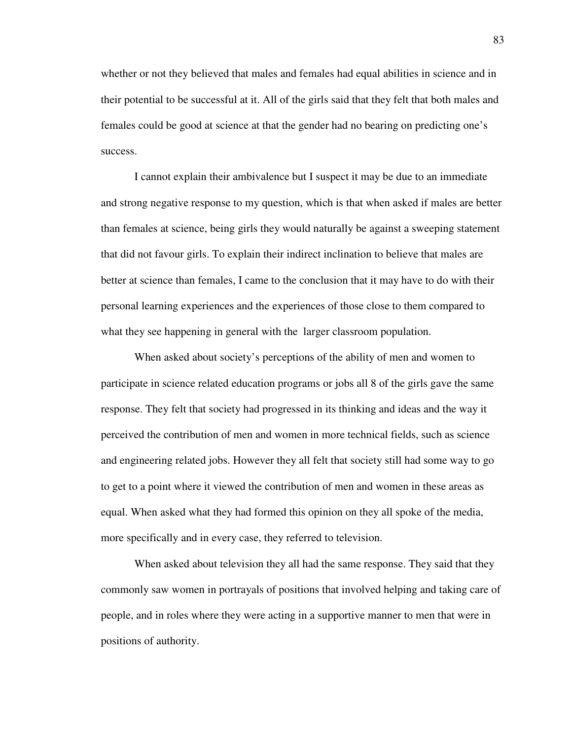whether or not they believed that males and females had equal abilities in science and in their potential to be successful at it. All of the girls said that they felt that both males and females could be good at science at that the gender had no bearing on predicting one's success.

I cannot explain their ambivalence but I suspect it may be due to an immediate and strong negative response to my question, which is that when asked if males are better than females at science, being girls they would naturally be against a sweeping statement that did not favour girls. To explain their indirect inclination to believe that males are better at science than females, I came to the conclusion that it may have to do with their personal learning experiences and the experiences of those close to them compared to what they see happening in general with the larger classroom population.

When asked about society's perceptions of the ability of men and women to participate in science related education programs or jobs all 8 of the girls gave the same response. They felt that society had progressed in its thinking and ideas and the way it perceived the contribution of men and women in more technical fields, such as science and engineering related jobs. However they all felt that society still had some way to go to get to a point where it viewed the contribution of men and women in these areas as equal. When asked what they had formed this opinion on they all spoke of the media, more specifically and in every case, they referred to television.

 When asked about television they all had the same response. They said that they commonly saw women in portrayals of positions that involved helping and taking care of people, and in roles where they were acting in a supportive manner to men that were in positions of authority.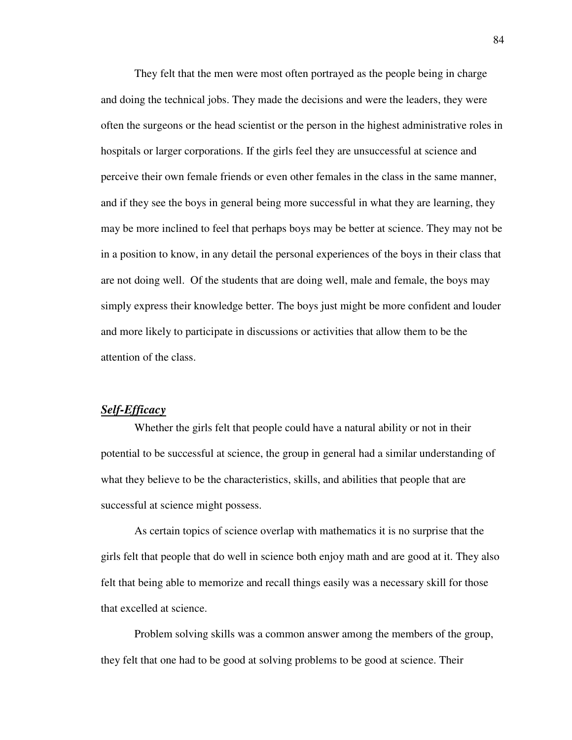They felt that the men were most often portrayed as the people being in charge and doing the technical jobs. They made the decisions and were the leaders, they were often the surgeons or the head scientist or the person in the highest administrative roles in hospitals or larger corporations. If the girls feel they are unsuccessful at science and perceive their own female friends or even other females in the class in the same manner, and if they see the boys in general being more successful in what they are learning, they may be more inclined to feel that perhaps boys may be better at science. They may not be in a position to know, in any detail the personal experiences of the boys in their class that are not doing well. Of the students that are doing well, male and female, the boys may simply express their knowledge better. The boys just might be more confident and louder and more likely to participate in discussions or activities that allow them to be the attention of the class.

#### *Self-Efficacy*

 Whether the girls felt that people could have a natural ability or not in their potential to be successful at science, the group in general had a similar understanding of what they believe to be the characteristics, skills, and abilities that people that are successful at science might possess.

 As certain topics of science overlap with mathematics it is no surprise that the girls felt that people that do well in science both enjoy math and are good at it. They also felt that being able to memorize and recall things easily was a necessary skill for those that excelled at science.

Problem solving skills was a common answer among the members of the group, they felt that one had to be good at solving problems to be good at science. Their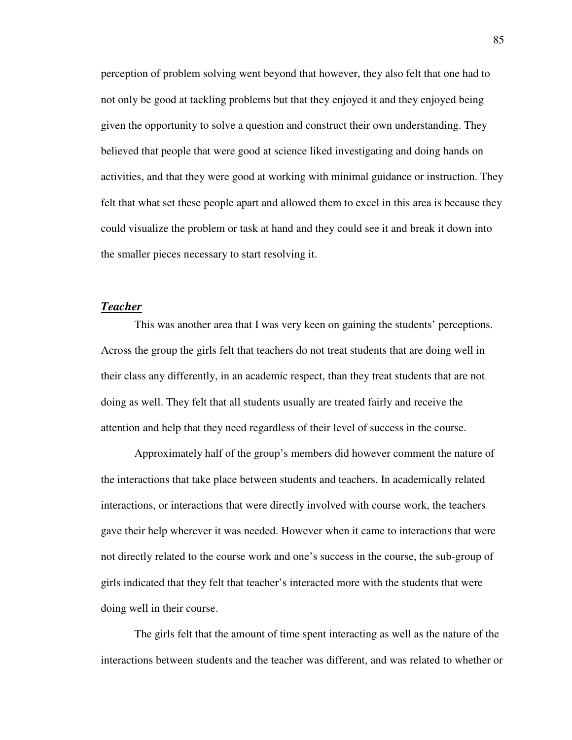perception of problem solving went beyond that however, they also felt that one had to not only be good at tackling problems but that they enjoyed it and they enjoyed being given the opportunity to solve a question and construct their own understanding. They believed that people that were good at science liked investigating and doing hands on activities, and that they were good at working with minimal guidance or instruction. They felt that what set these people apart and allowed them to excel in this area is because they could visualize the problem or task at hand and they could see it and break it down into the smaller pieces necessary to start resolving it.

#### *Teacher*

 This was another area that I was very keen on gaining the students' perceptions. Across the group the girls felt that teachers do not treat students that are doing well in their class any differently, in an academic respect, than they treat students that are not doing as well. They felt that all students usually are treated fairly and receive the attention and help that they need regardless of their level of success in the course.

 Approximately half of the group's members did however comment the nature of the interactions that take place between students and teachers. In academically related interactions, or interactions that were directly involved with course work, the teachers gave their help wherever it was needed. However when it came to interactions that were not directly related to the course work and one's success in the course, the sub-group of girls indicated that they felt that teacher's interacted more with the students that were doing well in their course.

 The girls felt that the amount of time spent interacting as well as the nature of the interactions between students and the teacher was different, and was related to whether or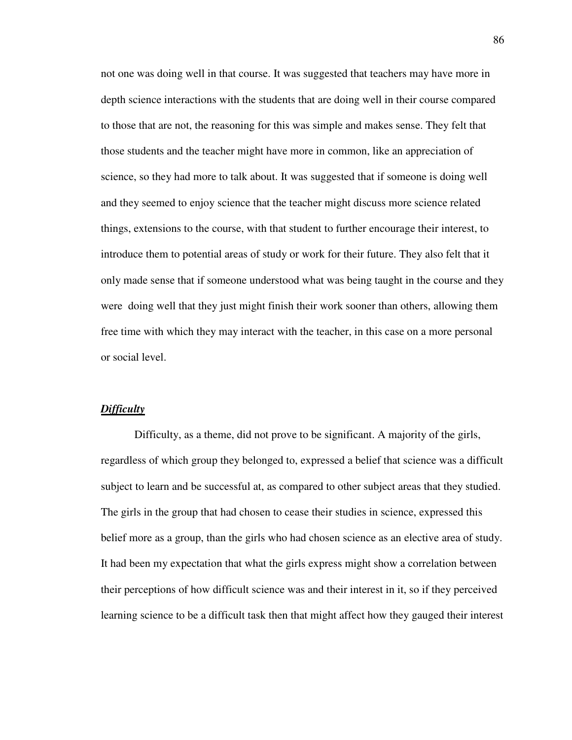not one was doing well in that course. It was suggested that teachers may have more in depth science interactions with the students that are doing well in their course compared to those that are not, the reasoning for this was simple and makes sense. They felt that those students and the teacher might have more in common, like an appreciation of science, so they had more to talk about. It was suggested that if someone is doing well and they seemed to enjoy science that the teacher might discuss more science related things, extensions to the course, with that student to further encourage their interest, to introduce them to potential areas of study or work for their future. They also felt that it only made sense that if someone understood what was being taught in the course and they were doing well that they just might finish their work sooner than others, allowing them free time with which they may interact with the teacher, in this case on a more personal or social level.

#### *Difficulty*

 Difficulty, as a theme, did not prove to be significant. A majority of the girls, regardless of which group they belonged to, expressed a belief that science was a difficult subject to learn and be successful at, as compared to other subject areas that they studied. The girls in the group that had chosen to cease their studies in science, expressed this belief more as a group, than the girls who had chosen science as an elective area of study. It had been my expectation that what the girls express might show a correlation between their perceptions of how difficult science was and their interest in it, so if they perceived learning science to be a difficult task then that might affect how they gauged their interest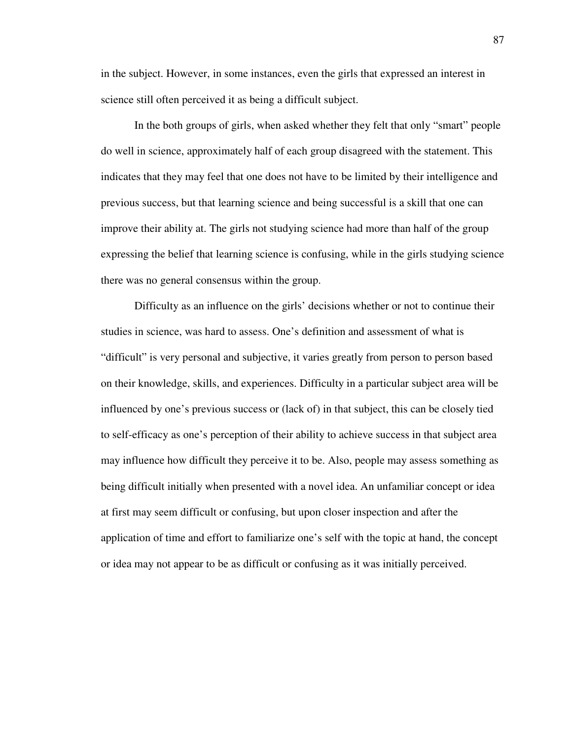in the subject. However, in some instances, even the girls that expressed an interest in science still often perceived it as being a difficult subject.

 In the both groups of girls, when asked whether they felt that only "smart" people do well in science, approximately half of each group disagreed with the statement. This indicates that they may feel that one does not have to be limited by their intelligence and previous success, but that learning science and being successful is a skill that one can improve their ability at. The girls not studying science had more than half of the group expressing the belief that learning science is confusing, while in the girls studying science there was no general consensus within the group.

 Difficulty as an influence on the girls' decisions whether or not to continue their studies in science, was hard to assess. One's definition and assessment of what is "difficult" is very personal and subjective, it varies greatly from person to person based on their knowledge, skills, and experiences. Difficulty in a particular subject area will be influenced by one's previous success or (lack of) in that subject, this can be closely tied to self-efficacy as one's perception of their ability to achieve success in that subject area may influence how difficult they perceive it to be. Also, people may assess something as being difficult initially when presented with a novel idea. An unfamiliar concept or idea at first may seem difficult or confusing, but upon closer inspection and after the application of time and effort to familiarize one's self with the topic at hand, the concept or idea may not appear to be as difficult or confusing as it was initially perceived.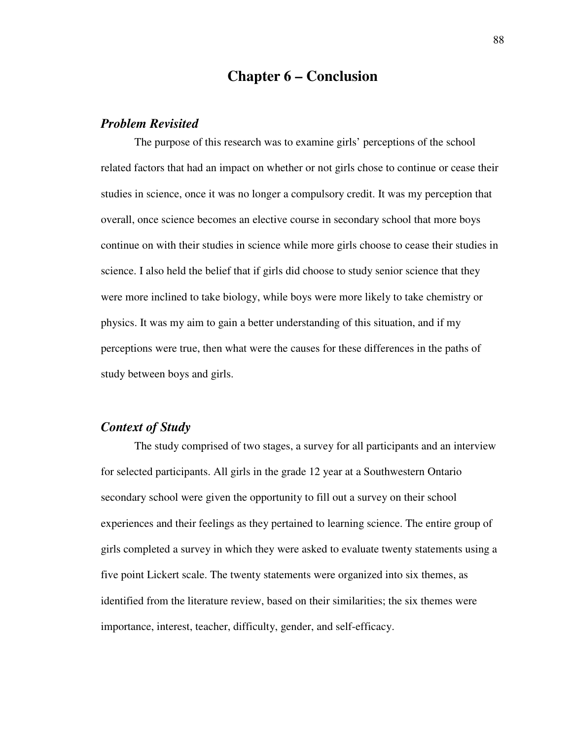# **Chapter 6 – Conclusion**

## *Problem Revisited*

 The purpose of this research was to examine girls' perceptions of the school related factors that had an impact on whether or not girls chose to continue or cease their studies in science, once it was no longer a compulsory credit. It was my perception that overall, once science becomes an elective course in secondary school that more boys continue on with their studies in science while more girls choose to cease their studies in science. I also held the belief that if girls did choose to study senior science that they were more inclined to take biology, while boys were more likely to take chemistry or physics. It was my aim to gain a better understanding of this situation, and if my perceptions were true, then what were the causes for these differences in the paths of study between boys and girls.

## *Context of Study*

The study comprised of two stages, a survey for all participants and an interview for selected participants. All girls in the grade 12 year at a Southwestern Ontario secondary school were given the opportunity to fill out a survey on their school experiences and their feelings as they pertained to learning science. The entire group of girls completed a survey in which they were asked to evaluate twenty statements using a five point Lickert scale. The twenty statements were organized into six themes, as identified from the literature review, based on their similarities; the six themes were importance, interest, teacher, difficulty, gender, and self-efficacy.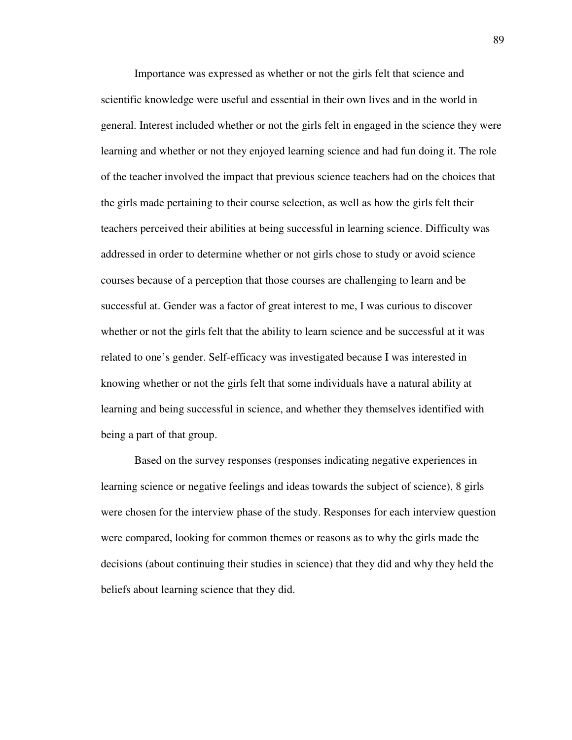Importance was expressed as whether or not the girls felt that science and scientific knowledge were useful and essential in their own lives and in the world in general. Interest included whether or not the girls felt in engaged in the science they were learning and whether or not they enjoyed learning science and had fun doing it. The role of the teacher involved the impact that previous science teachers had on the choices that the girls made pertaining to their course selection, as well as how the girls felt their teachers perceived their abilities at being successful in learning science. Difficulty was addressed in order to determine whether or not girls chose to study or avoid science courses because of a perception that those courses are challenging to learn and be successful at. Gender was a factor of great interest to me, I was curious to discover whether or not the girls felt that the ability to learn science and be successful at it was related to one's gender. Self-efficacy was investigated because I was interested in knowing whether or not the girls felt that some individuals have a natural ability at learning and being successful in science, and whether they themselves identified with being a part of that group.

Based on the survey responses (responses indicating negative experiences in learning science or negative feelings and ideas towards the subject of science), 8 girls were chosen for the interview phase of the study. Responses for each interview question were compared, looking for common themes or reasons as to why the girls made the decisions (about continuing their studies in science) that they did and why they held the beliefs about learning science that they did.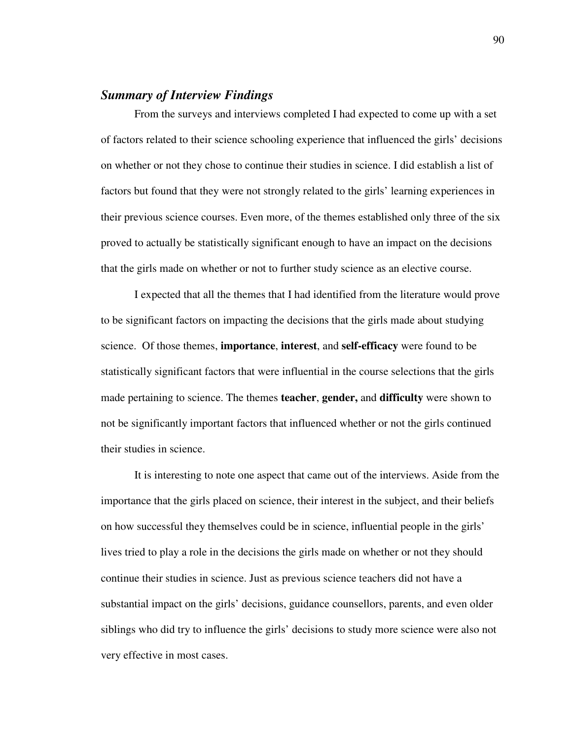## *Summary of Interview Findings*

From the surveys and interviews completed I had expected to come up with a set of factors related to their science schooling experience that influenced the girls' decisions on whether or not they chose to continue their studies in science. I did establish a list of factors but found that they were not strongly related to the girls' learning experiences in their previous science courses. Even more, of the themes established only three of the six proved to actually be statistically significant enough to have an impact on the decisions that the girls made on whether or not to further study science as an elective course.

 I expected that all the themes that I had identified from the literature would prove to be significant factors on impacting the decisions that the girls made about studying science. Of those themes, **importance**, **interest**, and **self-efficacy** were found to be statistically significant factors that were influential in the course selections that the girls made pertaining to science. The themes **teacher**, **gender,** and **difficulty** were shown to not be significantly important factors that influenced whether or not the girls continued their studies in science.

 It is interesting to note one aspect that came out of the interviews. Aside from the importance that the girls placed on science, their interest in the subject, and their beliefs on how successful they themselves could be in science, influential people in the girls' lives tried to play a role in the decisions the girls made on whether or not they should continue their studies in science. Just as previous science teachers did not have a substantial impact on the girls' decisions, guidance counsellors, parents, and even older siblings who did try to influence the girls' decisions to study more science were also not very effective in most cases.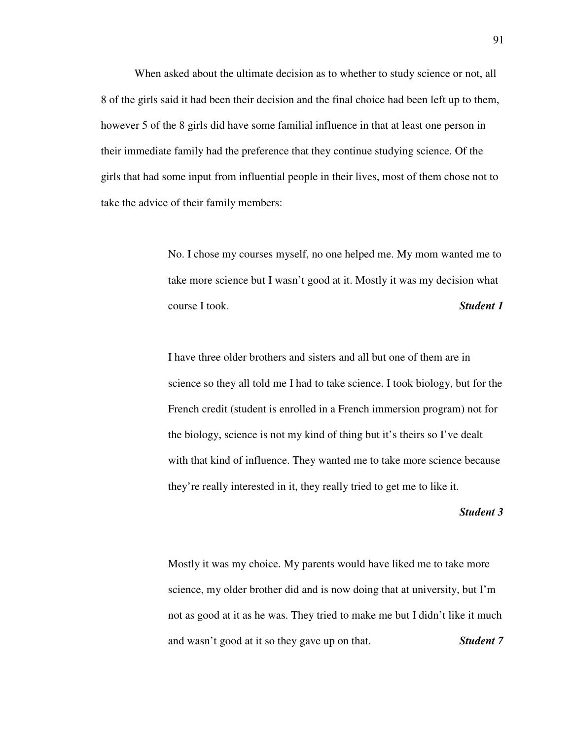When asked about the ultimate decision as to whether to study science or not, all 8 of the girls said it had been their decision and the final choice had been left up to them, however 5 of the 8 girls did have some familial influence in that at least one person in their immediate family had the preference that they continue studying science. Of the girls that had some input from influential people in their lives, most of them chose not to take the advice of their family members:

> No. I chose my courses myself, no one helped me. My mom wanted me to take more science but I wasn't good at it. Mostly it was my decision what course I took. *Student 1*

> I have three older brothers and sisters and all but one of them are in science so they all told me I had to take science. I took biology, but for the French credit (student is enrolled in a French immersion program) not for the biology, science is not my kind of thing but it's theirs so I've dealt with that kind of influence. They wanted me to take more science because they're really interested in it, they really tried to get me to like it.

#### *Student 3*

Mostly it was my choice. My parents would have liked me to take more science, my older brother did and is now doing that at university, but I'm not as good at it as he was. They tried to make me but I didn't like it much and wasn't good at it so they gave up on that. *Student 7*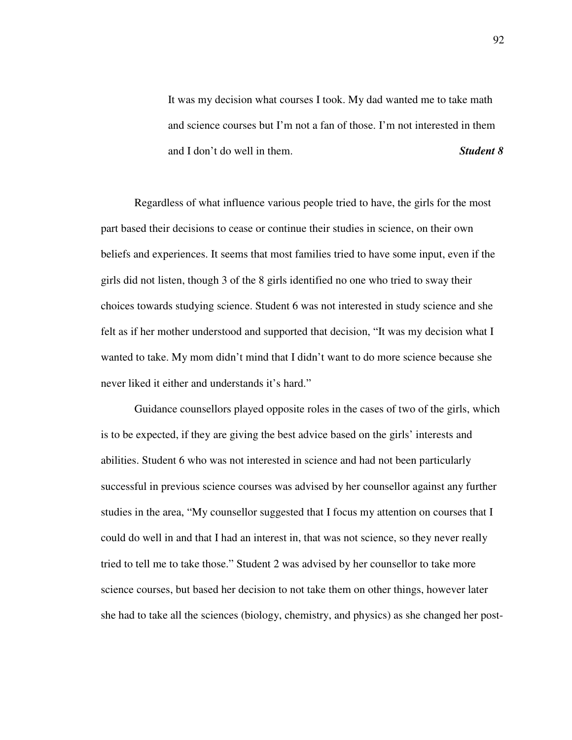It was my decision what courses I took. My dad wanted me to take math and science courses but I'm not a fan of those. I'm not interested in them and I don't do well in them. *Student 8*

Regardless of what influence various people tried to have, the girls for the most part based their decisions to cease or continue their studies in science, on their own beliefs and experiences. It seems that most families tried to have some input, even if the girls did not listen, though 3 of the 8 girls identified no one who tried to sway their choices towards studying science. Student 6 was not interested in study science and she felt as if her mother understood and supported that decision, "It was my decision what I wanted to take. My mom didn't mind that I didn't want to do more science because she never liked it either and understands it's hard."

Guidance counsellors played opposite roles in the cases of two of the girls, which is to be expected, if they are giving the best advice based on the girls' interests and abilities. Student 6 who was not interested in science and had not been particularly successful in previous science courses was advised by her counsellor against any further studies in the area, "My counsellor suggested that I focus my attention on courses that I could do well in and that I had an interest in, that was not science, so they never really tried to tell me to take those." Student 2 was advised by her counsellor to take more science courses, but based her decision to not take them on other things, however later she had to take all the sciences (biology, chemistry, and physics) as she changed her post-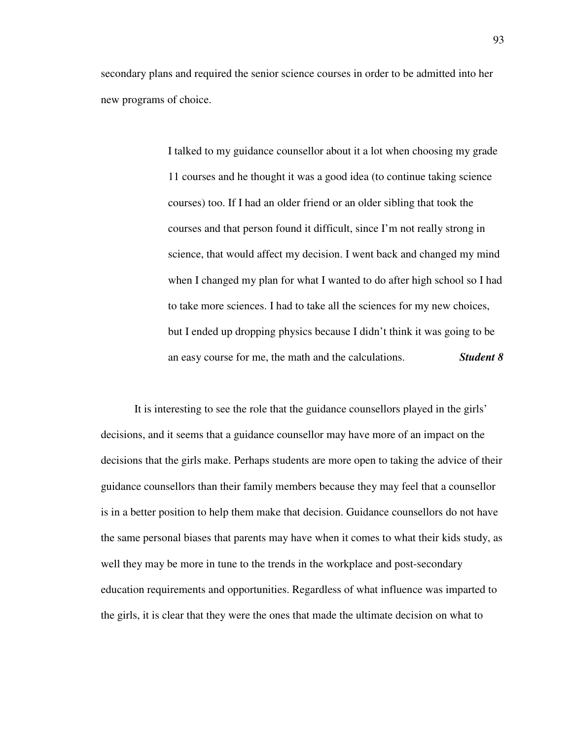secondary plans and required the senior science courses in order to be admitted into her new programs of choice.

> I talked to my guidance counsellor about it a lot when choosing my grade 11 courses and he thought it was a good idea (to continue taking science courses) too. If I had an older friend or an older sibling that took the courses and that person found it difficult, since I'm not really strong in science, that would affect my decision. I went back and changed my mind when I changed my plan for what I wanted to do after high school so I had to take more sciences. I had to take all the sciences for my new choices, but I ended up dropping physics because I didn't think it was going to be an easy course for me, the math and the calculations. *Student 8*

It is interesting to see the role that the guidance counsellors played in the girls' decisions, and it seems that a guidance counsellor may have more of an impact on the decisions that the girls make. Perhaps students are more open to taking the advice of their guidance counsellors than their family members because they may feel that a counsellor is in a better position to help them make that decision. Guidance counsellors do not have the same personal biases that parents may have when it comes to what their kids study, as well they may be more in tune to the trends in the workplace and post-secondary education requirements and opportunities. Regardless of what influence was imparted to the girls, it is clear that they were the ones that made the ultimate decision on what to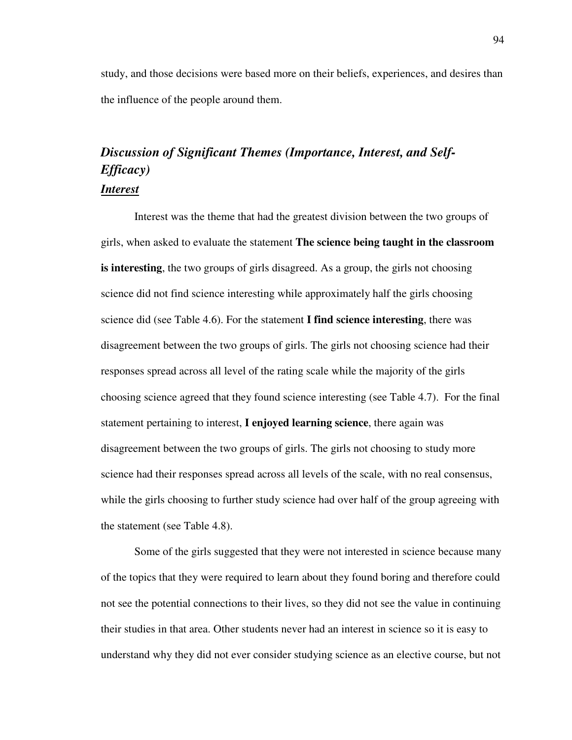study, and those decisions were based more on their beliefs, experiences, and desires than the influence of the people around them.

# *Discussion of Significant Themes (Importance, Interest, and Self-Efficacy)*

## *Interest*

Interest was the theme that had the greatest division between the two groups of girls, when asked to evaluate the statement **The science being taught in the classroom is interesting**, the two groups of girls disagreed. As a group, the girls not choosing science did not find science interesting while approximately half the girls choosing science did (see Table 4.6). For the statement **I find science interesting**, there was disagreement between the two groups of girls. The girls not choosing science had their responses spread across all level of the rating scale while the majority of the girls choosing science agreed that they found science interesting (see Table 4.7). For the final statement pertaining to interest, **I enjoyed learning science**, there again was disagreement between the two groups of girls. The girls not choosing to study more science had their responses spread across all levels of the scale, with no real consensus, while the girls choosing to further study science had over half of the group agreeing with the statement (see Table 4.8).

 Some of the girls suggested that they were not interested in science because many of the topics that they were required to learn about they found boring and therefore could not see the potential connections to their lives, so they did not see the value in continuing their studies in that area. Other students never had an interest in science so it is easy to understand why they did not ever consider studying science as an elective course, but not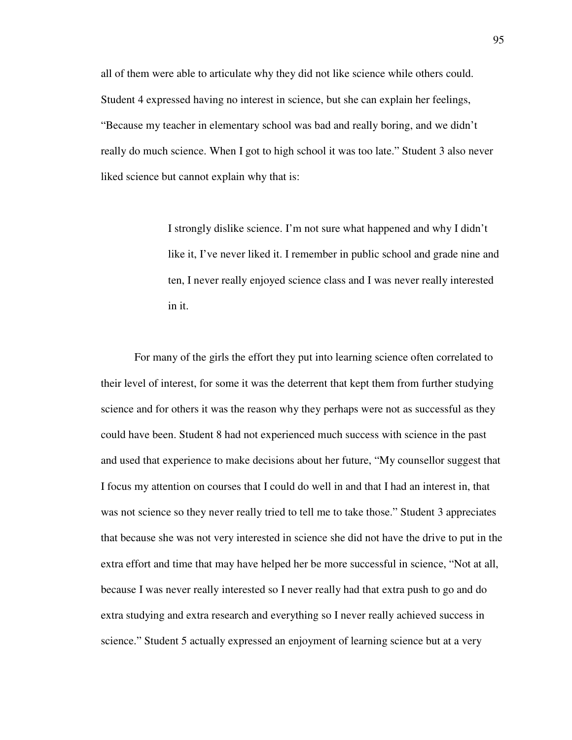all of them were able to articulate why they did not like science while others could. Student 4 expressed having no interest in science, but she can explain her feelings, "Because my teacher in elementary school was bad and really boring, and we didn't really do much science. When I got to high school it was too late." Student 3 also never liked science but cannot explain why that is:

> I strongly dislike science. I'm not sure what happened and why I didn't like it, I've never liked it. I remember in public school and grade nine and ten, I never really enjoyed science class and I was never really interested in it.

 For many of the girls the effort they put into learning science often correlated to their level of interest, for some it was the deterrent that kept them from further studying science and for others it was the reason why they perhaps were not as successful as they could have been. Student 8 had not experienced much success with science in the past and used that experience to make decisions about her future, "My counsellor suggest that I focus my attention on courses that I could do well in and that I had an interest in, that was not science so they never really tried to tell me to take those." Student 3 appreciates that because she was not very interested in science she did not have the drive to put in the extra effort and time that may have helped her be more successful in science, "Not at all, because I was never really interested so I never really had that extra push to go and do extra studying and extra research and everything so I never really achieved success in science." Student 5 actually expressed an enjoyment of learning science but at a very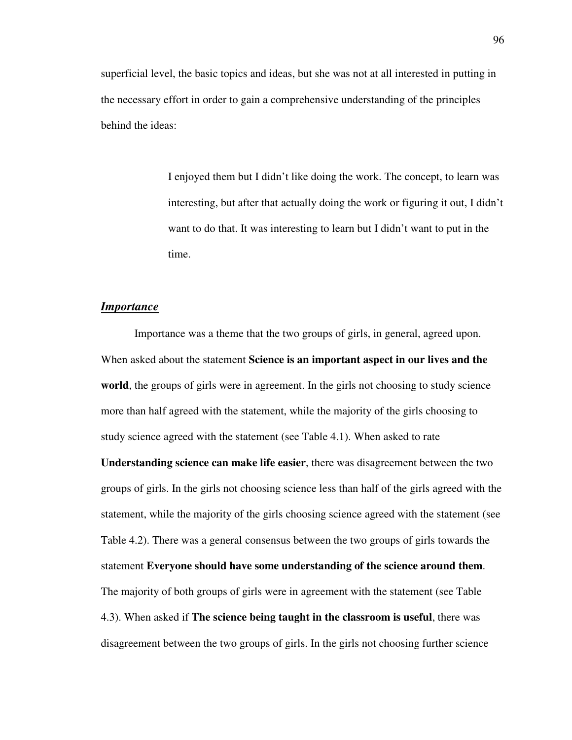superficial level, the basic topics and ideas, but she was not at all interested in putting in the necessary effort in order to gain a comprehensive understanding of the principles behind the ideas:

> I enjoyed them but I didn't like doing the work. The concept, to learn was interesting, but after that actually doing the work or figuring it out, I didn't want to do that. It was interesting to learn but I didn't want to put in the time.

#### *Importance*

 Importance was a theme that the two groups of girls, in general, agreed upon. When asked about the statement **Science is an important aspect in our lives and the**  world, the groups of girls were in agreement. In the girls not choosing to study science more than half agreed with the statement, while the majority of the girls choosing to study science agreed with the statement (see Table 4.1). When asked to rate **Understanding science can make life easier**, there was disagreement between the two groups of girls. In the girls not choosing science less than half of the girls agreed with the statement, while the majority of the girls choosing science agreed with the statement (see Table 4.2). There was a general consensus between the two groups of girls towards the statement **Everyone should have some understanding of the science around them**. The majority of both groups of girls were in agreement with the statement (see Table 4.3). When asked if **The science being taught in the classroom is useful**, there was disagreement between the two groups of girls. In the girls not choosing further science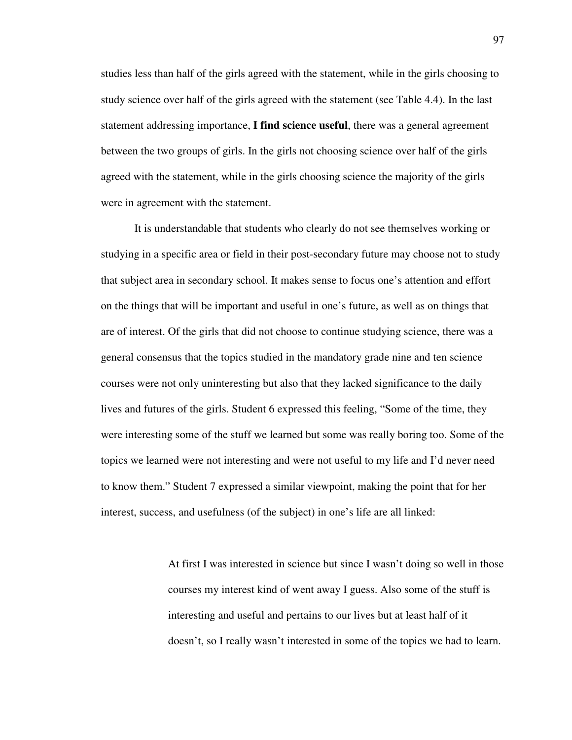studies less than half of the girls agreed with the statement, while in the girls choosing to study science over half of the girls agreed with the statement (see Table 4.4). In the last statement addressing importance, **I find science useful**, there was a general agreement between the two groups of girls. In the girls not choosing science over half of the girls agreed with the statement, while in the girls choosing science the majority of the girls were in agreement with the statement.

 It is understandable that students who clearly do not see themselves working or studying in a specific area or field in their post-secondary future may choose not to study that subject area in secondary school. It makes sense to focus one's attention and effort on the things that will be important and useful in one's future, as well as on things that are of interest. Of the girls that did not choose to continue studying science, there was a general consensus that the topics studied in the mandatory grade nine and ten science courses were not only uninteresting but also that they lacked significance to the daily lives and futures of the girls. Student 6 expressed this feeling, "Some of the time, they were interesting some of the stuff we learned but some was really boring too. Some of the topics we learned were not interesting and were not useful to my life and I'd never need to know them." Student 7 expressed a similar viewpoint, making the point that for her interest, success, and usefulness (of the subject) in one's life are all linked:

> At first I was interested in science but since I wasn't doing so well in those courses my interest kind of went away I guess. Also some of the stuff is interesting and useful and pertains to our lives but at least half of it doesn't, so I really wasn't interested in some of the topics we had to learn.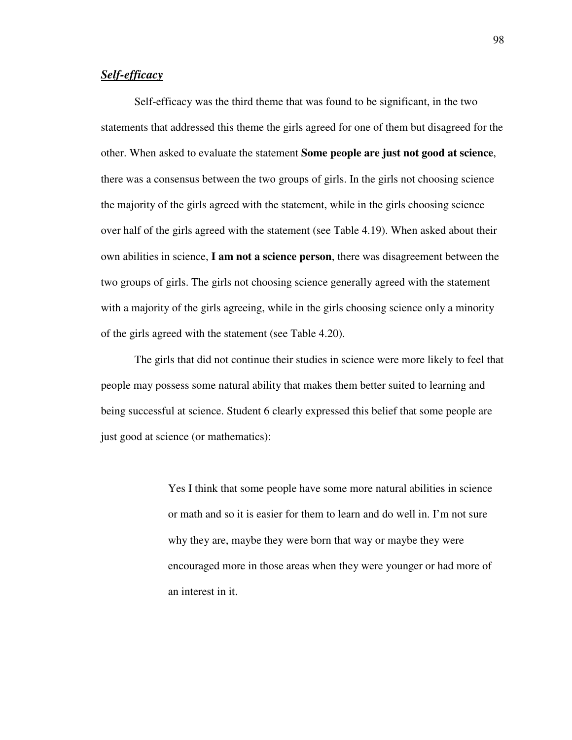#### *Self-efficacy*

Self-efficacy was the third theme that was found to be significant, in the two statements that addressed this theme the girls agreed for one of them but disagreed for the other. When asked to evaluate the statement **Some people are just not good at science**, there was a consensus between the two groups of girls. In the girls not choosing science the majority of the girls agreed with the statement, while in the girls choosing science over half of the girls agreed with the statement (see Table 4.19). When asked about their own abilities in science, **I am not a science person**, there was disagreement between the two groups of girls. The girls not choosing science generally agreed with the statement with a majority of the girls agreeing, while in the girls choosing science only a minority of the girls agreed with the statement (see Table 4.20).

The girls that did not continue their studies in science were more likely to feel that people may possess some natural ability that makes them better suited to learning and being successful at science. Student 6 clearly expressed this belief that some people are just good at science (or mathematics):

> Yes I think that some people have some more natural abilities in science or math and so it is easier for them to learn and do well in. I'm not sure why they are, maybe they were born that way or maybe they were encouraged more in those areas when they were younger or had more of an interest in it.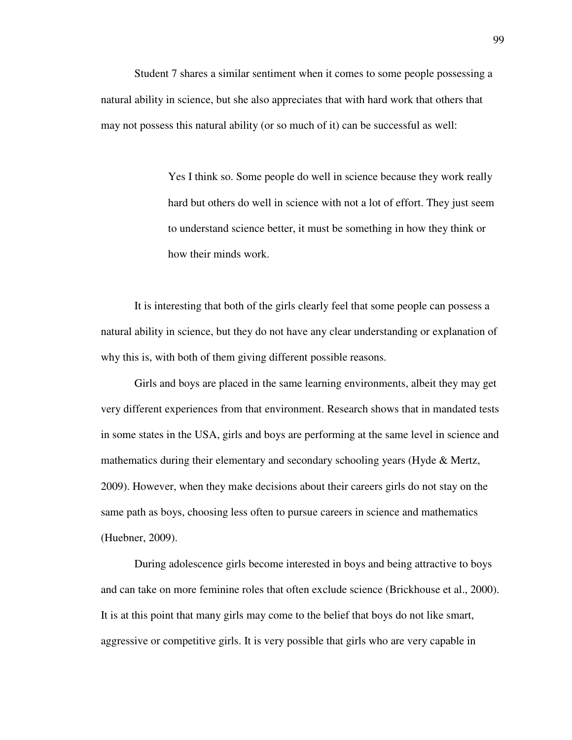Student 7 shares a similar sentiment when it comes to some people possessing a natural ability in science, but she also appreciates that with hard work that others that may not possess this natural ability (or so much of it) can be successful as well:

> Yes I think so. Some people do well in science because they work really hard but others do well in science with not a lot of effort. They just seem to understand science better, it must be something in how they think or how their minds work.

It is interesting that both of the girls clearly feel that some people can possess a natural ability in science, but they do not have any clear understanding or explanation of why this is, with both of them giving different possible reasons.

Girls and boys are placed in the same learning environments, albeit they may get very different experiences from that environment. Research shows that in mandated tests in some states in the USA, girls and boys are performing at the same level in science and mathematics during their elementary and secondary schooling years (Hyde & Mertz, 2009). However, when they make decisions about their careers girls do not stay on the same path as boys, choosing less often to pursue careers in science and mathematics (Huebner, 2009).

 During adolescence girls become interested in boys and being attractive to boys and can take on more feminine roles that often exclude science (Brickhouse et al., 2000). It is at this point that many girls may come to the belief that boys do not like smart, aggressive or competitive girls. It is very possible that girls who are very capable in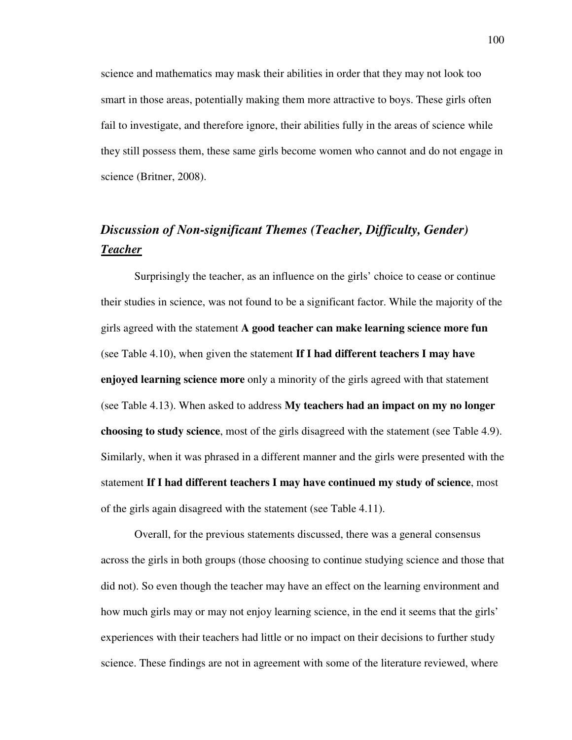science and mathematics may mask their abilities in order that they may not look too smart in those areas, potentially making them more attractive to boys. These girls often fail to investigate, and therefore ignore, their abilities fully in the areas of science while they still possess them, these same girls become women who cannot and do not engage in science (Britner, 2008).

## *Discussion of Non-significant Themes (Teacher, Difficulty, Gender) Teacher*

Surprisingly the teacher, as an influence on the girls' choice to cease or continue their studies in science, was not found to be a significant factor. While the majority of the girls agreed with the statement **A good teacher can make learning science more fun** (see Table 4.10), when given the statement **If I had different teachers I may have enjoyed learning science more** only a minority of the girls agreed with that statement (see Table 4.13). When asked to address **My teachers had an impact on my no longer choosing to study science**, most of the girls disagreed with the statement (see Table 4.9). Similarly, when it was phrased in a different manner and the girls were presented with the statement **If I had different teachers I may have continued my study of science**, most of the girls again disagreed with the statement (see Table 4.11).

Overall, for the previous statements discussed, there was a general consensus across the girls in both groups (those choosing to continue studying science and those that did not). So even though the teacher may have an effect on the learning environment and how much girls may or may not enjoy learning science, in the end it seems that the girls' experiences with their teachers had little or no impact on their decisions to further study science. These findings are not in agreement with some of the literature reviewed, where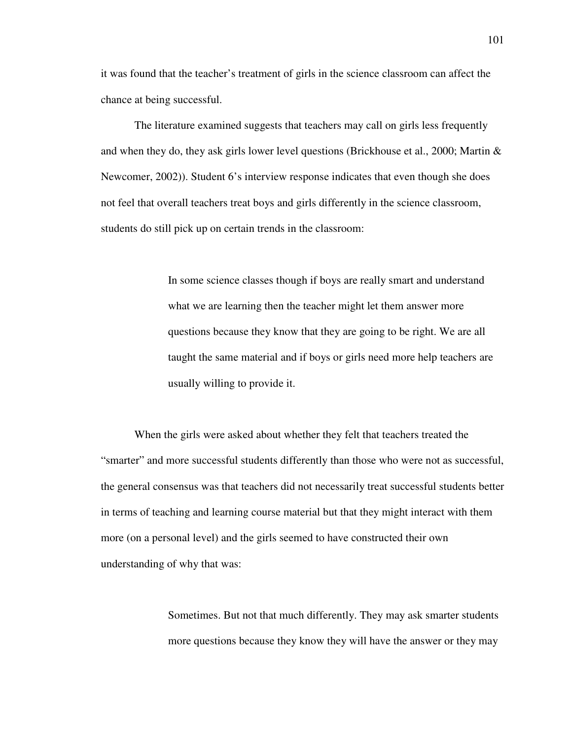it was found that the teacher's treatment of girls in the science classroom can affect the chance at being successful.

The literature examined suggests that teachers may call on girls less frequently and when they do, they ask girls lower level questions (Brickhouse et al., 2000; Martin  $\&$ Newcomer, 2002)). Student 6's interview response indicates that even though she does not feel that overall teachers treat boys and girls differently in the science classroom, students do still pick up on certain trends in the classroom:

> In some science classes though if boys are really smart and understand what we are learning then the teacher might let them answer more questions because they know that they are going to be right. We are all taught the same material and if boys or girls need more help teachers are usually willing to provide it.

When the girls were asked about whether they felt that teachers treated the "smarter" and more successful students differently than those who were not as successful, the general consensus was that teachers did not necessarily treat successful students better in terms of teaching and learning course material but that they might interact with them more (on a personal level) and the girls seemed to have constructed their own understanding of why that was:

> Sometimes. But not that much differently. They may ask smarter students more questions because they know they will have the answer or they may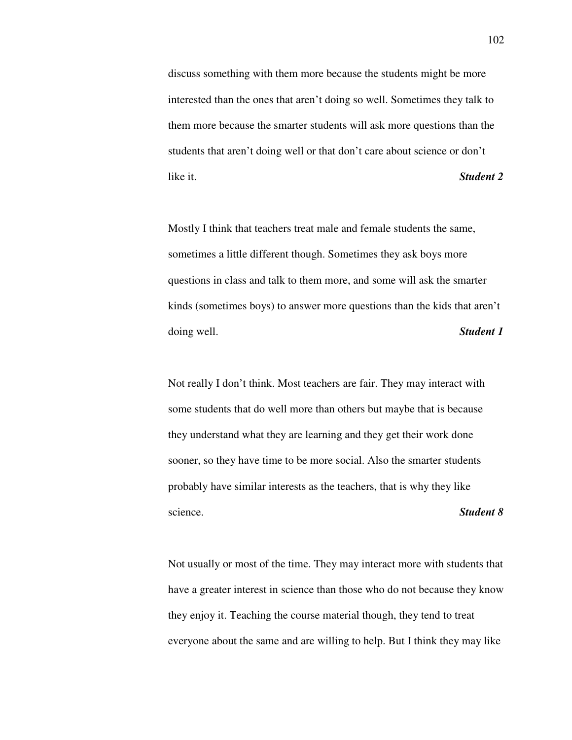discuss something with them more because the students might be more interested than the ones that aren't doing so well. Sometimes they talk to them more because the smarter students will ask more questions than the students that aren't doing well or that don't care about science or don't like it. **Student 2** 

Mostly I think that teachers treat male and female students the same, sometimes a little different though. Sometimes they ask boys more questions in class and talk to them more, and some will ask the smarter kinds (sometimes boys) to answer more questions than the kids that aren't doing well. **Student 1** 

Not really I don't think. Most teachers are fair. They may interact with some students that do well more than others but maybe that is because they understand what they are learning and they get their work done sooner, so they have time to be more social. Also the smarter students probably have similar interests as the teachers, that is why they like science. *Student 8*

Not usually or most of the time. They may interact more with students that have a greater interest in science than those who do not because they know they enjoy it. Teaching the course material though, they tend to treat everyone about the same and are willing to help. But I think they may like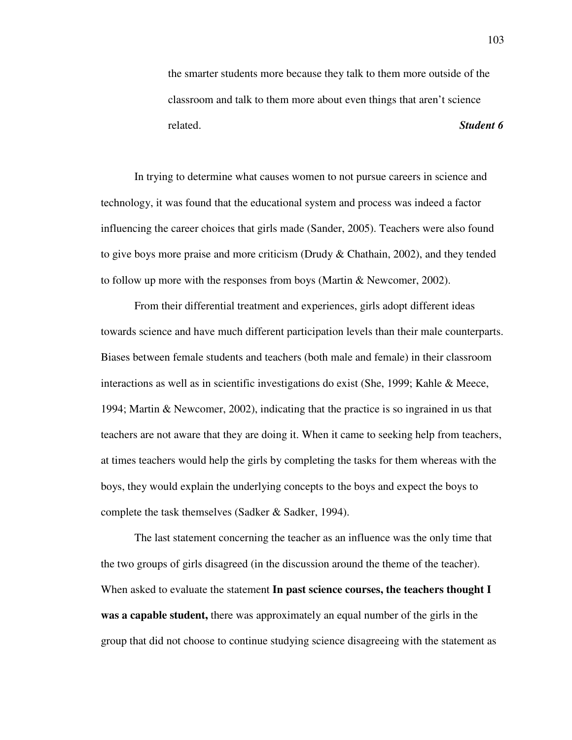the smarter students more because they talk to them more outside of the classroom and talk to them more about even things that aren't science related. *Student 6*

In trying to determine what causes women to not pursue careers in science and technology, it was found that the educational system and process was indeed a factor influencing the career choices that girls made (Sander, 2005). Teachers were also found to give boys more praise and more criticism (Drudy & Chathain, 2002), and they tended to follow up more with the responses from boys (Martin & Newcomer, 2002).

From their differential treatment and experiences, girls adopt different ideas towards science and have much different participation levels than their male counterparts. Biases between female students and teachers (both male and female) in their classroom interactions as well as in scientific investigations do exist (She, 1999; Kahle & Meece, 1994; Martin & Newcomer, 2002), indicating that the practice is so ingrained in us that teachers are not aware that they are doing it. When it came to seeking help from teachers, at times teachers would help the girls by completing the tasks for them whereas with the boys, they would explain the underlying concepts to the boys and expect the boys to complete the task themselves (Sadker & Sadker, 1994).

The last statement concerning the teacher as an influence was the only time that the two groups of girls disagreed (in the discussion around the theme of the teacher). When asked to evaluate the statement **In past science courses, the teachers thought I was a capable student,** there was approximately an equal number of the girls in the group that did not choose to continue studying science disagreeing with the statement as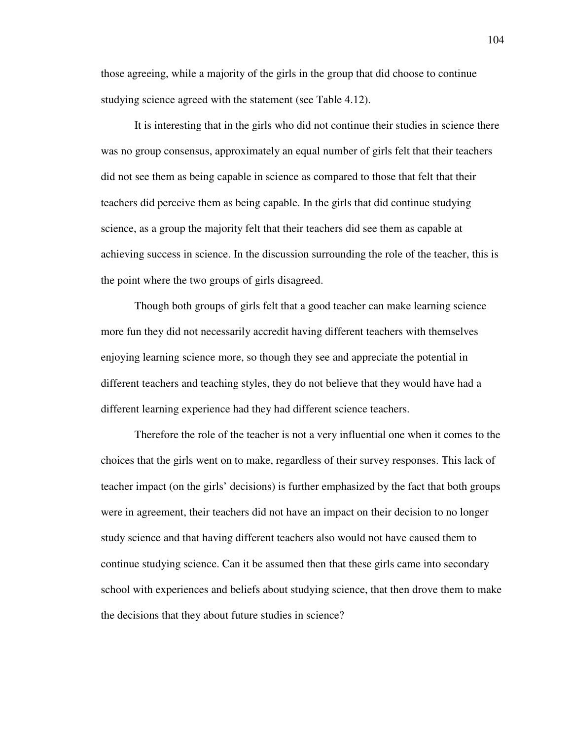those agreeing, while a majority of the girls in the group that did choose to continue studying science agreed with the statement (see Table 4.12).

It is interesting that in the girls who did not continue their studies in science there was no group consensus, approximately an equal number of girls felt that their teachers did not see them as being capable in science as compared to those that felt that their teachers did perceive them as being capable. In the girls that did continue studying science, as a group the majority felt that their teachers did see them as capable at achieving success in science. In the discussion surrounding the role of the teacher, this is the point where the two groups of girls disagreed.

Though both groups of girls felt that a good teacher can make learning science more fun they did not necessarily accredit having different teachers with themselves enjoying learning science more, so though they see and appreciate the potential in different teachers and teaching styles, they do not believe that they would have had a different learning experience had they had different science teachers.

Therefore the role of the teacher is not a very influential one when it comes to the choices that the girls went on to make, regardless of their survey responses. This lack of teacher impact (on the girls' decisions) is further emphasized by the fact that both groups were in agreement, their teachers did not have an impact on their decision to no longer study science and that having different teachers also would not have caused them to continue studying science. Can it be assumed then that these girls came into secondary school with experiences and beliefs about studying science, that then drove them to make the decisions that they about future studies in science?

104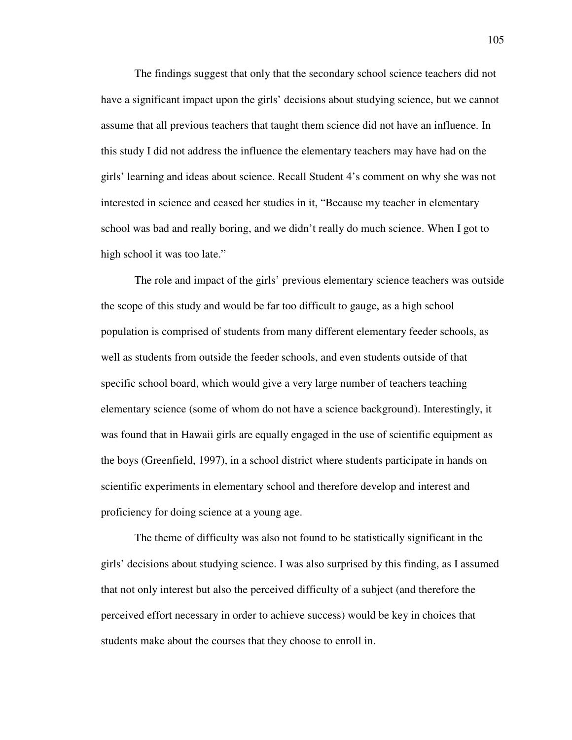The findings suggest that only that the secondary school science teachers did not have a significant impact upon the girls' decisions about studying science, but we cannot assume that all previous teachers that taught them science did not have an influence. In this study I did not address the influence the elementary teachers may have had on the girls' learning and ideas about science. Recall Student 4's comment on why she was not interested in science and ceased her studies in it, "Because my teacher in elementary school was bad and really boring, and we didn't really do much science. When I got to high school it was too late."

The role and impact of the girls' previous elementary science teachers was outside the scope of this study and would be far too difficult to gauge, as a high school population is comprised of students from many different elementary feeder schools, as well as students from outside the feeder schools, and even students outside of that specific school board, which would give a very large number of teachers teaching elementary science (some of whom do not have a science background). Interestingly, it was found that in Hawaii girls are equally engaged in the use of scientific equipment as the boys (Greenfield, 1997), in a school district where students participate in hands on scientific experiments in elementary school and therefore develop and interest and proficiency for doing science at a young age.

The theme of difficulty was also not found to be statistically significant in the girls' decisions about studying science. I was also surprised by this finding, as I assumed that not only interest but also the perceived difficulty of a subject (and therefore the perceived effort necessary in order to achieve success) would be key in choices that students make about the courses that they choose to enroll in.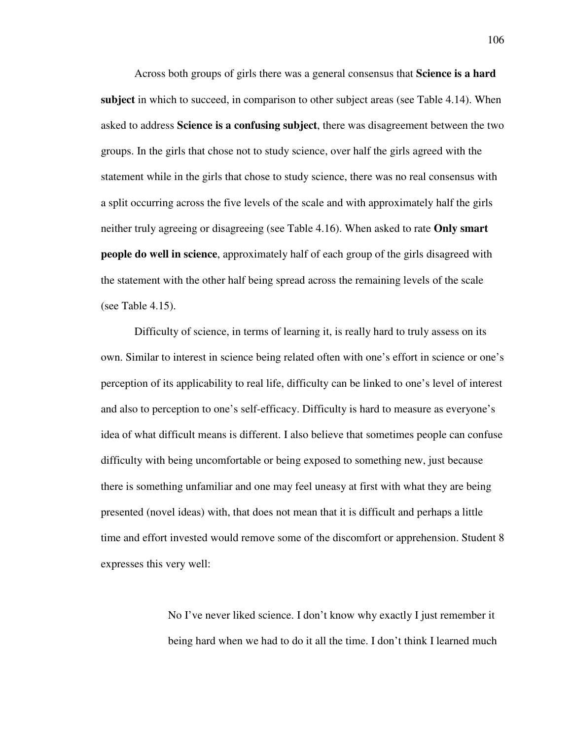Across both groups of girls there was a general consensus that **Science is a hard subject** in which to succeed, in comparison to other subject areas (see Table 4.14). When asked to address **Science is a confusing subject**, there was disagreement between the two groups. In the girls that chose not to study science, over half the girls agreed with the statement while in the girls that chose to study science, there was no real consensus with a split occurring across the five levels of the scale and with approximately half the girls neither truly agreeing or disagreeing (see Table 4.16). When asked to rate **Only smart people do well in science**, approximately half of each group of the girls disagreed with the statement with the other half being spread across the remaining levels of the scale (see Table 4.15).

Difficulty of science, in terms of learning it, is really hard to truly assess on its own. Similar to interest in science being related often with one's effort in science or one's perception of its applicability to real life, difficulty can be linked to one's level of interest and also to perception to one's self-efficacy. Difficulty is hard to measure as everyone's idea of what difficult means is different. I also believe that sometimes people can confuse difficulty with being uncomfortable or being exposed to something new, just because there is something unfamiliar and one may feel uneasy at first with what they are being presented (novel ideas) with, that does not mean that it is difficult and perhaps a little time and effort invested would remove some of the discomfort or apprehension. Student 8 expresses this very well:

> No I've never liked science. I don't know why exactly I just remember it being hard when we had to do it all the time. I don't think I learned much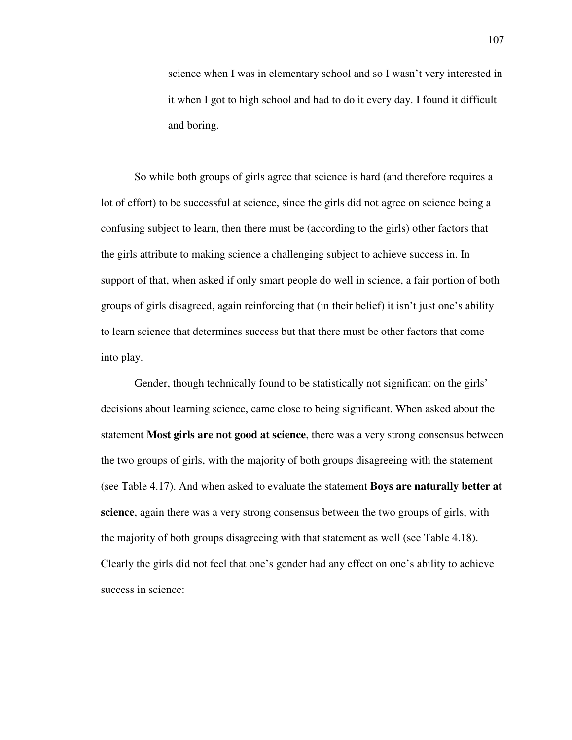science when I was in elementary school and so I wasn't very interested in it when I got to high school and had to do it every day. I found it difficult and boring.

So while both groups of girls agree that science is hard (and therefore requires a lot of effort) to be successful at science, since the girls did not agree on science being a confusing subject to learn, then there must be (according to the girls) other factors that the girls attribute to making science a challenging subject to achieve success in. In support of that, when asked if only smart people do well in science, a fair portion of both groups of girls disagreed, again reinforcing that (in their belief) it isn't just one's ability to learn science that determines success but that there must be other factors that come into play.

Gender, though technically found to be statistically not significant on the girls' decisions about learning science, came close to being significant. When asked about the statement **Most girls are not good at science**, there was a very strong consensus between the two groups of girls, with the majority of both groups disagreeing with the statement (see Table 4.17). And when asked to evaluate the statement **Boys are naturally better at science**, again there was a very strong consensus between the two groups of girls, with the majority of both groups disagreeing with that statement as well (see Table 4.18). Clearly the girls did not feel that one's gender had any effect on one's ability to achieve success in science: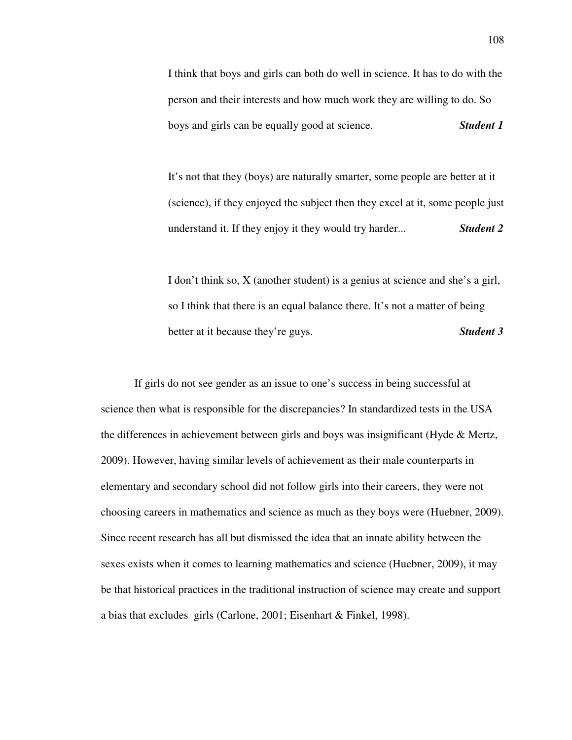I think that boys and girls can both do well in science. It has to do with the person and their interests and how much work they are willing to do. So boys and girls can be equally good at science. *Student 1*

It's not that they (boys) are naturally smarter, some people are better at it (science), if they enjoyed the subject then they excel at it, some people just understand it. If they enjoy it they would try harder... *Student 2*

I don't think so, X (another student) is a genius at science and she's a girl, so I think that there is an equal balance there. It's not a matter of being better at it because they're guys. *Student 3* 

If girls do not see gender as an issue to one's success in being successful at science then what is responsible for the discrepancies? In standardized tests in the USA the differences in achievement between girls and boys was insignificant (Hyde & Mertz, 2009). However, having similar levels of achievement as their male counterparts in elementary and secondary school did not follow girls into their careers, they were not choosing careers in mathematics and science as much as they boys were (Huebner, 2009). Since recent research has all but dismissed the idea that an innate ability between the sexes exists when it comes to learning mathematics and science (Huebner, 2009), it may be that historical practices in the traditional instruction of science may create and support a bias that excludes girls (Carlone, 2001; Eisenhart & Finkel, 1998).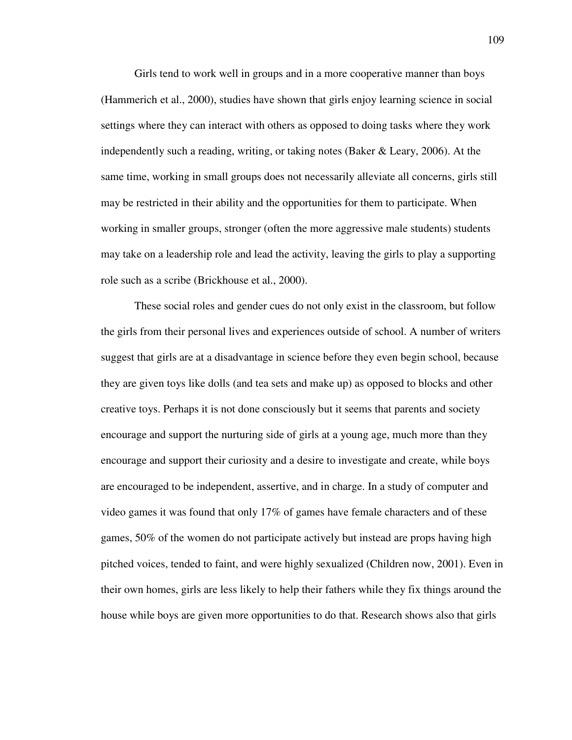Girls tend to work well in groups and in a more cooperative manner than boys (Hammerich et al., 2000), studies have shown that girls enjoy learning science in social settings where they can interact with others as opposed to doing tasks where they work independently such a reading, writing, or taking notes (Baker & Leary, 2006). At the same time, working in small groups does not necessarily alleviate all concerns, girls still may be restricted in their ability and the opportunities for them to participate. When working in smaller groups, stronger (often the more aggressive male students) students may take on a leadership role and lead the activity, leaving the girls to play a supporting role such as a scribe (Brickhouse et al., 2000).

These social roles and gender cues do not only exist in the classroom, but follow the girls from their personal lives and experiences outside of school. A number of writers suggest that girls are at a disadvantage in science before they even begin school, because they are given toys like dolls (and tea sets and make up) as opposed to blocks and other creative toys. Perhaps it is not done consciously but it seems that parents and society encourage and support the nurturing side of girls at a young age, much more than they encourage and support their curiosity and a desire to investigate and create, while boys are encouraged to be independent, assertive, and in charge. In a study of computer and video games it was found that only 17% of games have female characters and of these games, 50% of the women do not participate actively but instead are props having high pitched voices, tended to faint, and were highly sexualized (Children now, 2001). Even in their own homes, girls are less likely to help their fathers while they fix things around the house while boys are given more opportunities to do that. Research shows also that girls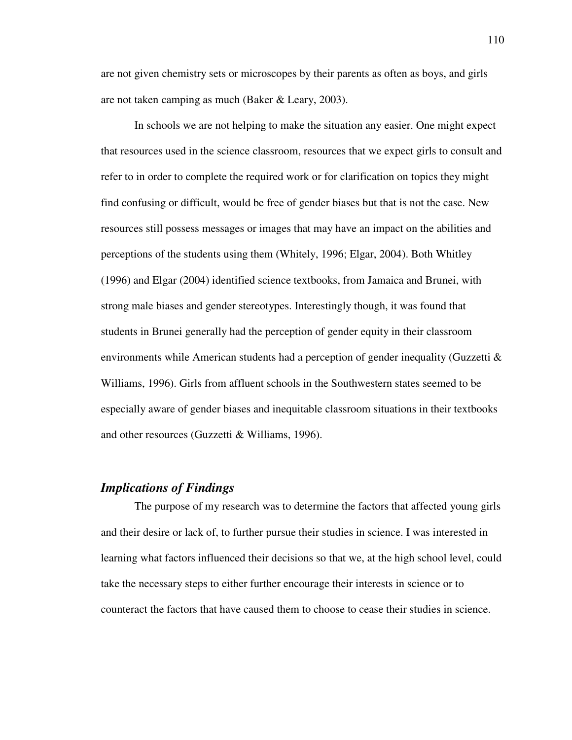are not given chemistry sets or microscopes by their parents as often as boys, and girls are not taken camping as much (Baker & Leary, 2003).

In schools we are not helping to make the situation any easier. One might expect that resources used in the science classroom, resources that we expect girls to consult and refer to in order to complete the required work or for clarification on topics they might find confusing or difficult, would be free of gender biases but that is not the case. New resources still possess messages or images that may have an impact on the abilities and perceptions of the students using them (Whitely, 1996; Elgar, 2004). Both Whitley (1996) and Elgar (2004) identified science textbooks, from Jamaica and Brunei, with strong male biases and gender stereotypes. Interestingly though, it was found that students in Brunei generally had the perception of gender equity in their classroom environments while American students had a perception of gender inequality (Guzzetti  $\&$ Williams, 1996). Girls from affluent schools in the Southwestern states seemed to be especially aware of gender biases and inequitable classroom situations in their textbooks and other resources (Guzzetti & Williams, 1996).

#### *Implications of Findings*

The purpose of my research was to determine the factors that affected young girls and their desire or lack of, to further pursue their studies in science. I was interested in learning what factors influenced their decisions so that we, at the high school level, could take the necessary steps to either further encourage their interests in science or to counteract the factors that have caused them to choose to cease their studies in science.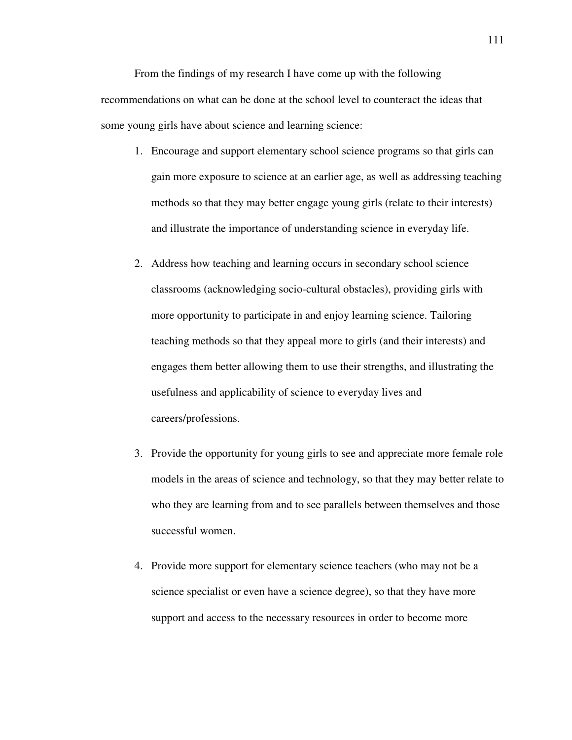From the findings of my research I have come up with the following recommendations on what can be done at the school level to counteract the ideas that some young girls have about science and learning science:

- 1. Encourage and support elementary school science programs so that girls can gain more exposure to science at an earlier age, as well as addressing teaching methods so that they may better engage young girls (relate to their interests) and illustrate the importance of understanding science in everyday life.
- 2. Address how teaching and learning occurs in secondary school science classrooms (acknowledging socio-cultural obstacles), providing girls with more opportunity to participate in and enjoy learning science. Tailoring teaching methods so that they appeal more to girls (and their interests) and engages them better allowing them to use their strengths, and illustrating the usefulness and applicability of science to everyday lives and careers/professions.
- 3. Provide the opportunity for young girls to see and appreciate more female role models in the areas of science and technology, so that they may better relate to who they are learning from and to see parallels between themselves and those successful women.
- 4. Provide more support for elementary science teachers (who may not be a science specialist or even have a science degree), so that they have more support and access to the necessary resources in order to become more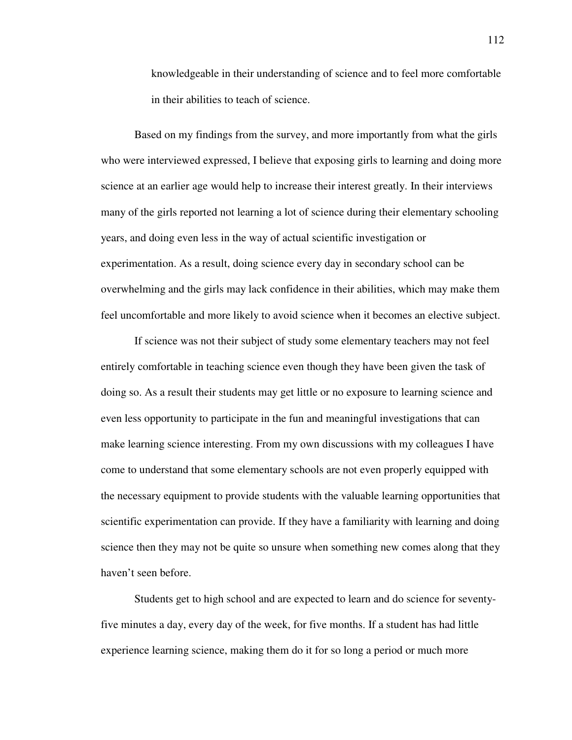knowledgeable in their understanding of science and to feel more comfortable in their abilities to teach of science.

Based on my findings from the survey, and more importantly from what the girls who were interviewed expressed, I believe that exposing girls to learning and doing more science at an earlier age would help to increase their interest greatly. In their interviews many of the girls reported not learning a lot of science during their elementary schooling years, and doing even less in the way of actual scientific investigation or experimentation. As a result, doing science every day in secondary school can be overwhelming and the girls may lack confidence in their abilities, which may make them feel uncomfortable and more likely to avoid science when it becomes an elective subject.

 If science was not their subject of study some elementary teachers may not feel entirely comfortable in teaching science even though they have been given the task of doing so. As a result their students may get little or no exposure to learning science and even less opportunity to participate in the fun and meaningful investigations that can make learning science interesting. From my own discussions with my colleagues I have come to understand that some elementary schools are not even properly equipped with the necessary equipment to provide students with the valuable learning opportunities that scientific experimentation can provide. If they have a familiarity with learning and doing science then they may not be quite so unsure when something new comes along that they haven't seen before.

 Students get to high school and are expected to learn and do science for seventyfive minutes a day, every day of the week, for five months. If a student has had little experience learning science, making them do it for so long a period or much more

112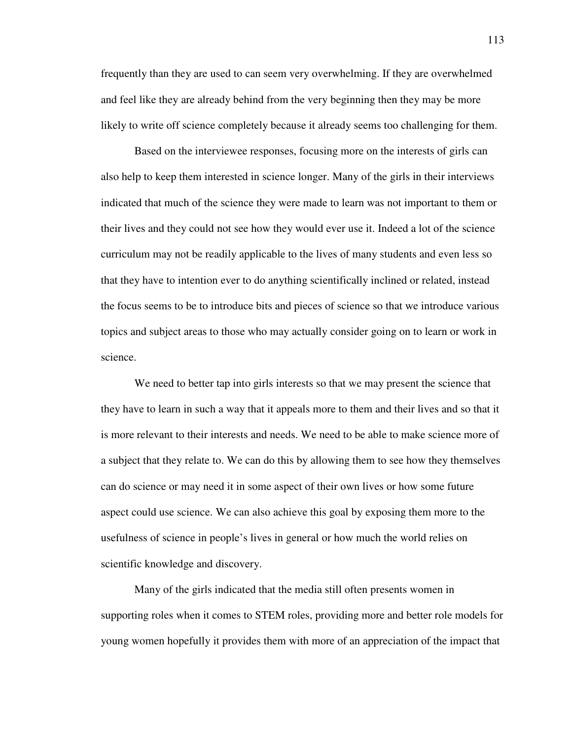frequently than they are used to can seem very overwhelming. If they are overwhelmed and feel like they are already behind from the very beginning then they may be more likely to write off science completely because it already seems too challenging for them.

 Based on the interviewee responses, focusing more on the interests of girls can also help to keep them interested in science longer. Many of the girls in their interviews indicated that much of the science they were made to learn was not important to them or their lives and they could not see how they would ever use it. Indeed a lot of the science curriculum may not be readily applicable to the lives of many students and even less so that they have to intention ever to do anything scientifically inclined or related, instead the focus seems to be to introduce bits and pieces of science so that we introduce various topics and subject areas to those who may actually consider going on to learn or work in science.

We need to better tap into girls interests so that we may present the science that they have to learn in such a way that it appeals more to them and their lives and so that it is more relevant to their interests and needs. We need to be able to make science more of a subject that they relate to. We can do this by allowing them to see how they themselves can do science or may need it in some aspect of their own lives or how some future aspect could use science. We can also achieve this goal by exposing them more to the usefulness of science in people's lives in general or how much the world relies on scientific knowledge and discovery.

Many of the girls indicated that the media still often presents women in supporting roles when it comes to STEM roles, providing more and better role models for young women hopefully it provides them with more of an appreciation of the impact that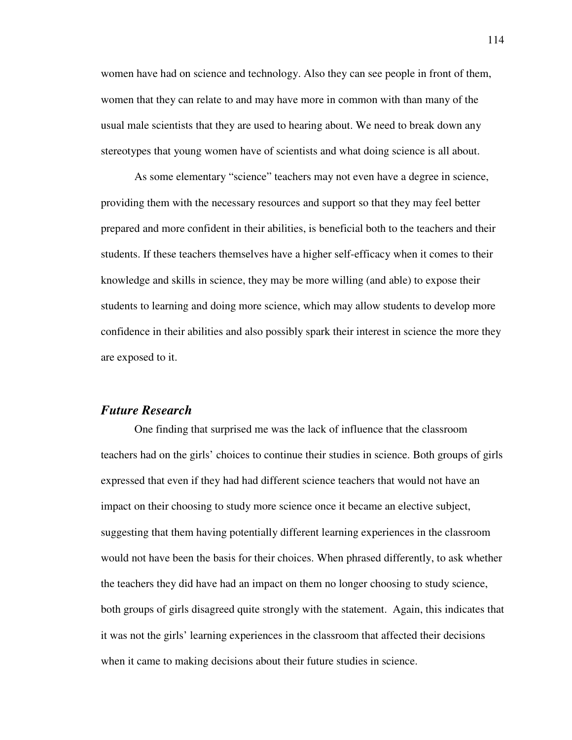women have had on science and technology. Also they can see people in front of them, women that they can relate to and may have more in common with than many of the usual male scientists that they are used to hearing about. We need to break down any stereotypes that young women have of scientists and what doing science is all about.

As some elementary "science" teachers may not even have a degree in science, providing them with the necessary resources and support so that they may feel better prepared and more confident in their abilities, is beneficial both to the teachers and their students. If these teachers themselves have a higher self-efficacy when it comes to their knowledge and skills in science, they may be more willing (and able) to expose their students to learning and doing more science, which may allow students to develop more confidence in their abilities and also possibly spark their interest in science the more they are exposed to it.

#### *Future Research*

One finding that surprised me was the lack of influence that the classroom teachers had on the girls' choices to continue their studies in science. Both groups of girls expressed that even if they had had different science teachers that would not have an impact on their choosing to study more science once it became an elective subject, suggesting that them having potentially different learning experiences in the classroom would not have been the basis for their choices. When phrased differently, to ask whether the teachers they did have had an impact on them no longer choosing to study science, both groups of girls disagreed quite strongly with the statement. Again, this indicates that it was not the girls' learning experiences in the classroom that affected their decisions when it came to making decisions about their future studies in science.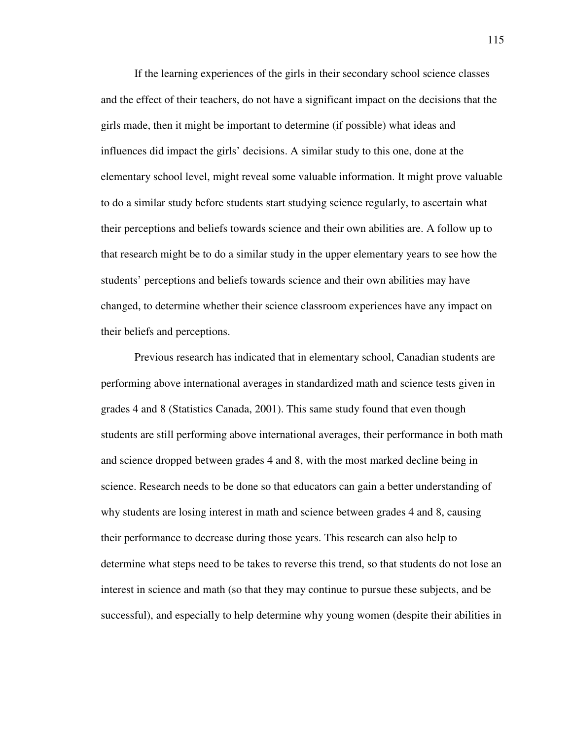If the learning experiences of the girls in their secondary school science classes and the effect of their teachers, do not have a significant impact on the decisions that the girls made, then it might be important to determine (if possible) what ideas and influences did impact the girls' decisions. A similar study to this one, done at the elementary school level, might reveal some valuable information. It might prove valuable to do a similar study before students start studying science regularly, to ascertain what their perceptions and beliefs towards science and their own abilities are. A follow up to that research might be to do a similar study in the upper elementary years to see how the students' perceptions and beliefs towards science and their own abilities may have changed, to determine whether their science classroom experiences have any impact on their beliefs and perceptions.

 Previous research has indicated that in elementary school, Canadian students are performing above international averages in standardized math and science tests given in grades 4 and 8 (Statistics Canada, 2001). This same study found that even though students are still performing above international averages, their performance in both math and science dropped between grades 4 and 8, with the most marked decline being in science. Research needs to be done so that educators can gain a better understanding of why students are losing interest in math and science between grades 4 and 8, causing their performance to decrease during those years. This research can also help to determine what steps need to be takes to reverse this trend, so that students do not lose an interest in science and math (so that they may continue to pursue these subjects, and be successful), and especially to help determine why young women (despite their abilities in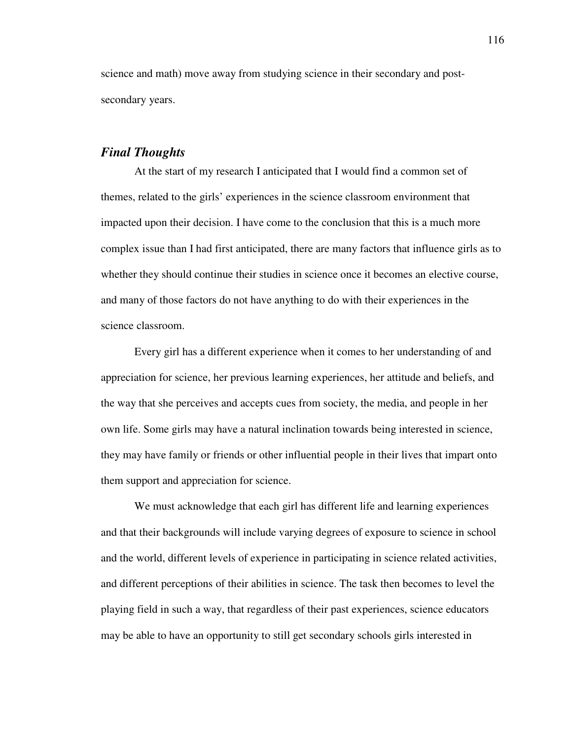science and math) move away from studying science in their secondary and postsecondary years.

#### *Final Thoughts*

 At the start of my research I anticipated that I would find a common set of themes, related to the girls' experiences in the science classroom environment that impacted upon their decision. I have come to the conclusion that this is a much more complex issue than I had first anticipated, there are many factors that influence girls as to whether they should continue their studies in science once it becomes an elective course, and many of those factors do not have anything to do with their experiences in the science classroom.

 Every girl has a different experience when it comes to her understanding of and appreciation for science, her previous learning experiences, her attitude and beliefs, and the way that she perceives and accepts cues from society, the media, and people in her own life. Some girls may have a natural inclination towards being interested in science, they may have family or friends or other influential people in their lives that impart onto them support and appreciation for science.

 We must acknowledge that each girl has different life and learning experiences and that their backgrounds will include varying degrees of exposure to science in school and the world, different levels of experience in participating in science related activities, and different perceptions of their abilities in science. The task then becomes to level the playing field in such a way, that regardless of their past experiences, science educators may be able to have an opportunity to still get secondary schools girls interested in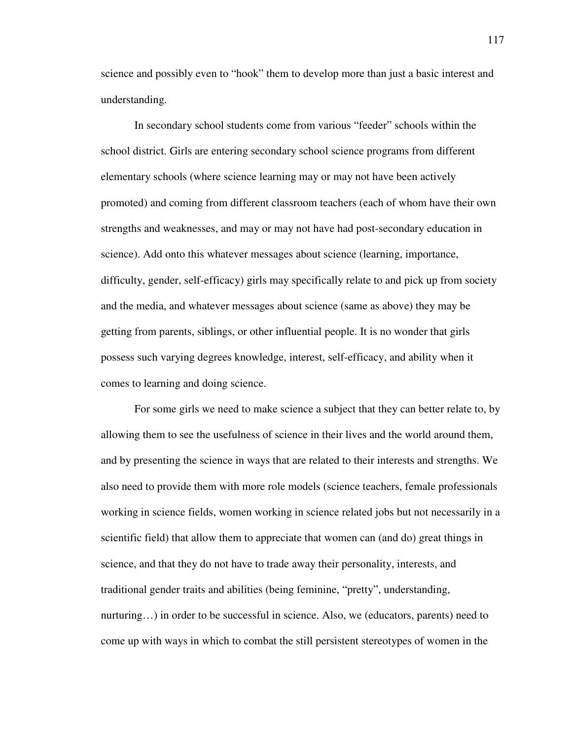science and possibly even to "hook" them to develop more than just a basic interest and understanding.

 In secondary school students come from various "feeder" schools within the school district. Girls are entering secondary school science programs from different elementary schools (where science learning may or may not have been actively promoted) and coming from different classroom teachers (each of whom have their own strengths and weaknesses, and may or may not have had post-secondary education in science). Add onto this whatever messages about science (learning, importance, difficulty, gender, self-efficacy) girls may specifically relate to and pick up from society and the media, and whatever messages about science (same as above) they may be getting from parents, siblings, or other influential people. It is no wonder that girls possess such varying degrees knowledge, interest, self-efficacy, and ability when it comes to learning and doing science.

 For some girls we need to make science a subject that they can better relate to, by allowing them to see the usefulness of science in their lives and the world around them, and by presenting the science in ways that are related to their interests and strengths. We also need to provide them with more role models (science teachers, female professionals working in science fields, women working in science related jobs but not necessarily in a scientific field) that allow them to appreciate that women can (and do) great things in science, and that they do not have to trade away their personality, interests, and traditional gender traits and abilities (being feminine, "pretty", understanding, nurturing…) in order to be successful in science. Also, we (educators, parents) need to come up with ways in which to combat the still persistent stereotypes of women in the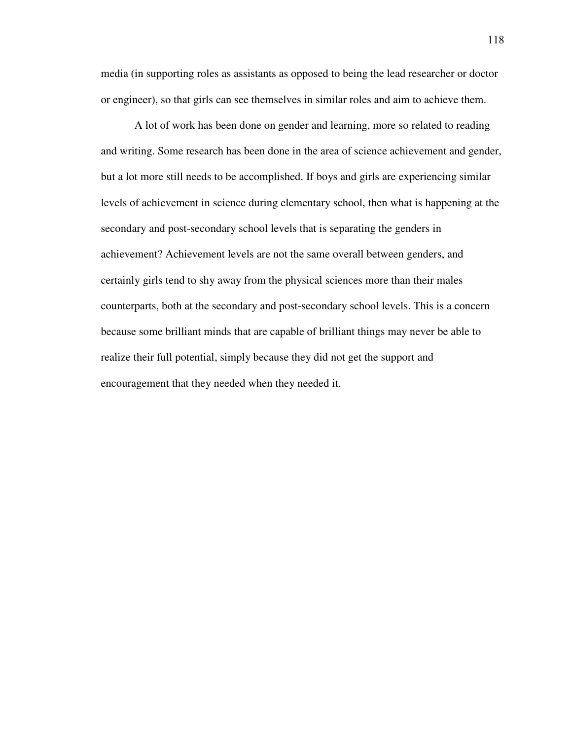media (in supporting roles as assistants as opposed to being the lead researcher or doctor or engineer), so that girls can see themselves in similar roles and aim to achieve them.

 A lot of work has been done on gender and learning, more so related to reading and writing. Some research has been done in the area of science achievement and gender, but a lot more still needs to be accomplished. If boys and girls are experiencing similar levels of achievement in science during elementary school, then what is happening at the secondary and post-secondary school levels that is separating the genders in achievement? Achievement levels are not the same overall between genders, and certainly girls tend to shy away from the physical sciences more than their males counterparts, both at the secondary and post-secondary school levels. This is a concern because some brilliant minds that are capable of brilliant things may never be able to realize their full potential, simply because they did not get the support and encouragement that they needed when they needed it.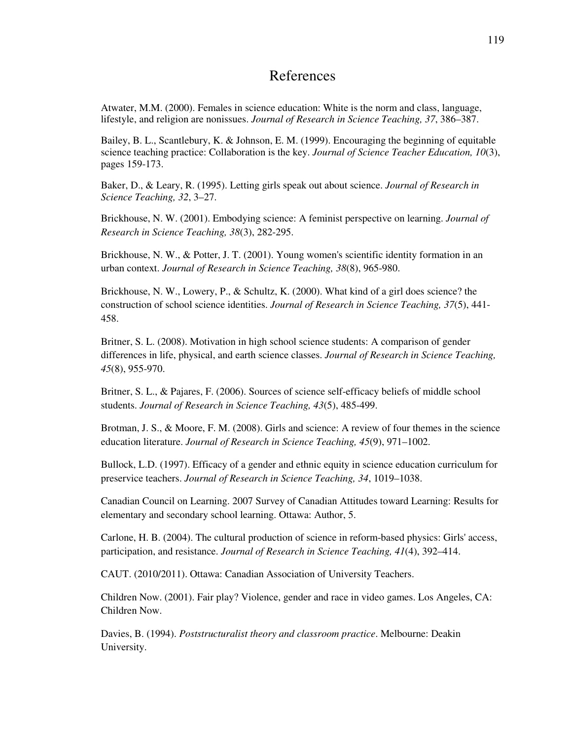### References

Atwater, M.M. (2000). Females in science education: White is the norm and class, language, lifestyle, and religion are nonissues. *Journal of Research in Science Teaching, 37*, 386–387.

Bailey, B. L., Scantlebury, K. & Johnson, E. M. (1999). Encouraging the beginning of equitable science teaching practice: Collaboration is the key. *Journal of Science Teacher Education, 10*(3), pages 159-173.

Baker, D., & Leary, R. (1995). Letting girls speak out about science. *Journal of Research in Science Teaching, 32*, 3–27.

Brickhouse, N. W. (2001). Embodying science: A feminist perspective on learning. *Journal of Research in Science Teaching, 38*(3), 282-295.

Brickhouse, N. W., & Potter, J. T. (2001). Young women's scientific identity formation in an urban context. *Journal of Research in Science Teaching, 38*(8), 965-980.

Brickhouse, N. W., Lowery, P., & Schultz, K. (2000). What kind of a girl does science? the construction of school science identities. *Journal of Research in Science Teaching, 37*(5), 441- 458.

Britner, S. L. (2008). Motivation in high school science students: A comparison of gender differences in life, physical, and earth science classes. *Journal of Research in Science Teaching, 45*(8), 955-970.

Britner, S. L., & Pajares, F. (2006). Sources of science self-efficacy beliefs of middle school students. *Journal of Research in Science Teaching, 43*(5), 485-499.

Brotman, J. S., & Moore, F. M. (2008). Girls and science: A review of four themes in the science education literature. *Journal of Research in Science Teaching, 45*(9), 971–1002.

Bullock, L.D. (1997). Efficacy of a gender and ethnic equity in science education curriculum for preservice teachers. *Journal of Research in Science Teaching, 34*, 1019–1038.

Canadian Council on Learning. 2007 Survey of Canadian Attitudes toward Learning: Results for elementary and secondary school learning. Ottawa: Author, 5.

Carlone, H. B. (2004). The cultural production of science in reform-based physics: Girls' access, participation, and resistance. *Journal of Research in Science Teaching, 41*(4), 392–414.

CAUT. (2010/2011). Ottawa: Canadian Association of University Teachers.

Children Now. (2001). Fair play? Violence, gender and race in video games. Los Angeles, CA: Children Now.

Davies, B. (1994). *Poststructuralist theory and classroom practice*. Melbourne: Deakin University.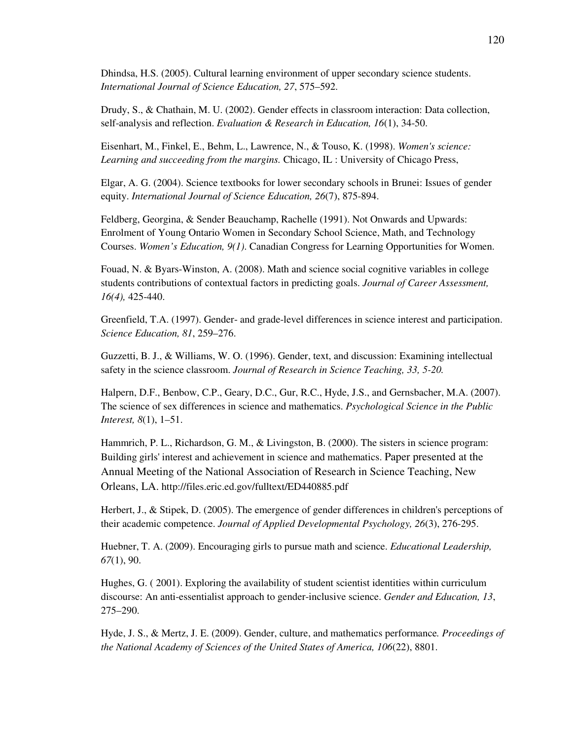Dhindsa, H.S. (2005). Cultural learning environment of upper secondary science students. *International Journal of Science Education, 27*, 575–592.

Drudy, S., & Chathain, M. U. (2002). Gender effects in classroom interaction: Data collection, self-analysis and reflection. *Evaluation & Research in Education, 16*(1), 34-50.

Eisenhart, M., Finkel, E., Behm, L., Lawrence, N., & Touso, K. (1998). *Women's science: Learning and succeeding from the margins.* Chicago, IL : University of Chicago Press,

Elgar, A. G. (2004). Science textbooks for lower secondary schools in Brunei: Issues of gender equity. *International Journal of Science Education, 26*(7), 875-894.

Feldberg, Georgina, & Sender Beauchamp, Rachelle (1991). Not Onwards and Upwards: Enrolment of Young Ontario Women in Secondary School Science, Math, and Technology Courses. *Women's Education, 9(1)*. Canadian Congress for Learning Opportunities for Women.

Fouad, N. & Byars-Winston, A. (2008). Math and science social cognitive variables in college students contributions of contextual factors in predicting goals. *Journal of Career Assessment, 16(4),* 425-440.

Greenfield, T.A. (1997). Gender- and grade-level differences in science interest and participation. *Science Education, 81*, 259–276.

Guzzetti, B. J., & Williams, W. O. (1996). Gender, text, and discussion: Examining intellectual safety in the science classroom. *Journal of Research in Science Teaching, 33, 5-20.*

Halpern, D.F., Benbow, C.P., Geary, D.C., Gur, R.C., Hyde, J.S., and Gernsbacher, M.A. (2007). The science of sex differences in science and mathematics. *Psychological Science in the Public Interest, 8*(1), 1–51.

Hammrich, P. L., Richardson, G. M., & Livingston, B. (2000). The sisters in science program: Building girls' interest and achievement in science and mathematics. Paper presented at the Annual Meeting of the National Association of Research in Science Teaching, New Orleans, LA. http://files.eric.ed.gov/fulltext/ED440885.pdf

Herbert, J., & Stipek, D. (2005). The emergence of gender differences in children's perceptions of their academic competence. *Journal of Applied Developmental Psychology, 26*(3), 276-295.

Huebner, T. A. (2009). Encouraging girls to pursue math and science. *Educational Leadership, 67*(1), 90.

Hughes, G. ( 2001). Exploring the availability of student scientist identities within curriculum discourse: An anti-essentialist approach to gender-inclusive science. *Gender and Education, 13*, 275–290.

Hyde, J. S., & Mertz, J. E. (2009). Gender, culture, and mathematics performance*. Proceedings of the National Academy of Sciences of the United States of America, 106*(22), 8801.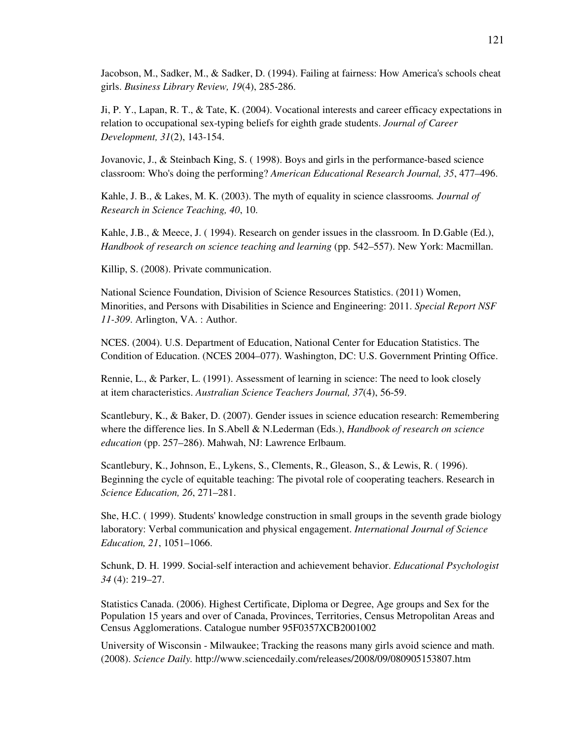Jacobson, M., Sadker, M., & Sadker, D. (1994). Failing at fairness: How America's schools cheat girls. *Business Library Review, 19*(4), 285-286.

Ji, P. Y., Lapan, R. T., & Tate, K. (2004). Vocational interests and career efficacy expectations in relation to occupational sex-typing beliefs for eighth grade students. *Journal of Career Development, 31*(2), 143-154.

Jovanovic, J., & Steinbach King, S. ( 1998). Boys and girls in the performance-based science classroom: Who's doing the performing? *American Educational Research Journal, 35*, 477–496.

Kahle, J. B., & Lakes, M. K. (2003). The myth of equality in science classrooms*. Journal of Research in Science Teaching, 40*, 10.

Kahle, J.B., & Meece, J. ( 1994). Research on gender issues in the classroom. In D.Gable (Ed.), *Handbook of research on science teaching and learning* (pp. 542–557). New York: Macmillan.

Killip, S. (2008). Private communication.

National Science Foundation, Division of Science Resources Statistics. (2011) Women, Minorities, and Persons with Disabilities in Science and Engineering: 2011. *Special Report NSF 11-309*. Arlington, VA. : Author.

NCES. (2004). U.S. Department of Education, National Center for Education Statistics. The Condition of Education. (NCES 2004–077). Washington, DC: U.S. Government Printing Office.

Rennie, L., & Parker, L. (1991). Assessment of learning in science: The need to look closely at item characteristics. *Australian Science Teachers Journal, 37*(4), 56-59.

Scantlebury, K., & Baker, D. (2007). Gender issues in science education research: Remembering where the difference lies. In S.Abell & N.Lederman (Eds.), *Handbook of research on science education* (pp. 257–286). Mahwah, NJ: Lawrence Erlbaum.

Scantlebury, K., Johnson, E., Lykens, S., Clements, R., Gleason, S., & Lewis, R. ( 1996). Beginning the cycle of equitable teaching: The pivotal role of cooperating teachers. Research in *Science Education, 26*, 271–281.

She, H.C. ( 1999). Students' knowledge construction in small groups in the seventh grade biology laboratory: Verbal communication and physical engagement. *International Journal of Science Education, 21*, 1051–1066.

Schunk, D. H. 1999. Social-self interaction and achievement behavior. *Educational Psychologist 34* (4): 219–27.

Statistics Canada. (2006). Highest Certificate, Diploma or Degree, Age groups and Sex for the Population 15 years and over of Canada, Provinces, Territories, Census Metropolitan Areas and Census Agglomerations. Catalogue number 95F0357XCB2001002

University of Wisconsin - Milwaukee; Tracking the reasons many girls avoid science and math. (2008). *Science Daily.* http://www.sciencedaily.com/releases/2008/09/080905153807.htm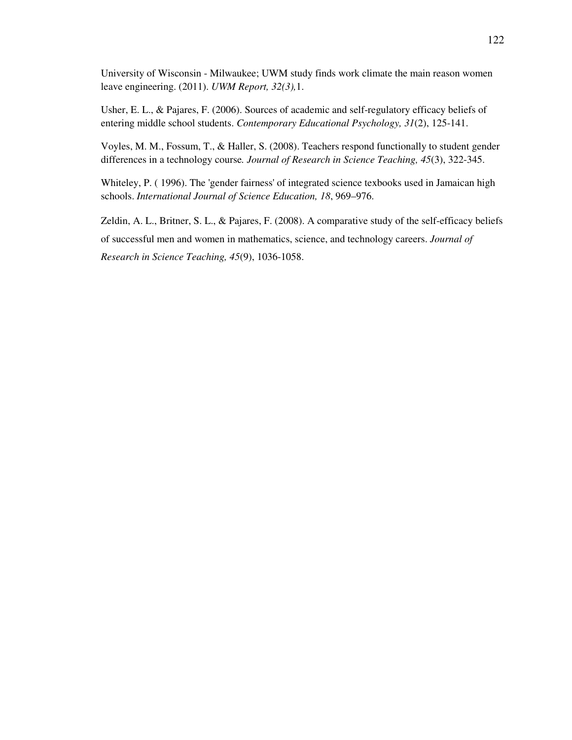University of Wisconsin - Milwaukee; UWM study finds work climate the main reason women leave engineering. (2011). *UWM Report, 32(3),*1.

Usher, E. L., & Pajares, F. (2006). Sources of academic and self-regulatory efficacy beliefs of entering middle school students. *Contemporary Educational Psychology, 31*(2), 125-141.

Voyles, M. M., Fossum, T., & Haller, S. (2008). Teachers respond functionally to student gender differences in a technology course*. Journal of Research in Science Teaching, 45*(3), 322-345.

Whiteley, P. ( 1996). The 'gender fairness' of integrated science texbooks used in Jamaican high schools. *International Journal of Science Education, 18*, 969–976.

Zeldin, A. L., Britner, S. L., & Pajares, F. (2008). A comparative study of the self-efficacy beliefs of successful men and women in mathematics, science, and technology careers. *Journal of Research in Science Teaching, 45*(9), 1036-1058.